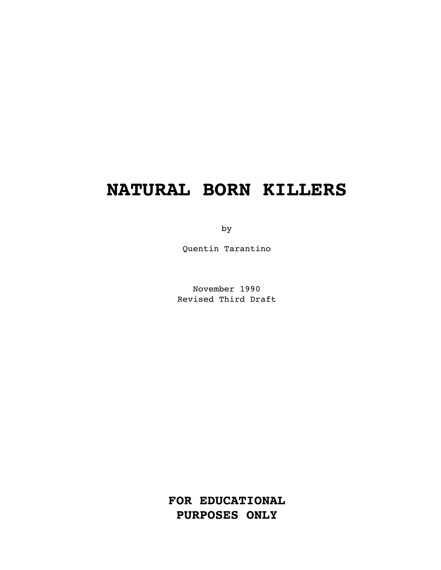# **NATURAL BORN KILLERS**

by

Quentin Tarantino

November 1990 Revised Third Draft

**FOR EDUCATIONAL PURPOSES ONLY**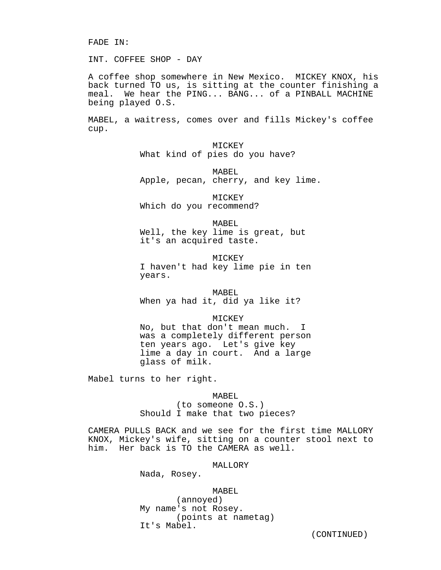FADE IN:

INT. COFFEE SHOP - DAY

A coffee shop somewhere in New Mexico. MICKEY KNOX, his back turned TO us, is sitting at the counter finishing a meal. We hear the PING... BANG... of a PINBALL MACHINE being played O.S.

MABEL, a waitress, comes over and fills Mickey's coffee cup.

> MICKEY What kind of pies do you have?

MABEL Apple, pecan, cherry, and key lime.

MICKEY Which do you recommend?

MABEL Well, the key lime is great, but it's an acquired taste.

MICKEY I haven't had key lime pie in ten years.

MABEL When ya had it, did ya like it?

MICKEY

No, but that don't mean much. I was a completely different person ten years ago. Let's give key lime a day in court. And a large glass of milk.

Mabel turns to her right.

#### MABEL

(to someone O.S.) Should I make that two pieces?

CAMERA PULLS BACK and we see for the first time MALLORY KNOX, Mickey's wife, sitting on a counter stool next to him. Her back is TO the CAMERA as well.

# MALLORY

Nada, Rosey.

# MABEL

(annoyed) My name's not Rosey. (points at nametag) It's Mabel.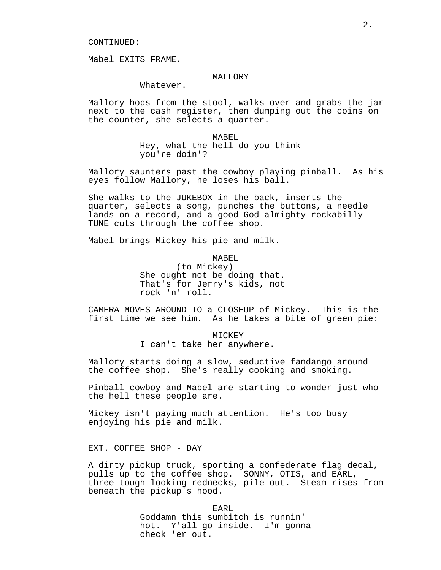Mabel EXITS FRAME.

# MALLORY

Whatever.

Mallory hops from the stool, walks over and grabs the jar next to the cash register, then dumping out the coins on the counter, she selects a quarter.

MABEL

Hey, what the hell do you think you're doin'?

Mallory saunters past the cowboy playing pinball. As his eyes follow Mallory, he loses his ball.

She walks to the JUKEBOX in the back, inserts the quarter, selects a song, punches the buttons, a needle lands on a record, and a good God almighty rockabilly TUNE cuts through the coffee shop.

Mabel brings Mickey his pie and milk.

rock 'n' roll.

MABEL (to Mickey) She ought not be doing that. That's for Jerry's kids, not

CAMERA MOVES AROUND TO a CLOSEUP of Mickey. This is the first time we see him. As he takes a bite of green pie:

> MICKEY I can't take her anywhere.

Mallory starts doing a slow, seductive fandango around the coffee shop. She's really cooking and smoking.

Pinball cowboy and Mabel are starting to wonder just who the hell these people are.

Mickey isn't paying much attention. He's too busy enjoying his pie and milk.

EXT. COFFEE SHOP - DAY

A dirty pickup truck, sporting a confederate flag decal, pulls up to the coffee shop. SONNY, OTIS, and EARL, three tough-looking rednecks, pile out. Steam rises from beneath the pickup's hood.

> EARL Goddamn this sumbitch is runnin' hot. Y'all go inside. I'm gonna check 'er out.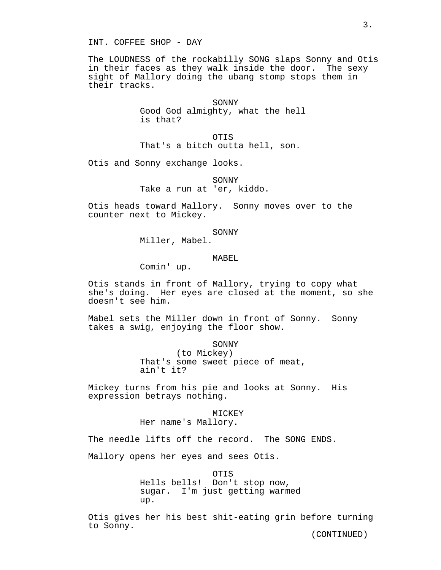# INT. COFFEE SHOP - DAY

The LOUDNESS of the rockabilly SONG slaps Sonny and Otis in their faces as they walk inside the door. The sexy sight of Mallory doing the ubang stomp stops them in their tracks.

> SONNY Good God almighty, what the hell is that?

**OTIS** That's a bitch outta hell, son.

Otis and Sonny exchange looks.

SONNY Take a run at 'er, kiddo.

Otis heads toward Mallory. Sonny moves over to the counter next to Mickey.

SONNY

Miller, Mabel.

MABEL

Comin' up.

Otis stands in front of Mallory, trying to copy what she's doing. Her eyes are closed at the moment, so she doesn't see him.

Mabel sets the Miller down in front of Sonny. Sonny takes a swig, enjoying the floor show.

# SONNY

(to Mickey) That's some sweet piece of meat, ain't it?

Mickey turns from his pie and looks at Sonny. His expression betrays nothing.

MICKEY

Her name's Mallory.

The needle lifts off the record. The SONG ENDS.

Mallory opens her eyes and sees Otis.

OTIS Hells bells! Don't stop now, sugar. I'm just getting warmed up.

Otis gives her his best shit-eating grin before turning to Sonny.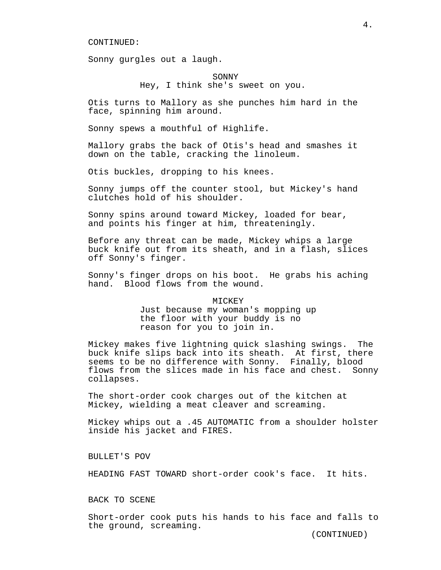Sonny gurgles out a laugh.

# SONNY Hey, I think she's sweet on you.

Otis turns to Mallory as she punches him hard in the face, spinning him around.

Sonny spews a mouthful of Highlife.

Mallory grabs the back of Otis's head and smashes it down on the table, cracking the linoleum.

Otis buckles, dropping to his knees.

Sonny jumps off the counter stool, but Mickey's hand clutches hold of his shoulder.

Sonny spins around toward Mickey, loaded for bear, and points his finger at him, threateningly.

Before any threat can be made, Mickey whips a large buck knife out from its sheath, and in a flash, slices off Sonny's finger.

Sonny's finger drops on his boot. He grabs his aching hand. Blood flows from the wound.

#### MICKEY

Just because my woman's mopping up the floor with your buddy is no reason for you to join in.

Mickey makes five lightning quick slashing swings. The buck knife slips back into its sheath. At first, there seems to be no difference with Sonny. Finally, blood flows from the slices made in his face and chest. Sonny collapses.

The short-order cook charges out of the kitchen at Mickey, wielding a meat cleaver and screaming.

Mickey whips out a .45 AUTOMATIC from a shoulder holster inside his jacket and FIRES.

BULLET'S POV

HEADING FAST TOWARD short-order cook's face. It hits.

BACK TO SCENE

Short-order cook puts his hands to his face and falls to the ground, screaming.

4.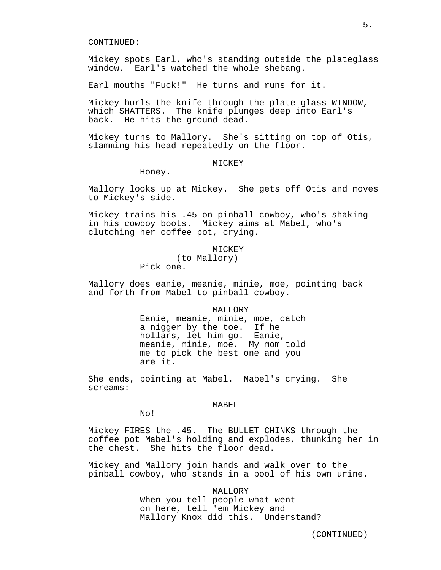Mickey spots Earl, who's standing outside the plateglass window. Earl's watched the whole shebang.

Earl mouths "Fuck!" He turns and runs for it.

Mickey hurls the knife through the plate glass WINDOW, which SHATTERS. The knife plunges deep into Earl's back. He hits the ground dead.

Mickey turns to Mallory. She's sitting on top of Otis, slamming his head repeatedly on the floor.

#### MICKEY

Honey.

Mallory looks up at Mickey. She gets off Otis and moves to Mickey's side.

Mickey trains his .45 on pinball cowboy, who's shaking in his cowboy boots. Mickey aims at Mabel, who's clutching her coffee pot, crying.

# MICKEY

(to Mallory) Pick one.

Mallory does eanie, meanie, minie, moe, pointing back and forth from Mabel to pinball cowboy.

#### MALLORY

Eanie, meanie, minie, moe, catch a nigger by the toe. If he hollars, let him go. Eanie, meanie, minie, moe. My mom told me to pick the best one and you are it.

She ends, pointing at Mabel. Mabel's crying. She screams:

#### MABEL

No!

Mickey FIRES the .45. The BULLET CHINKS through the coffee pot Mabel's holding and explodes, thunking her in the chest. She hits the floor dead.

Mickey and Mallory join hands and walk over to the pinball cowboy, who stands in a pool of his own urine.

# MALLORY When you tell people what went on here, tell 'em Mickey and Mallory Knox did this. Understand?

5.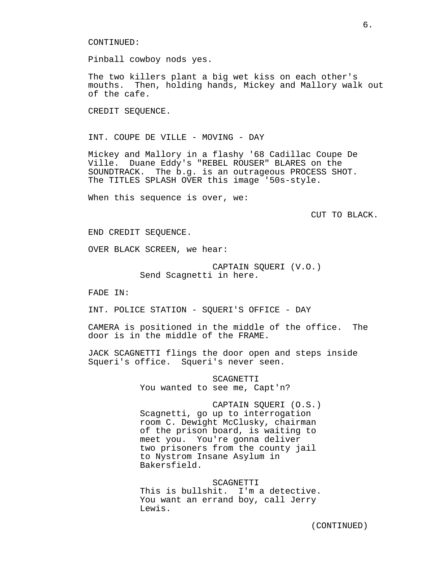Pinball cowboy nods yes.

The two killers plant a big wet kiss on each other's mouths. Then, holding hands, Mickey and Mallory walk out of the cafe.

CREDIT SEQUENCE.

INT. COUPE DE VILLE - MOVING - DAY

Mickey and Mallory in a flashy '68 Cadillac Coupe De Ville. Duane Eddy's "REBEL ROUSER" BLARES on the SOUNDTRACK. The b.g. is an outrageous PROCESS SHOT. The TITLES SPLASH OVER this image '50s-style.

When this sequence is over, we:

CUT TO BLACK.

END CREDIT SEQUENCE.

OVER BLACK SCREEN, we hear:

CAPTAIN SQUERI (V.O.) Send Scagnetti in here.

FADE IN:

INT. POLICE STATION - SQUERI'S OFFICE - DAY

CAMERA is positioned in the middle of the office. The door is in the middle of the FRAME.

JACK SCAGNETTI flings the door open and steps inside Squeri's office. Squeri's never seen.

> SCAGNETTI You wanted to see me, Capt'n?

CAPTAIN SQUERI (O.S.) Scagnetti, go up to interrogation room C. Dewight McClusky, chairman of the prison board, is waiting to meet you. You're gonna deliver two prisoners from the county jail to Nystrom Insane Asylum in Bakersfield.

SCAGNETTI This is bullshit. I'm a detective. You want an errand boy, call Jerry Lewis.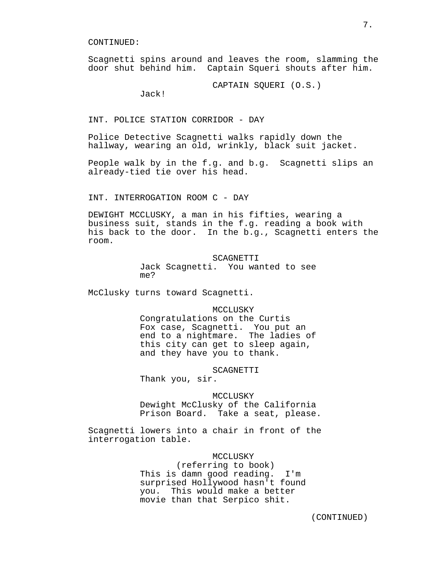Scagnetti spins around and leaves the room, slamming the door shut behind him. Captain Squeri shouts after him.

CAPTAIN SQUERI (O.S.)

Jack!

INT. POLICE STATION CORRIDOR - DAY

Police Detective Scagnetti walks rapidly down the hallway, wearing an old, wrinkly, black suit jacket.

People walk by in the f.g. and b.g. Scagnetti slips an already-tied tie over his head.

INT. INTERROGATION ROOM C - DAY

DEWIGHT MCCLUSKY, a man in his fifties, wearing a business suit, stands in the f.g. reading a book with his back to the door. In the b.g., Scagnetti enters the room.

> SCAGNETTI Jack Scagnetti. You wanted to see me?

McClusky turns toward Scagnetti.

MCCLUSKY Congratulations on the Curtis Fox case, Scagnetti. You put an end to a nightmare. The ladies of this city can get to sleep again, and they have you to thank.

SCAGNETTI

Thank you, sir.

MCCLUSKY Dewight McClusky of the California Prison Board. Take a seat, please.

Scagnetti lowers into a chair in front of the interrogation table.

MCCLUSKY

(referring to book) This is damn good reading. I'm surprised Hollywood hasn't found you. This would make a better movie than that Serpico shit.

7.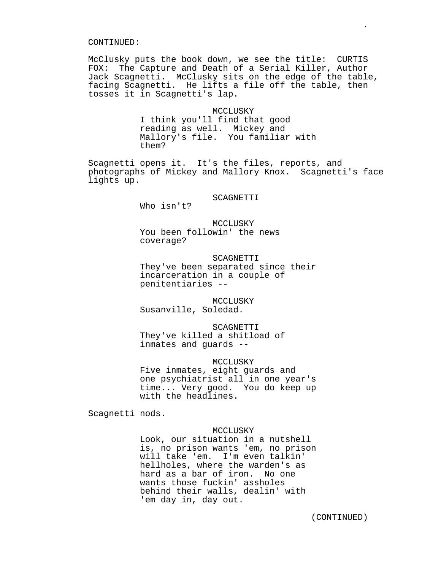McClusky puts the book down, we see the title: CURTIS FOX: The Capture and Death of a Serial Killer, Author Jack Scagnetti. McClusky sits on the edge of the table, facing Scagnetti. He lifts a file off the table, then tosses it in Scagnetti's lap.

> MCCLUSKY I think you'll find that good reading as well. Mickey and Mallory's file. You familiar with them?

Scagnetti opens it. It's the files, reports, and photographs of Mickey and Mallory Knox. Scagnetti's face lights up.

# SCAGNETTI

Who isn't?

MCCLUSKY You been followin' the news coverage?

SCAGNETTI

They've been separated since their incarceration in a couple of penitentiaries --

MCCLUSKY

Susanville, Soledad.

SCAGNETTI They've killed a shitload of

inmates and guards --

# MCCLUSKY

Five inmates, eight guards and one psychiatrist all in one year's time... Very good. You do keep up with the headlines.

Scagnetti nods.

# MCCLUSKY

Look, our situation in a nutshell is, no prison wants 'em, no prison will take 'em. I'm even talkin' hellholes, where the warden's as hard as a bar of iron. No one wants those fuckin' assholes behind their walls, dealin' with 'em day in, day out.

(CONTINUED)

.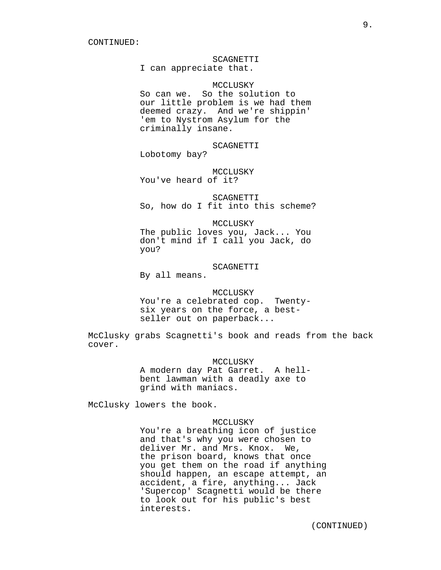#### SCAGNETTI

I can appreciate that.

## MCCLUSKY

So can we. So the solution to our little problem is we had them deemed crazy. And we're shippin' 'em to Nystrom Asylum for the criminally insane.

SCAGNETTI

Lobotomy bay?

MCCLUSKY You've heard of it?

SCAGNETTI So, how do I fit into this scheme?

#### MCCLUSKY

The public loves you, Jack... You don't mind if I call you Jack, do you?

# SCAGNETTI

By all means.

#### MCCLUSKY

You're a celebrated cop. Twentysix years on the force, a bestseller out on paperback...

McClusky grabs Scagnetti's book and reads from the back cover.

#### MCCLUSKY

A modern day Pat Garret. A hellbent lawman with a deadly axe to grind with maniacs.

McClusky lowers the book.

# MCCLUSKY

You're a breathing icon of justice and that's why you were chosen to deliver Mr. and Mrs. Knox. We, the prison board, knows that once you get them on the road if anything should happen, an escape attempt, an accident, a fire, anything... Jack 'Supercop' Scagnetti would be there to look out for his public's best interests.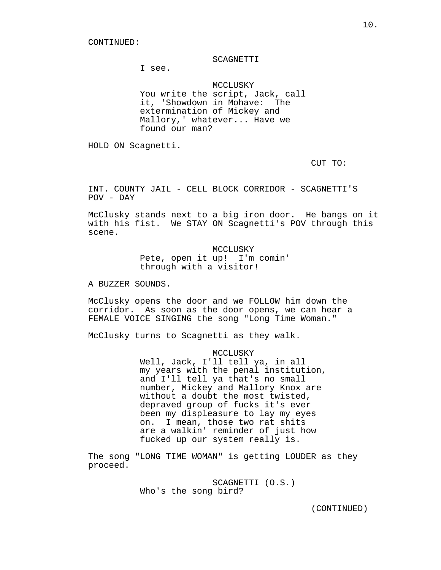# SCAGNETTI

I see.

MCCLUSKY You write the script, Jack, call it, 'Showdown in Mohave: The extermination of Mickey and Mallory,' whatever... Have we found our man?

HOLD ON Scagnetti.

CUT TO:

INT. COUNTY JAIL - CELL BLOCK CORRIDOR - SCAGNETTI'S POV - DAY

McClusky stands next to a big iron door. He bangs on it with his fist. We STAY ON Scagnetti's POV through this scene.

> MCCLUSKY Pete, open it up! I'm comin' through with a visitor!

A BUZZER SOUNDS.

McClusky opens the door and we FOLLOW him down the corridor. As soon as the door opens, we can hear a FEMALE VOICE SINGING the song "Long Time Woman."

McClusky turns to Scagnetti as they walk.

MCCLUSKY

Well, Jack, I'll tell ya, in all my years with the penal institution, and I'll tell ya that's no small number, Mickey and Mallory Knox are without a doubt the most twisted, depraved group of fucks it's ever been my displeasure to lay my eyes on. I mean, those two rat shits are a walkin' reminder of just how fucked up our system really is.

The song "LONG TIME WOMAN" is getting LOUDER as they proceed.

> SCAGNETTI (O.S.) Who's the song bird?

10.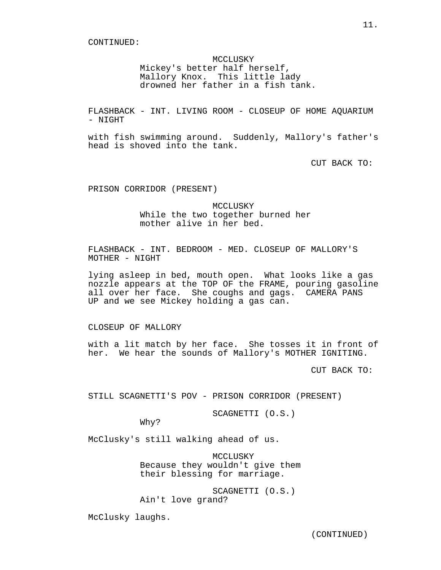MCCLUSKY

Mickey's better half herself, Mallory Knox. This little lady drowned her father in a fish tank.

FLASHBACK - INT. LIVING ROOM - CLOSEUP OF HOME AQUARIUM - NIGHT

with fish swimming around. Suddenly, Mallory's father's head is shoved into the tank.

CUT BACK TO:

PRISON CORRIDOR (PRESENT)

MCCLUSKY While the two together burned her mother alive in her bed.

FLASHBACK - INT. BEDROOM - MED. CLOSEUP OF MALLORY'S MOTHER - NIGHT

lying asleep in bed, mouth open. What looks like a gas nozzle appears at the TOP OF the FRAME, pouring gasoline all over her face. She coughs and gags. CAMERA PANS UP and we see Mickey holding a gas can.

CLOSEUP OF MALLORY

with a lit match by her face. She tosses it in front of her. We hear the sounds of Mallory's MOTHER IGNITING.

CUT BACK TO:

STILL SCAGNETTI'S POV - PRISON CORRIDOR (PRESENT)

SCAGNETTI (O.S.)

Why?

McClusky's still walking ahead of us.

MCCLUSKY Because they wouldn't give them their blessing for marriage.

SCAGNETTI (O.S.) Ain't love grand?

McClusky laughs.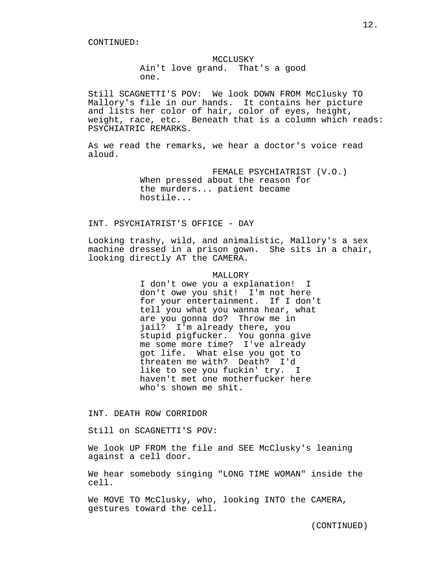# MCCLUSKY Ain't love grand. That's a good one.

Still SCAGNETTI'S POV: We look DOWN FROM McClusky TO Mallory's file in our hands. It contains her picture and lists her color of hair, color of eyes, height, weight, race, etc. Beneath that is a column which reads: PSYCHIATRIC REMARKS.

As we read the remarks, we hear a doctor's voice read aloud.

> FEMALE PSYCHIATRIST (V.O.) When pressed about the reason for the murders... patient became hostile...

INT. PSYCHIATRIST'S OFFICE - DAY

Looking trashy, wild, and animalistic, Mallory's a sex machine dressed in a prison gown. She sits in a chair, looking directly AT the CAMERA.

# MALLORY

I don't owe you a explanation! I don't owe you shit! I'm not here for your entertainment. If I don't tell you what you wanna hear, what are you gonna do? Throw me in jail? I'm already there, you stupid pigfucker. You gonna give me some more time? I've already got life. What else you got to threaten me with? Death? I'd like to see you fuckin' try. I haven't met one motherfucker here who's shown me shit.

INT. DEATH ROW CORRIDOR

Still on SCAGNETTI'S POV:

We look UP FROM the file and SEE McClusky's leaning against a cell door.

We hear somebody singing "LONG TIME WOMAN" inside the cell.

We MOVE TO McClusky, who, looking INTO the CAMERA, gestures toward the cell.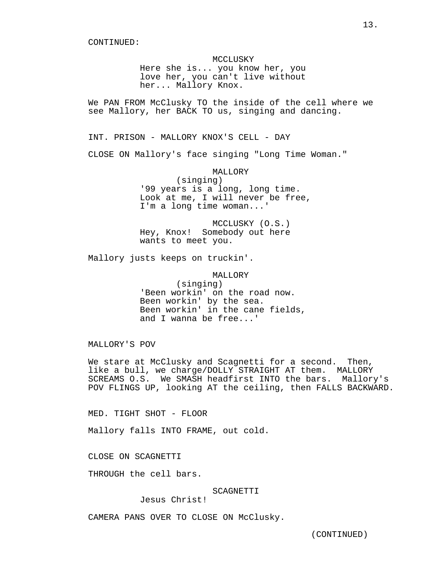## MCCLUSKY

Here she is... you know her, you love her, you can't live without her... Mallory Knox.

We PAN FROM McClusky TO the inside of the cell where we see Mallory, her BACK TO us, singing and dancing.

INT. PRISON - MALLORY KNOX'S CELL - DAY

CLOSE ON Mallory's face singing "Long Time Woman."

MALLORY

(singing) '99 years is a long, long time. Look at me, I will never be free, I'm a long time woman...'

MCCLUSKY (O.S.) Hey, Knox! Somebody out here wants to meet you.

Mallory justs keeps on truckin'.

# MALLORY

(singing) 'Been workin' on the road now. Been workin' by the sea. Been workin' in the cane fields, and I wanna be free...'

MALLORY'S POV

We stare at McClusky and Scagnetti for a second. Then, like a bull, we charge/DOLLY STRAIGHT AT them. MALLORY SCREAMS O.S. We SMASH headfirst INTO the bars. Mallory's POV FLINGS UP, looking AT the ceiling, then FALLS BACKWARD.

MED. TIGHT SHOT - FLOOR

Mallory falls INTO FRAME, out cold.

CLOSE ON SCAGNETTI

THROUGH the cell bars.

SCAGNETTI

Jesus Christ!

CAMERA PANS OVER TO CLOSE ON McClusky.

13.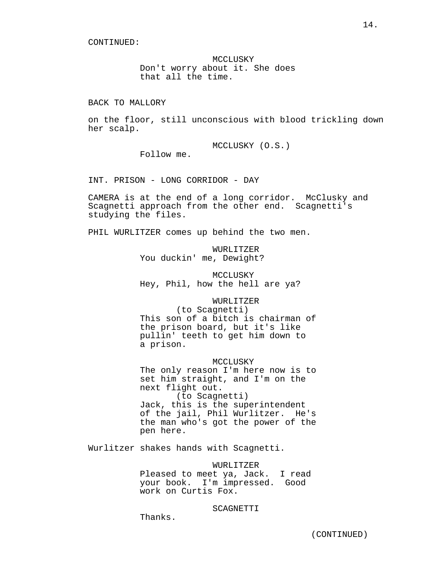MCCLUSKY Don't worry about it. She does that all the time.

BACK TO MALLORY

on the floor, still unconscious with blood trickling down her scalp.

MCCLUSKY (O.S.)

Follow me.

INT. PRISON - LONG CORRIDOR - DAY

CAMERA is at the end of a long corridor. McClusky and Scagnetti approach from the other end. Scagnetti's studying the files.

PHIL WURLITZER comes up behind the two men.

WURLITZER You duckin' me, Dewight?

MCCLUSKY Hey, Phil, how the hell are ya?

WURLITZER

(to Scagnetti) This son of a bitch is chairman of the prison board, but it's like pullin' teeth to get him down to a prison.

MCCLUSKY The only reason I'm here now is to set him straight, and I'm on the next flight out. (to Scagnetti) Jack, this is the superintendent of the jail, Phil Wurlitzer. He's the man who's got the power of the pen here.

Wurlitzer shakes hands with Scagnetti.

WURLITZER

Pleased to meet ya, Jack. I read your book. I'm impressed. Good work on Curtis Fox.

SCAGNETTI

Thanks.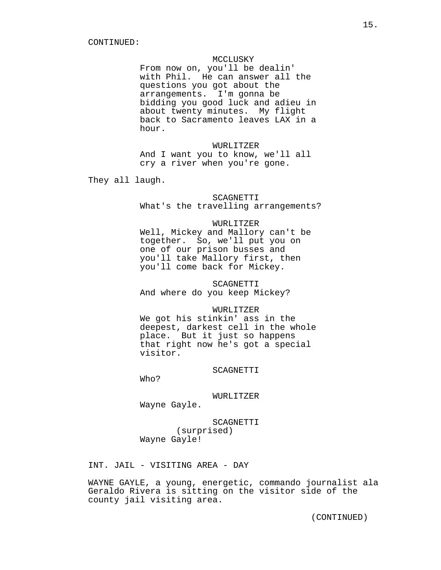## MCCLUSKY

From now on, you'll be dealin' with Phil. He can answer all the questions you got about the arrangements. I'm gonna be bidding you good luck and adieu in about twenty minutes. My flight back to Sacramento leaves LAX in a hour.

WURLITZER

And I want you to know, we'll all cry a river when you're gone.

They all laugh.

# SCAGNETTI

What's the travelling arrangements?

# WURLITZER

Well, Mickey and Mallory can't be together. So, we'll put you on one of our prison busses and you'll take Mallory first, then you'll come back for Mickey.

SCAGNETTI And where do you keep Mickey?

# WURLITZER

We got his stinkin' ass in the deepest, darkest cell in the whole place. But it just so happens that right now he's got a special visitor.

# SCAGNETTI

Who?

# WURLITZER

Wayne Gayle.

SCAGNETTI (surprised) Wayne Gayle!

INT. JAIL - VISITING AREA - DAY

WAYNE GAYLE, a young, energetic, commando journalist ala Geraldo Rivera is sitting on the visitor side of the county jail visiting area.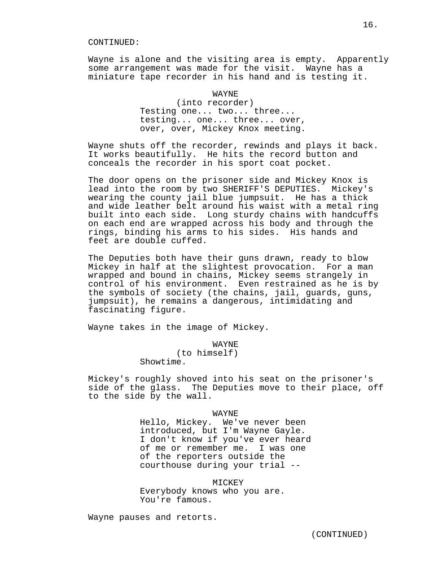Wayne is alone and the visiting area is empty. Apparently some arrangement was made for the visit. Wayne has a miniature tape recorder in his hand and is testing it.

> WAYNE (into recorder) Testing one... two... three... testing... one... three... over, over, over, Mickey Knox meeting.

Wayne shuts off the recorder, rewinds and plays it back. It works beautifully. He hits the record button and conceals the recorder in his sport coat pocket.

The door opens on the prisoner side and Mickey Knox is lead into the room by two SHERIFF'S DEPUTIES. Mickey's wearing the county jail blue jumpsuit. He has a thick and wide leather belt around his waist with a metal ring built into each side. Long sturdy chains with handcuffs on each end are wrapped across his body and through the rings, binding his arms to his sides. His hands and feet are double cuffed.

The Deputies both have their guns drawn, ready to blow Mickey in half at the slightest provocation. For a man wrapped and bound in chains, Mickey seems strangely in control of his environment. Even restrained as he is by the symbols of society (the chains, jail, guards, guns, jumpsuit), he remains a dangerous, intimidating and fascinating figure.

Wayne takes in the image of Mickey.

# WAYNE

(to himself) Showtime.

Mickey's roughly shoved into his seat on the prisoner's side of the glass. The Deputies move to their place, off to the side by the wall.

WAYNE

Hello, Mickey. We've never been introduced, but I'm Wayne Gayle. I don't know if you've ever heard of me or remember me. I was one of the reporters outside the courthouse during your trial --

MICKEY

Everybody knows who you are. You're famous.

Wayne pauses and retorts.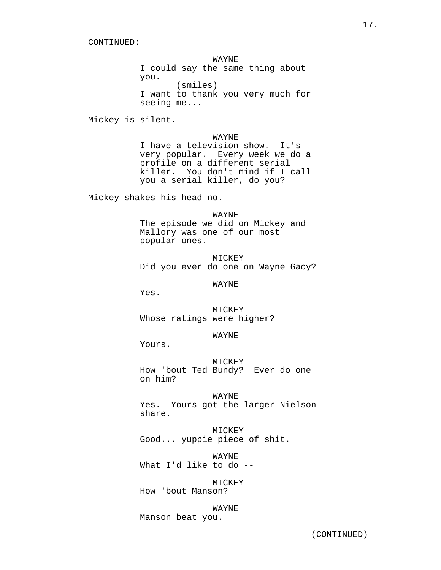WAYNE

I could say the same thing about you. (smiles) I want to thank you very much for seeing me...

Mickey is silent.

# WAYNE

I have a television show. It's very popular. Every week we do a profile on a different serial killer. You don't mind if I call you a serial killer, do you?

Mickey shakes his head no.

WAYNE The episode we did on Mickey and Mallory was one of our most popular ones.

MICKEY Did you ever do one on Wayne Gacy?

WAYNE

Yes.

MICKEY Whose ratings were higher?

WAYNE

Yours.

MICKEY How 'bout Ted Bundy? Ever do one on him?

WAYNE Yes. Yours got the larger Nielson share.

MICKEY Good... yuppie piece of shit.

WAYNE What I'd like to do --

MICKEY

How 'bout Manson?

WAYNE

Manson beat you.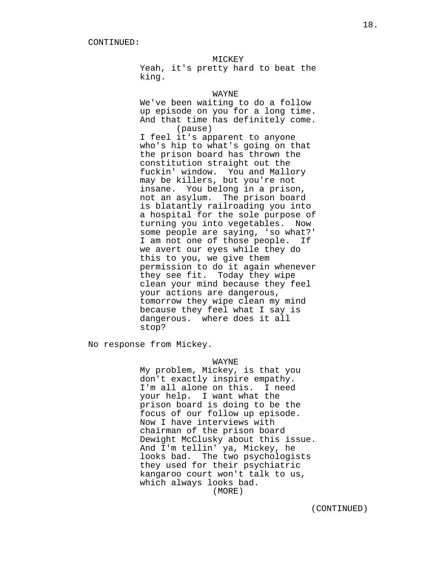## MICKEY

Yeah, it's pretty hard to beat the king.

# WAYNE

We've been waiting to do a follow up episode on you for a long time. And that time has definitely come. (pause)

I feel it's apparent to anyone who's hip to what's going on that the prison board has thrown the constitution straight out the fuckin' window. You and Mallory may be killers, but you're not insane. You belong in a prison, not an asylum. The prison board is blatantly railroading you into a hospital for the sole purpose of turning you into vegetables. Now some people are saying, 'so what?' I am not one of those people. If we avert our eyes while they do this to you, we give them permission to do it again whenever they see fit. Today they wipe clean your mind because they feel your actions are dangerous, tomorrow they wipe clean my mind because they feel what I say is dangerous. where does it all stop?

No response from Mickey.

# WAYNE

My problem, Mickey, is that you don't exactly inspire empathy. I'm all alone on this. I need your help. I want what the prison board is doing to be the focus of our follow up episode. Now I have interviews with chairman of the prison board Dewight McClusky about this issue. And I'm tellin' ya, Mickey, he looks bad. The two psychologists they used for their psychiatric kangaroo court won't talk to us, which always looks bad. (MORE)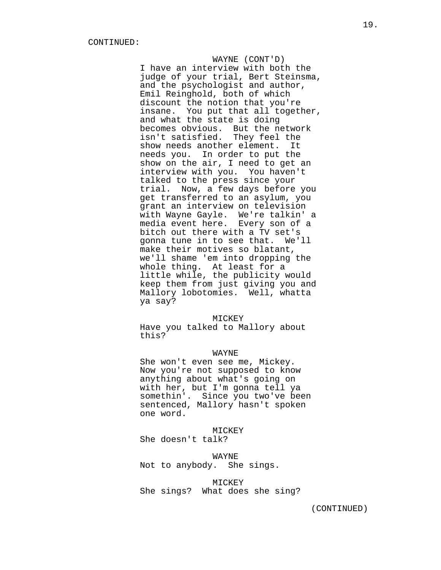# WAYNE (CONT'D)

I have an interview with both the judge of your trial, Bert Steinsma, and the psychologist and author, Emil Reinghold, both of which discount the notion that you're insane. You put that all together, and what the state is doing becomes obvious. But the network isn't satisfied. They feel the show needs another element. It needs you. In order to put the show on the air, I need to get an interview with you. You haven't talked to the press since your trial. Now, a few days before you get transferred to an asylum, you grant an interview on television with Wayne Gayle. We're talkin' a media event here. Every son of a bitch out there with a TV set's gonna tune in to see that. We'll make their motives so blatant, we'll shame 'em into dropping the whole thing. At least for a little while, the publicity would keep them from just giving you and Mallory lobotomies. Well, whatta ya say?

#### MICKEY

Have you talked to Mallory about this?

#### WAYNE

She won't even see me, Mickey. Now you're not supposed to know anything about what's going on with her, but I'm gonna tell ya somethin'. Since you two've been sentenced, Mallory hasn't spoken one word.

## MICKEY

She doesn't talk?

WAYNE Not to anybody. She sings.

#### MICKEY

She sings? What does she sing?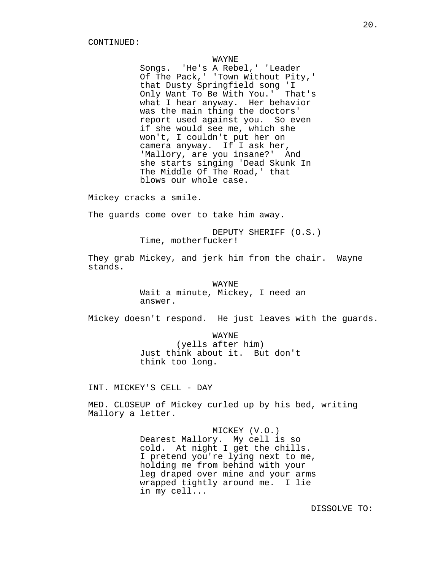#### WAYNE

Songs. 'He's A Rebel,' 'Leader Of The Pack,' 'Town Without Pity,' that Dusty Springfield song 'I Only Want To Be With You.' That's what I hear anyway. Her behavior was the main thing the doctors' report used against you. So even if she would see me, which she won't, I couldn't put her on camera anyway. If I ask her, 'Mallory, are you insane?' And she starts singing 'Dead Skunk In The Middle Of The Road,' that blows our whole case.

Mickey cracks a smile.

The guards come over to take him away.

DEPUTY SHERIFF (O.S.) Time, motherfucker!

They grab Mickey, and jerk him from the chair. Wayne stands.

> WAYNE Wait a minute, Mickey, I need an answer.

Mickey doesn't respond. He just leaves with the guards.

WAYNE (yells after him) Just think about it. But don't think too long.

INT. MICKEY'S CELL - DAY

MED. CLOSEUP of Mickey curled up by his bed, writing Mallory a letter.

> MICKEY (V.O.) Dearest Mallory. My cell is so cold. At night I get the chills. I pretend you're lying next to me, holding me from behind with your leg draped over mine and your arms wrapped tightly around me. I lie in my cell...

> > DISSOLVE TO: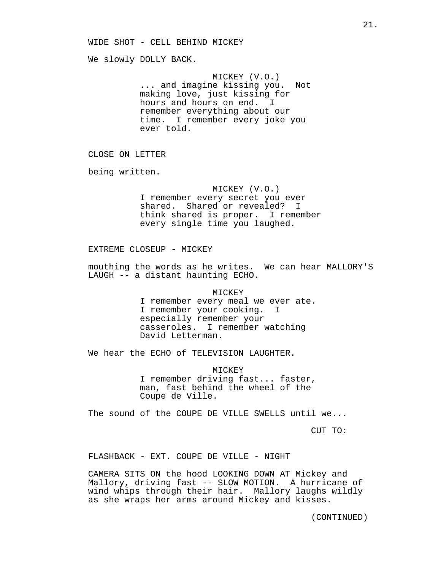We slowly DOLLY BACK.

MICKEY (V.O.) ... and imagine kissing you. Not making love, just kissing for hours and hours on end. I remember everything about our time. I remember every joke you ever told.

CLOSE ON LETTER

being written.

#### MICKEY (V.O.)

I remember every secret you ever shared. Shared or revealed? I think shared is proper. I remember every single time you laughed.

EXTREME CLOSEUP - MICKEY

mouthing the words as he writes. We can hear MALLORY'S LAUGH -- a distant haunting ECHO.

> MICKEY I remember every meal we ever ate. I remember your cooking. I especially remember your casseroles. I remember watching David Letterman.

We hear the ECHO of TELEVISION LAUGHTER.

MICKEY I remember driving fast... faster, man, fast behind the wheel of the Coupe de Ville.

The sound of the COUPE DE VILLE SWELLS until we...

CUT TO:

FLASHBACK - EXT. COUPE DE VILLE - NIGHT

CAMERA SITS ON the hood LOOKING DOWN AT Mickey and Mallory, driving fast -- SLOW MOTION. A hurricane of wind whips through their hair. Mallory laughs wildly as she wraps her arms around Mickey and kisses.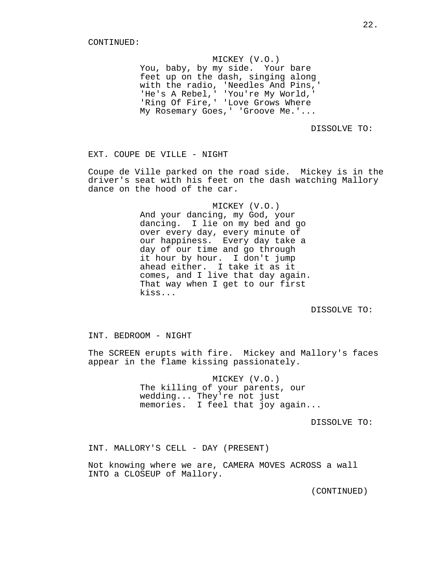# MICKEY (V.O.) You, baby, by my side. Your bare feet up on the dash, singing along with the radio, 'Needles And Pins,' 'He's A Rebel,' 'You're My World,' 'Ring Of Fire,' 'Love Grows Where

My Rosemary Goes,' 'Groove Me.'...

DISSOLVE TO:

EXT. COUPE DE VILLE - NIGHT

Coupe de Ville parked on the road side. Mickey is in the driver's seat with his feet on the dash watching Mallory dance on the hood of the car.

> MICKEY (V.O.) And your dancing, my God, your dancing. I lie on my bed and go over every day, every minute of our happiness. Every day take a day of our time and go through it hour by hour. I don't jump ahead either. I take it as it comes, and I live that day again. That way when I get to our first kiss...

> > DISSOLVE TO:

INT. BEDROOM - NIGHT

The SCREEN erupts with fire. Mickey and Mallory's faces appear in the flame kissing passionately.

> MICKEY (V.O.) The killing of your parents, our wedding... They're not just memories. I feel that joy again...

> > DISSOLVE TO:

INT. MALLORY'S CELL - DAY (PRESENT)

Not knowing where we are, CAMERA MOVES ACROSS a wall INTO a CLOSEUP of Mallory.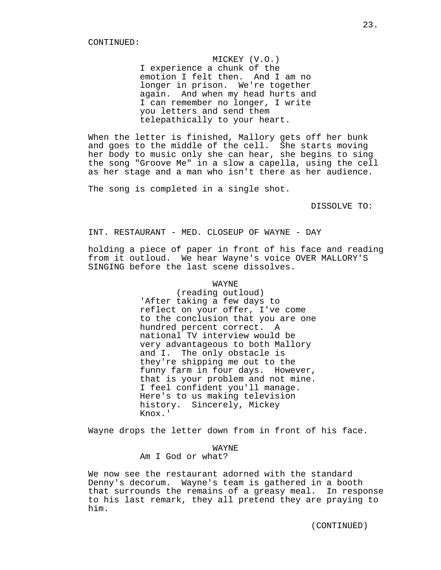# MICKEY (V.O.)

I experience a chunk of the emotion I felt then. And I am no longer in prison. We're together again. And when my head hurts and I can remember no longer, I write you letters and send them telepathically to your heart.

When the letter is finished, Mallory gets off her bunk and goes to the middle of the cell. She starts moving her body to music only she can hear, she begins to sing the song "Groove Me" in a slow a capella, using the cell as her stage and a man who isn't there as her audience.

The song is completed in a single shot.

DISSOLVE TO:

INT. RESTAURANT - MED. CLOSEUP OF WAYNE - DAY

holding a piece of paper in front of his face and reading from it outloud. We hear Wayne's voice OVER MALLORY'S SINGING before the last scene dissolves.

# WAYNE

(reading outloud) 'After taking a few days to reflect on your offer, I've come to the conclusion that you are one hundred percent correct. A national TV interview would be very advantageous to both Mallory and I. The only obstacle is they're shipping me out to the funny farm in four days. However, that is your problem and not mine. I feel confident you'll manage. Here's to us making television history. Sincerely, Mickey Knox.'

Wayne drops the letter down from in front of his face.

#### WAYNE

Am I God or what?

We now see the restaurant adorned with the standard Denny's decorum. Wayne's team is gathered in a booth that surrounds the remains of a greasy meal. In response to his last remark, they all pretend they are praying to him.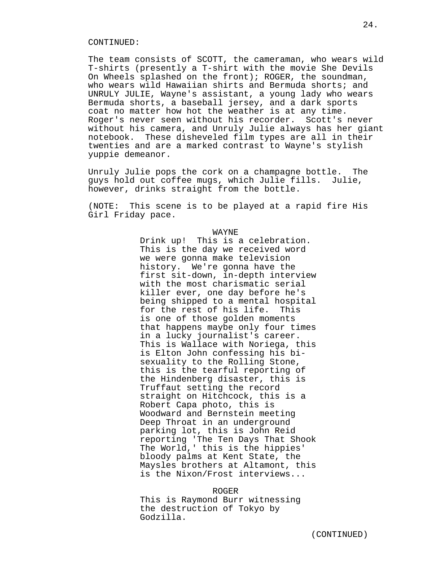The team consists of SCOTT, the cameraman, who wears wild T-shirts (presently a T-shirt with the movie She Devils On Wheels splashed on the front); ROGER, the soundman, who wears wild Hawaiian shirts and Bermuda shorts; and UNRULY JULIE, Wayne's assistant, a young lady who wears Bermuda shorts, a baseball jersey, and a dark sports coat no matter how hot the weather is at any time. Roger's never seen without his recorder. Scott's never without his camera, and Unruly Julie always has her giant notebook. These disheveled film types are all in their twenties and are a marked contrast to Wayne's stylish yuppie demeanor.

Unruly Julie pops the cork on a champagne bottle. The guys hold out coffee mugs, which Julie fills. Julie, however, drinks straight from the bottle.

(NOTE: This scene is to be played at a rapid fire His Girl Friday pace.

#### WAYNE

Drink up! This is a celebration. This is the day we received word we were gonna make television history. We're gonna have the first sit-down, in-depth interview with the most charismatic serial killer ever, one day before he's being shipped to a mental hospital for the rest of his life. This is one of those golden moments that happens maybe only four times in a lucky journalist's career. This is Wallace with Noriega, this is Elton John confessing his bisexuality to the Rolling Stone, this is the tearful reporting of the Hindenberg disaster, this is Truffaut setting the record straight on Hitchcock, this is a Robert Capa photo, this is Woodward and Bernstein meeting Deep Throat in an underground parking lot, this is John Reid reporting 'The Ten Days That Shook The World,' this is the hippies' bloody palms at Kent State, the Maysles brothers at Altamont, this is the Nixon/Frost interviews...

ROGER

This is Raymond Burr witnessing the destruction of Tokyo by Godzilla.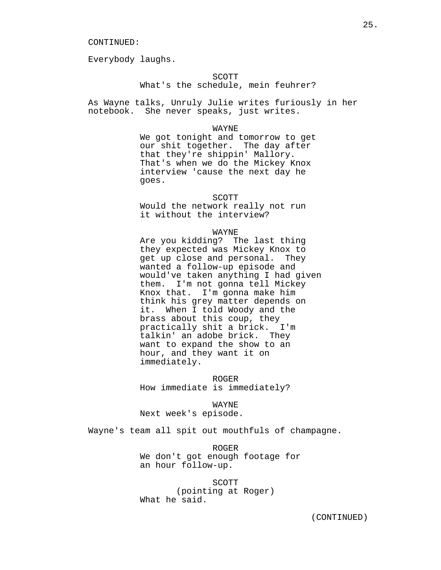Everybody laughs.

# SCOTT

What's the schedule, mein feuhrer?

As Wayne talks, Unruly Julie writes furiously in her notebook. She never speaks, just writes.

#### WAYNE

We got tonight and tomorrow to get our shit together. The day after that they're shippin' Mallory. That's when we do the Mickey Knox interview 'cause the next day he goes.

## SCOTT

Would the network really not run it without the interview?

#### WAYNE

Are you kidding? The last thing they expected was Mickey Knox to get up close and personal. They wanted a follow-up episode and would've taken anything I had given them. I'm not gonna tell Mickey Knox that. I'm gonna make him think his grey matter depends on it. When I told Woody and the brass about this coup, they practically shit a brick. I'm talkin' an adobe brick. They want to expand the show to an hour, and they want it on immediately.

ROGER How immediate is immediately?

WAYNE Next week's episode.

Wayne's team all spit out mouthfuls of champagne.

ROGER We don't got enough footage for an hour follow-up.

SCOTT (pointing at Roger) What he said.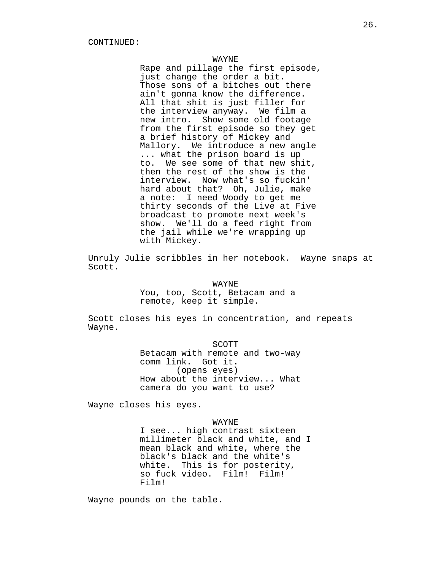#### WAYNE

Rape and pillage the first episode, just change the order a bit. Those sons of a bitches out there ain't gonna know the difference. All that shit is just filler for the interview anyway. We film a new intro. Show some old footage from the first episode so they get a brief history of Mickey and Mallory. We introduce a new angle ... what the prison board is up to. We see some of that new shit, then the rest of the show is the interview. Now what's so fuckin' hard about that? Oh, Julie, make a note: I need Woody to get me thirty seconds of the Live at Five broadcast to promote next week's show. We'll do a feed right from the jail while we're wrapping up with Mickey.

Unruly Julie scribbles in her notebook. Wayne snaps at Scott.

#### WAYNE

You, too, Scott, Betacam and a remote, keep it simple.

Scott closes his eyes in concentration, and repeats Wayne.

SCOTT

Betacam with remote and two-way comm link. Got it. (opens eyes) How about the interview... What camera do you want to use?

Wayne closes his eyes.

#### WAYNE

I see... high contrast sixteen millimeter black and white, and I mean black and white, where the black's black and the white's white. This is for posterity, so fuck video. Film! Film! Film!

Wayne pounds on the table.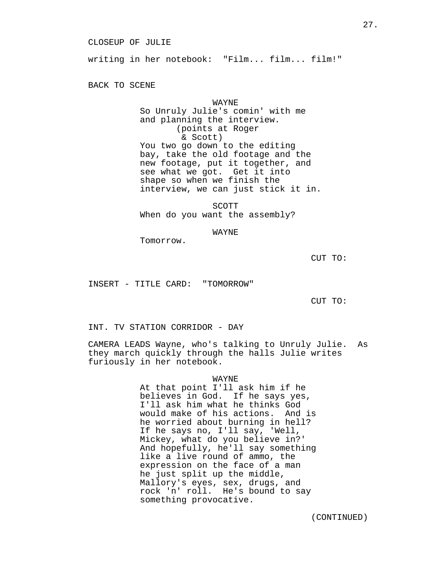## CLOSEUP OF JULIE

writing in her notebook: "Film... film... film!"

BACK TO SCENE

WAYNE

So Unruly Julie's comin' with me and planning the interview. (points at Roger & Scott) You two go down to the editing bay, take the old footage and the new footage, put it together, and see what we got. Get it into shape so when we finish the interview, we can just stick it in.

SCOTT When do you want the assembly?

WAYNE

Tomorrow.

CUT TO:

INSERT - TITLE CARD: "TOMORROW"

CUT TO:

INT. TV STATION CORRIDOR - DAY

CAMERA LEADS Wayne, who's talking to Unruly Julie. As they march quickly through the halls Julie writes furiously in her notebook.

#### WAYNE

At that point I'll ask him if he believes in God. If he says yes, I'll ask him what he thinks God would make of his actions. And is he worried about burning in hell? If he says no, I'll say, 'Well, Mickey, what do you believe in?' And hopefully, he'll say something like a live round of ammo, the expression on the face of a man he just split up the middle, Mallory's eyes, sex, drugs, and rock 'n' roll. He's bound to say something provocative.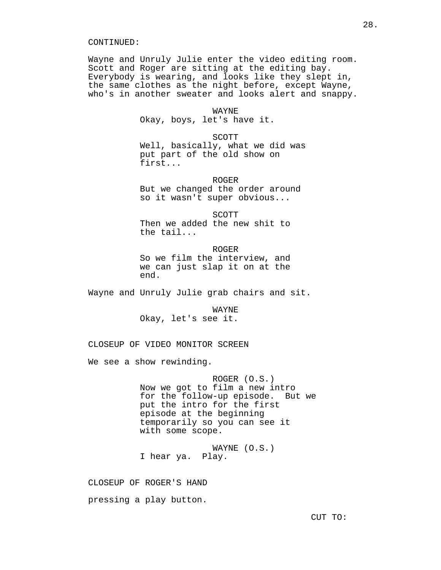Wayne and Unruly Julie enter the video editing room. Scott and Roger are sitting at the editing bay. Everybody is wearing, and looks like they slept in, the same clothes as the night before, except Wayne, who's in another sweater and looks alert and snappy.

> WAYNE Okay, boys, let's have it.

SCOTT Well, basically, what we did was put part of the old show on first...

ROGER But we changed the order around so it wasn't super obvious...

SCOTT Then we added the new shit to the tail...

ROGER So we film the interview, and we can just slap it on at the end.

Wayne and Unruly Julie grab chairs and sit.

WAYNE Okay, let's see it.

# CLOSEUP OF VIDEO MONITOR SCREEN

We see a show rewinding.

ROGER (O.S.) Now we got to film a new intro for the follow-up episode. But we put the intro for the first episode at the beginning temporarily so you can see it with some scope.

WAYNE (O.S.) I hear ya. Play.

CLOSEUP OF ROGER'S HAND pressing a play button.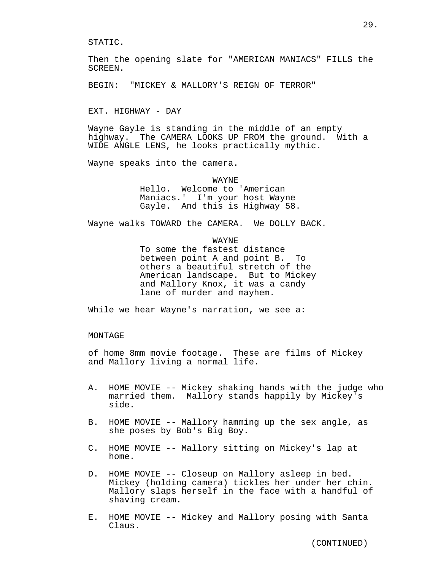Then the opening slate for "AMERICAN MANIACS" FILLS the SCREEN.

BEGIN: "MICKEY & MALLORY'S REIGN OF TERROR"

EXT. HIGHWAY - DAY

Wayne Gayle is standing in the middle of an empty highway. The CAMERA LOOKS UP FROM the ground. With a WIDE ANGLE LENS, he looks practically mythic.

Wayne speaks into the camera.

WAYNE

Hello. Welcome to 'American Maniacs.' I'm your host Wayne Gayle. And this is Highway 58.

Wayne walks TOWARD the CAMERA. We DOLLY BACK.

WAYNE

To some the fastest distance between point A and point B. To others a beautiful stretch of the American landscape. But to Mickey and Mallory Knox, it was a candy lane of murder and mayhem.

While we hear Wayne's narration, we see a:

#### MONTAGE

of home 8mm movie footage. These are films of Mickey and Mallory living a normal life.

- A. HOME MOVIE -- Mickey shaking hands with the judge who married them. Mallory stands happily by Mickey's side.
- B. HOME MOVIE -- Mallory hamming up the sex angle, as she poses by Bob's Big Boy.
- C. HOME MOVIE -- Mallory sitting on Mickey's lap at home.
- D. HOME MOVIE -- Closeup on Mallory asleep in bed. Mickey (holding camera) tickles her under her chin. Mallory slaps herself in the face with a handful of shaving cream.
- E. HOME MOVIE -- Mickey and Mallory posing with Santa Claus.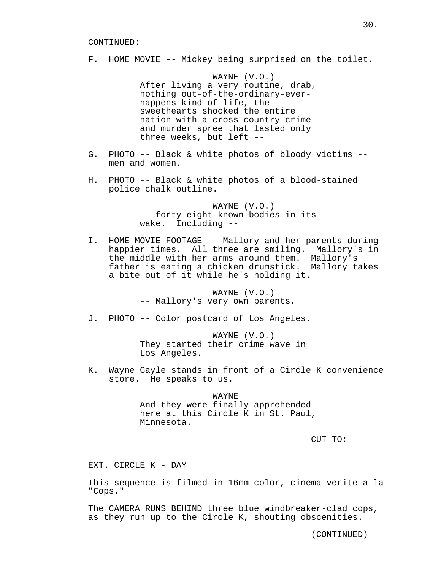F. HOME MOVIE -- Mickey being surprised on the toilet.

WAYNE (V.O.) After living a very routine, drab, nothing out-of-the-ordinary-everhappens kind of life, the sweethearts shocked the entire nation with a cross-country crime and murder spree that lasted only three weeks, but left --

- G. PHOTO -- Black & white photos of bloody victims men and women.
- H. PHOTO -- Black & white photos of a blood-stained police chalk outline.

WAYNE (V.O.) -- forty-eight known bodies in its wake. Including --

I. HOME MOVIE FOOTAGE -- Mallory and her parents during happier times. All three are smiling. Mallory's in the middle with her arms around them. Mallory's father is eating a chicken drumstick. Mallory takes a bite out of it while he's holding it.

> WAYNE (V.O.) -- Mallory's very own parents.

J. PHOTO -- Color postcard of Los Angeles.

WAYNE (V.O.) They started their crime wave in Los Angeles.

K. Wayne Gayle stands in front of a Circle K convenience store. He speaks to us.

> WAYNE And they were finally apprehended here at this Circle K in St. Paul, Minnesota.

> > CUT TO:

EXT. CIRCLE K - DAY

This sequence is filmed in 16mm color, cinema verite a la "Cops."

The CAMERA RUNS BEHIND three blue windbreaker-clad cops, as they run up to the Circle K, shouting obscenities.

30.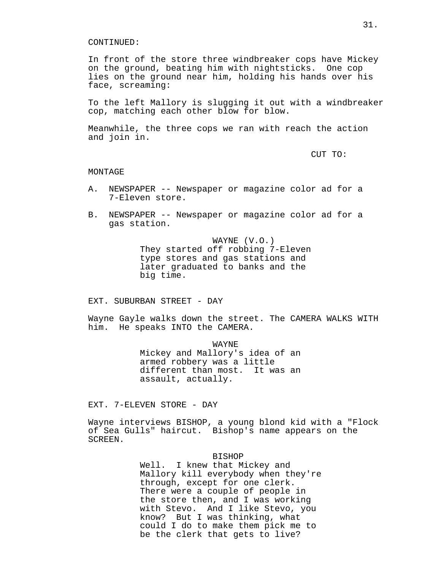In front of the store three windbreaker cops have Mickey on the ground, beating him with nightsticks. One cop lies on the ground near him, holding his hands over his face, screaming:

To the left Mallory is slugging it out with a windbreaker cop, matching each other blow for blow.

Meanwhile, the three cops we ran with reach the action and join in.

CUT TO:

# **MONTAGE**

- A. NEWSPAPER -- Newspaper or magazine color ad for a 7-Eleven store.
- B. NEWSPAPER -- Newspaper or magazine color ad for a gas station.

WAYNE (V.O.) They started off robbing 7-Eleven type stores and gas stations and later graduated to banks and the big time.

EXT. SUBURBAN STREET - DAY

Wayne Gayle walks down the street. The CAMERA WALKS WITH him. He speaks INTO the CAMERA.

> WAYNE Mickey and Mallory's idea of an armed robbery was a little different than most. It was an assault, actually.

EXT. 7-ELEVEN STORE - DAY

Wayne interviews BISHOP, a young blond kid with a "Flock of Sea Gulls" haircut. Bishop's name appears on the SCREEN.

BISHOP

Well. I knew that Mickey and Mallory kill everybody when they're through, except for one clerk. There were a couple of people in the store then, and I was working with Stevo. And I like Stevo, you know? But I was thinking, what could I do to make them pick me to be the clerk that gets to live?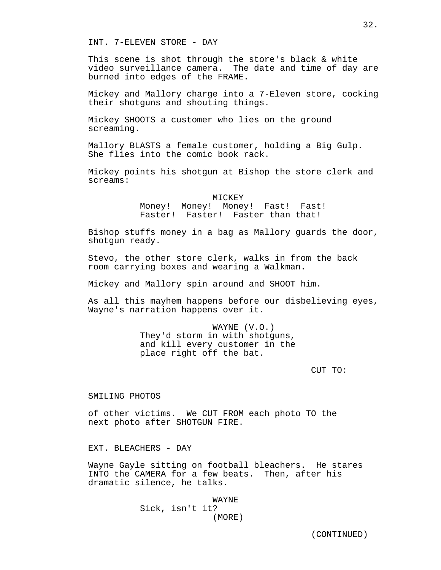INT. 7-ELEVEN STORE - DAY

This scene is shot through the store's black & white video surveillance camera. The date and time of day are burned into edges of the FRAME.

Mickey and Mallory charge into a 7-Eleven store, cocking their shotguns and shouting things.

Mickey SHOOTS a customer who lies on the ground screaming.

Mallory BLASTS a female customer, holding a Big Gulp. She flies into the comic book rack.

Mickey points his shotgun at Bishop the store clerk and screams:

> MICKEY Money! Money! Money! Fast! Fast! Faster! Faster! Faster than that!

Bishop stuffs money in a bag as Mallory guards the door, shotgun ready.

Stevo, the other store clerk, walks in from the back room carrying boxes and wearing a Walkman.

Mickey and Mallory spin around and SHOOT him.

As all this mayhem happens before our disbelieving eyes, Wayne's narration happens over it.

> WAYNE (V.O.) They'd storm in with shotguns, and kill every customer in the place right off the bat.

> > CUT TO:

SMILING PHOTOS

of other victims. We CUT FROM each photo TO the next photo after SHOTGUN FIRE.

EXT. BLEACHERS - DAY

Wayne Gayle sitting on football bleachers. He stares INTO the CAMERA for a few beats. Then, after his dramatic silence, he talks.

> WAYNE Sick, isn't it? (MORE)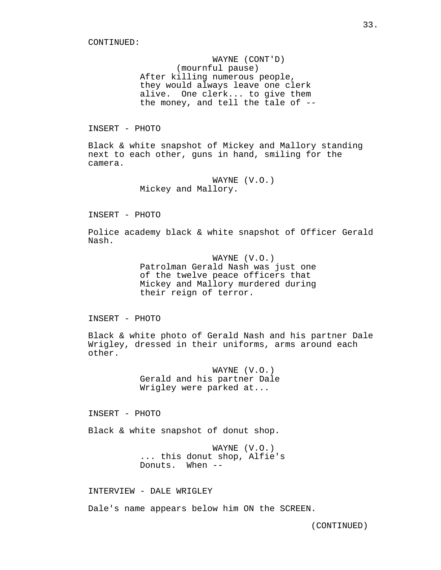WAYNE (CONT'D) (mournful pause) After killing numerous people, they would always leave one clerk alive. One clerk... to give them the money, and tell the tale of --

INSERT - PHOTO

Black & white snapshot of Mickey and Mallory standing next to each other, guns in hand, smiling for the camera.

> WAYNE (V.O.) Mickey and Mallory.

INSERT - PHOTO

Police academy black & white snapshot of Officer Gerald Nash.

> WAYNE (V.O.) Patrolman Gerald Nash was just one of the twelve peace officers that Mickey and Mallory murdered during their reign of terror.

INSERT - PHOTO

Black & white photo of Gerald Nash and his partner Dale Wrigley, dressed in their uniforms, arms around each other.

> WAYNE (V.O.) Gerald and his partner Dale Wrigley were parked at...

INSERT - PHOTO

Black & white snapshot of donut shop.

WAYNE (V.O.) ... this donut shop, Alfie's Donuts. When --

INTERVIEW - DALE WRIGLEY

Dale's name appears below him ON the SCREEN.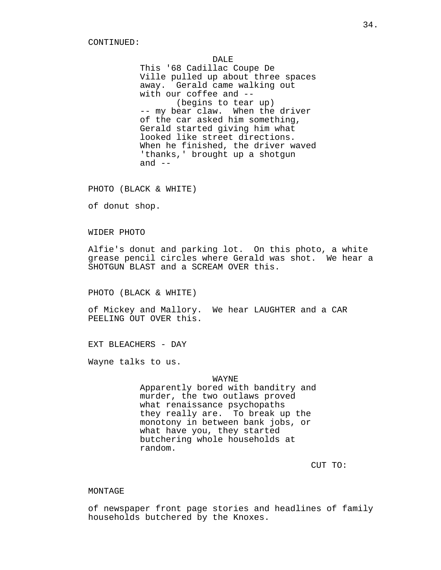# DALE

This '68 Cadillac Coupe De Ville pulled up about three spaces away. Gerald came walking out with our coffee and -- (begins to tear up) -- my bear claw. When the driver of the car asked him something, Gerald started giving him what looked like street directions. When he finished, the driver waved 'thanks,' brought up a shotgun and  $--$ 

PHOTO (BLACK & WHITE)

of donut shop.

WIDER PHOTO

Alfie's donut and parking lot. On this photo, a white grease pencil circles where Gerald was shot. We hear a SHOTGUN BLAST and a SCREAM OVER this.

PHOTO (BLACK & WHITE)

of Mickey and Mallory. We hear LAUGHTER and a CAR PEELING OUT OVER this.

EXT BLEACHERS - DAY

Wayne talks to us.

#### WAYNE

Apparently bored with banditry and murder, the two outlaws proved what renaissance psychopaths they really are. To break up the monotony in between bank jobs, or what have you, they started butchering whole households at random.

CUT TO:

# MONTAGE

of newspaper front page stories and headlines of family households butchered by the Knoxes.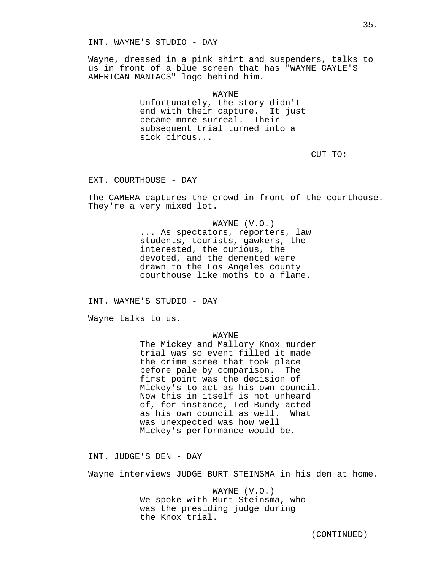INT. WAYNE'S STUDIO - DAY

Wayne, dressed in a pink shirt and suspenders, talks to us in front of a blue screen that has "WAYNE GAYLE'S AMERICAN MANIACS" logo behind him.

WAYNE

Unfortunately, the story didn't end with their capture. It just became more surreal. Their subsequent trial turned into a sick circus...

CUT TO:

EXT. COURTHOUSE - DAY

The CAMERA captures the crowd in front of the courthouse. They're a very mixed lot.

> WAYNE (V.O.) ... As spectators, reporters, law students, tourists, gawkers, the interested, the curious, the devoted, and the demented were drawn to the Los Angeles county courthouse like moths to a flame.

INT. WAYNE'S STUDIO - DAY

Wayne talks to us.

# WAYNE

The Mickey and Mallory Knox murder trial was so event filled it made the crime spree that took place before pale by comparison. The first point was the decision of Mickey's to act as his own council. Now this in itself is not unheard of, for instance, Ted Bundy acted as his own council as well. What was unexpected was how well Mickey's performance would be.

INT. JUDGE'S DEN - DAY

Wayne interviews JUDGE BURT STEINSMA in his den at home.

WAYNE (V.O.) We spoke with Burt Steinsma, who was the presiding judge during the Knox trial.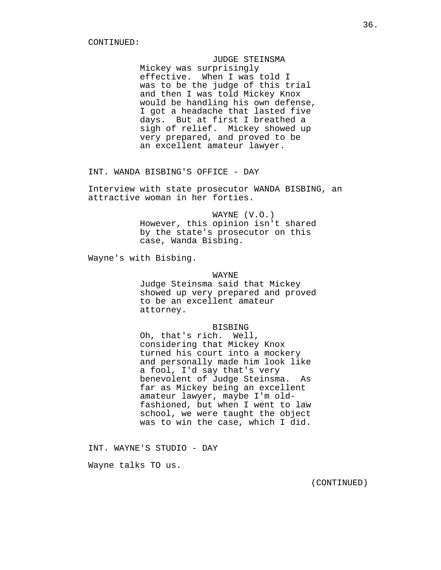## JUDGE STEINSMA

Mickey was surprisingly effective. When I was told I was to be the judge of this trial and then I was told Mickey Knox would be handling his own defense, I got a headache that lasted five days. But at first I breathed a sigh of relief. Mickey showed up very prepared, and proved to be an excellent amateur lawyer.

INT. WANDA BISBING'S OFFICE - DAY

Interview with state prosecutor WANDA BISBING, an attractive woman in her forties.

> WAYNE (V.O.) However, this opinion isn't shared by the state's prosecutor on this case, Wanda Bisbing.

Wayne's with Bisbing.

### WAYNE

Judge Steinsma said that Mickey showed up very prepared and proved to be an excellent amateur attorney.

#### BISBING

Oh, that's rich. Well, considering that Mickey Knox turned his court into a mockery and personally made him look like a fool, I'd say that's very benevolent of Judge Steinsma. As far as Mickey being an excellent amateur lawyer, maybe I'm oldfashioned, but when I went to law school, we were taught the object was to win the case, which I did.

INT. WAYNE'S STUDIO - DAY

Wayne talks TO us.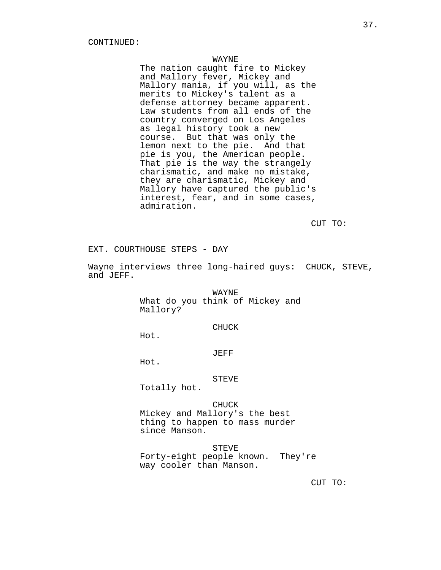#### WAYNE

The nation caught fire to Mickey and Mallory fever, Mickey and Mallory mania, if you will, as the merits to Mickey's talent as a defense attorney became apparent. Law students from all ends of the country converged on Los Angeles as legal history took a new course. But that was only the lemon next to the pie. And that pie is you, the American people. That pie is the way the strangely charismatic, and make no mistake, they are charismatic, Mickey and Mallory have captured the public's interest, fear, and in some cases, admiration.

CUT TO:

EXT. COURTHOUSE STEPS - DAY

Wayne interviews three long-haired guys: CHUCK, STEVE, and JEFF.

#### WAYNE

What do you think of Mickey and Mallory?

#### CHUCK

Hot.

JEFF

Hot.

#### STEVE

Totally hot.

## CHUCK

Mickey and Mallory's the best thing to happen to mass murder since Manson.

STEVE Forty-eight people known. They're way cooler than Manson.

CUT TO: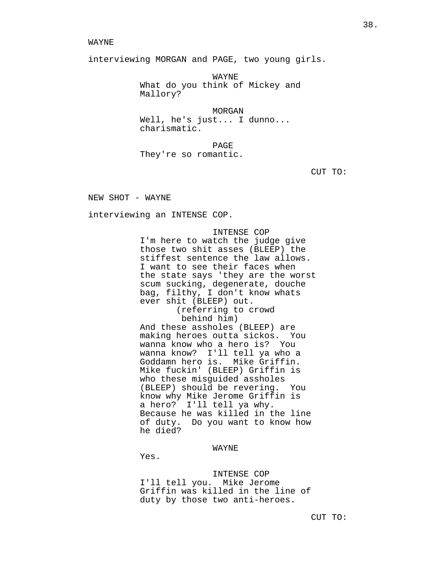### WAYNE

interviewing MORGAN and PAGE, two young girls.

WAYNE What do you think of Mickey and Mallory?

MORGAN Well, he's just... I dunno... charismatic.

PAGE They're so romantic.

CUT TO:

NEW SHOT - WAYNE

interviewing an INTENSE COP.

INTENSE COP I'm here to watch the judge give those two shit asses (BLEEP) the stiffest sentence the law allows. I want to see their faces when the state says 'they are the worst scum sucking, degenerate, douche bag, filthy, I don't know whats ever shit (BLEEP) out. (referring to crowd

behind him)

And these assholes (BLEEP) are making heroes outta sickos. You wanna know who a hero is? You wanna know? I'll tell ya who a Goddamn hero is. Mike Griffin. Mike fuckin' (BLEEP) Griffin is who these misguided assholes (BLEEP) should be revering. You know why Mike Jerome Griffin is a hero? I'll tell ya why. Because he was killed in the line of duty. Do you want to know how he died?

## WAYNE

Yes.

INTENSE COP I'll tell you. Mike Jerome Griffin was killed in the line of duty by those two anti-heroes.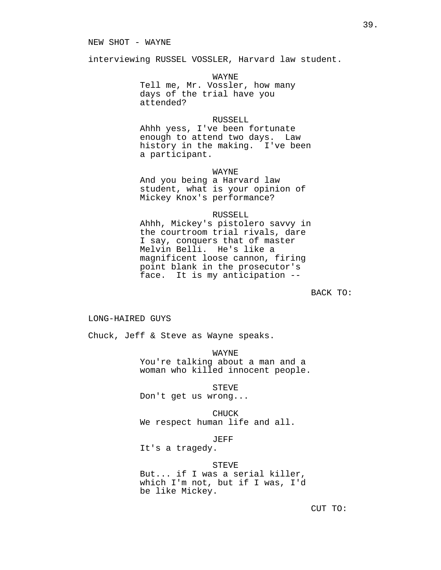## NEW SHOT - WAYNE

interviewing RUSSEL VOSSLER, Harvard law student.

WAYNE Tell me, Mr. Vossler, how many days of the trial have you attended?

### RUSSELL

Ahhh yess, I've been fortunate enough to attend two days. Law history in the making. I've been a participant.

## WAYNE

And you being a Harvard law student, what is your opinion of Mickey Knox's performance?

### RUSSELL

Ahhh, Mickey's pistolero savvy in the courtroom trial rivals, dare I say, conquers that of master Melvin Belli. He's like a magnificent loose cannon, firing point blank in the prosecutor's face. It is my anticipation --

BACK TO:

### LONG-HAIRED GUYS

Chuck, Jeff & Steve as Wayne speaks.

WAYNE

You're talking about a man and a woman who killed innocent people.

STEVE

Don't get us wrong...

#### CHUCK

We respect human life and all.

### JEFF

It's a tragedy.

#### STEVE

But... if I was a serial killer, which I'm not, but if I was, I'd be like Mickey.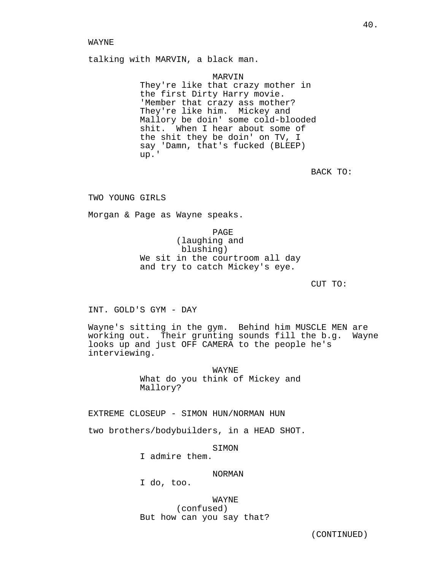talking with MARVIN, a black man.

MARVIN

They're like that crazy mother in the first Dirty Harry movie. 'Member that crazy ass mother? They're like him. Mickey and Mallory be doin' some cold-blooded shit. When I hear about some of the shit they be doin' on TV, I say 'Damn, that's fucked (BLEEP) up.'

BACK TO:

TWO YOUNG GIRLS

Morgan & Page as Wayne speaks.

PAGE (laughing and blushing) We sit in the courtroom all day and try to catch Mickey's eye.

CUT TO:

INT. GOLD'S GYM - DAY

Wayne's sitting in the gym. Behind him MUSCLE MEN are working out. Their grunting sounds fill the b.g. Wayne looks up and just OFF CAMERA to the people he's interviewing.

> WAYNE What do you think of Mickey and Mallory?

EXTREME CLOSEUP - SIMON HUN/NORMAN HUN

two brothers/bodybuilders, in a HEAD SHOT.

SIMON

I admire them.

NORMAN

I do, too.

WAYNE (confused) But how can you say that?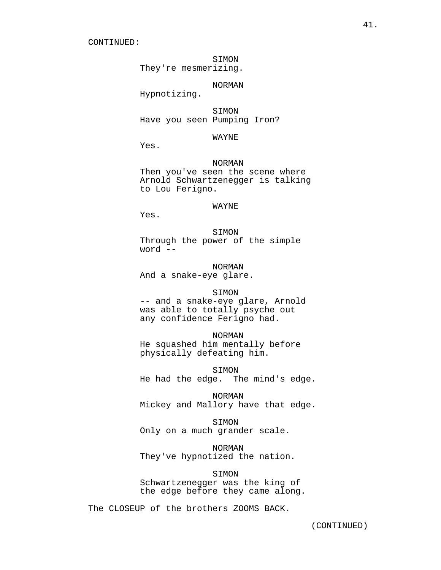SIMON They're mesmerizing.

### NORMAN

Hypnotizing.

SIMON Have you seen Pumping Iron?

### WAYNE

Yes.

NORMAN

Then you've seen the scene where Arnold Schwartzenegger is talking to Lou Ferigno.

### WAYNE

Yes.

SIMON Through the power of the simple word --

NORMAN And a snake-eye glare.

### SIMON

-- and a snake-eye glare, Arnold was able to totally psyche out any confidence Ferigno had.

### NORMAN

He squashed him mentally before physically defeating him.

SIMON He had the edge. The mind's edge.

NORMAN Mickey and Mallory have that edge.

SIMON Only on a much grander scale.

NORMAN They've hypnotized the nation.

### SIMON

Schwartzenegger was the king of the edge before they came along.

The CLOSEUP of the brothers ZOOMS BACK.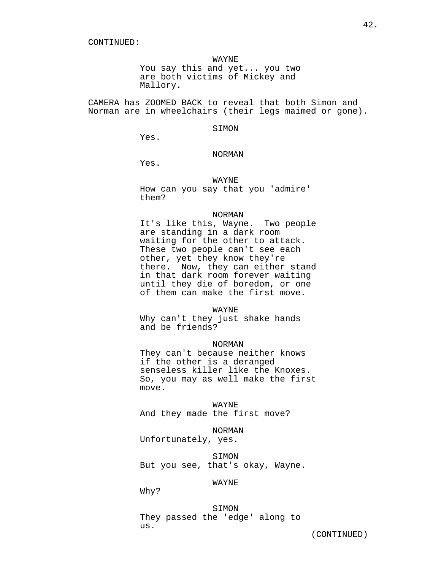#### WAYNE

You say this and yet... you two are both victims of Mickey and Mallory.

CAMERA has ZOOMED BACK to reveal that both Simon and Norman are in wheelchairs (their legs maimed or gone).

### SIMON

Yes.

# NORMAN

Yes.

### WAYNE

How can you say that you 'admire' them?

### NORMAN

It's like this, Wayne. Two people are standing in a dark room waiting for the other to attack. These two people can't see each other, yet they know they're there. Now, they can either stand in that dark room forever waiting until they die of boredom, or one of them can make the first move.

WAYNE

Why can't they just shake hands and be friends?

#### NORMAN

They can't because neither knows if the other is a deranged senseless killer like the Knoxes. So, you may as well make the first move.

WAYNE And they made the first move?

## NORMAN

Unfortunately, yes.

SIMON

But you see, that's okay, Wayne.

## WAYNE

Why?

SIMON They passed the 'edge' along to us.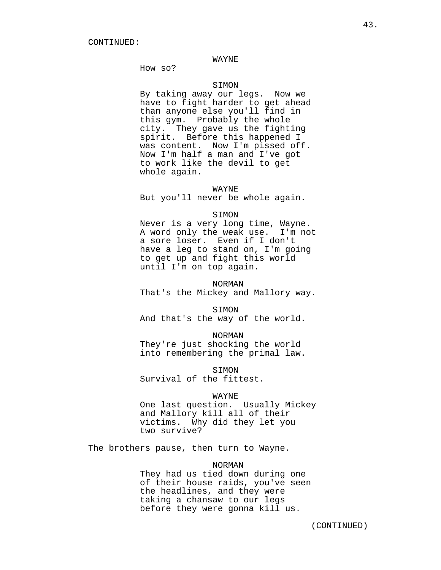## WAYNE

How so?

### SIMON

By taking away our legs. Now we have to fight harder to get ahead than anyone else you'll find in this gym. Probably the whole city. They gave us the fighting spirit. Before this happened I was content. Now I'm pissed off. Now I'm half a man and I've got to work like the devil to get whole again.

#### WAYNE

But you'll never be whole again.

## SIMON

Never is a very long time, Wayne. A word only the weak use. I'm not a sore loser. Even if I don't have a leg to stand on, I'm going to get up and fight this world until I'm on top again.

## NORMAN

That's the Mickey and Mallory way.

SIMON

And that's the way of the world.

NORMAN They're just shocking the world into remembering the primal law.

SIMON Survival of the fittest.

#### WAYNE

One last question. Usually Mickey and Mallory kill all of their victims. Why did they let you two survive?

The brothers pause, then turn to Wayne.

#### NORMAN

They had us tied down during one of their house raids, you've seen the headlines, and they were taking a chansaw to our legs before they were gonna kill us.

43.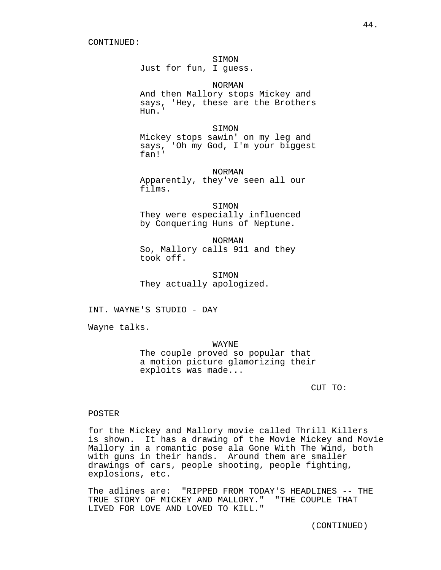## SIMON

Just for fun, I guess.

NORMAN

And then Mallory stops Mickey and says, 'Hey, these are the Brothers Hun.'

SIMON

Mickey stops sawin' on my leg and says, 'Oh my God, I'm your biggest fan!'

NORMAN Apparently, they've seen all our films.

SIMON They were especially influenced by Conquering Huns of Neptune.

NORMAN So, Mallory calls 911 and they took off.

SIMON They actually apologized.

INT. WAYNE'S STUDIO - DAY

Wayne talks.

WAYNE The couple proved so popular that a motion picture glamorizing their exploits was made...

CUT TO:

# POSTER

for the Mickey and Mallory movie called Thrill Killers is shown. It has a drawing of the Movie Mickey and Movie Mallory in a romantic pose ala Gone With The Wind, both with guns in their hands. Around them are smaller drawings of cars, people shooting, people fighting, explosions, etc.

The adlines are: "RIPPED FROM TODAY'S HEADLINES -- THE TRUE STORY OF MICKEY AND MALLORY." "THE COUPLE THAT LIVED FOR LOVE AND LOVED TO KILL."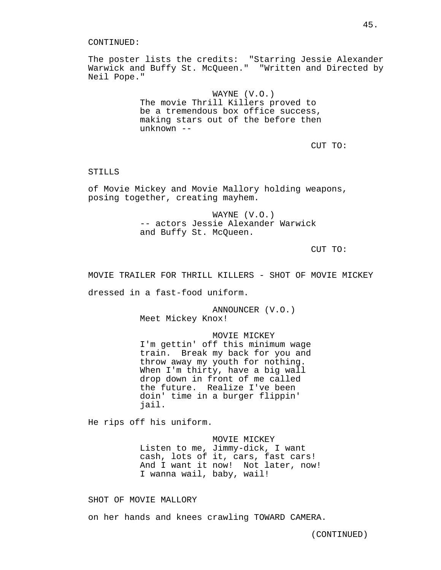#### CONTINUED:

The poster lists the credits: "Starring Jessie Alexander Warwick and Buffy St. McQueen." "Written and Directed by Neil Pope."

> WAYNE (V.O.) The movie Thrill Killers proved to be a tremendous box office success, making stars out of the before then unknown --

> > CUT TO:

STILLS

of Movie Mickey and Movie Mallory holding weapons, posing together, creating mayhem.

> WAYNE (V.O.) -- actors Jessie Alexander Warwick and Buffy St. McQueen.

> > CUT TO:

MOVIE TRAILER FOR THRILL KILLERS - SHOT OF MOVIE MICKEY

dressed in a fast-food uniform.

ANNOUNCER (V.O.) Meet Mickey Knox!

MOVIE MICKEY I'm gettin' off this minimum wage train. Break my back for you and throw away my youth for nothing. When I'm thirty, have a big wall drop down in front of me called the future. Realize I've been doin' time in a burger flippin' jail.

He rips off his uniform.

MOVIE MICKEY Listen to me, Jimmy-dick, I want cash, lots of it, cars, fast cars! And I want it now! Not later, now! I wanna wail, baby, wail!

SHOT OF MOVIE MALLORY

on her hands and knees crawling TOWARD CAMERA.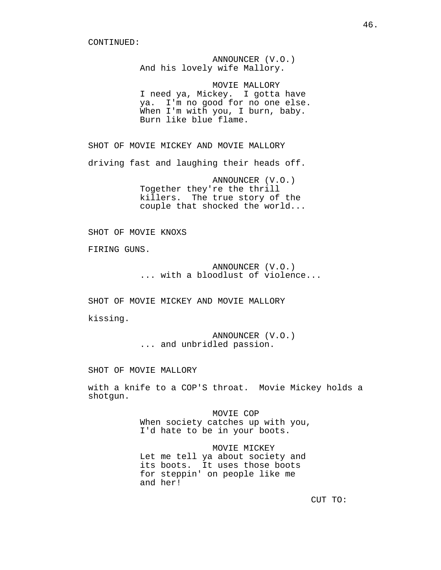CONTINUED:

ANNOUNCER (V.O.) And his lovely wife Mallory.

MOVIE MALLORY I need ya, Mickey. I gotta have ya. I'm no good for no one else. When I'm with you, I burn, baby. Burn like blue flame.

SHOT OF MOVIE MICKEY AND MOVIE MALLORY

driving fast and laughing their heads off.

ANNOUNCER (V.O.) Together they're the thrill killers. The true story of the couple that shocked the world...

SHOT OF MOVIE KNOXS

FIRING GUNS.

ANNOUNCER (V.O.) ... with a bloodlust of violence...

SHOT OF MOVIE MICKEY AND MOVIE MALLORY

kissing.

ANNOUNCER (V.O.) ... and unbridled passion.

SHOT OF MOVIE MALLORY

with a knife to a COP'S throat. Movie Mickey holds a shotgun.

> MOVIE COP When society catches up with you, I'd hate to be in your boots.

MOVIE MICKEY Let me tell ya about society and its boots. It uses those boots for steppin' on people like me and her!

CUT TO: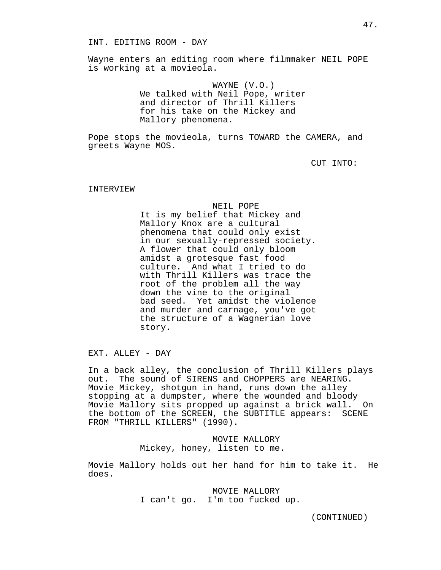### INT. EDITING ROOM - DAY

Wayne enters an editing room where filmmaker NEIL POPE is working at a movieola.

> WAYNE (V.O.) We talked with Neil Pope, writer and director of Thrill Killers for his take on the Mickey and Mallory phenomena.

Pope stops the movieola, turns TOWARD the CAMERA, and greets Wayne MOS.

CUT INTO:

INTERVIEW

NEIL POPE It is my belief that Mickey and Mallory Knox are a cultural phenomena that could only exist in our sexually-repressed society. A flower that could only bloom amidst a grotesque fast food culture. And what I tried to do with Thrill Killers was trace the root of the problem all the way down the vine to the original bad seed. Yet amidst the violence and murder and carnage, you've got the structure of a Wagnerian love story.

EXT. ALLEY - DAY

In a back alley, the conclusion of Thrill Killers plays out. The sound of SIRENS and CHOPPERS are NEARING. Movie Mickey, shotgun in hand, runs down the alley stopping at a dumpster, where the wounded and bloody Movie Mallory sits propped up against a brick wall. On the bottom of the SCREEN, the SUBTITLE appears: SCENE FROM "THRILL KILLERS" (1990).

> MOVIE MALLORY Mickey, honey, listen to me.

Movie Mallory holds out her hand for him to take it. He does.

> MOVIE MALLORY I can't go. I'm too fucked up.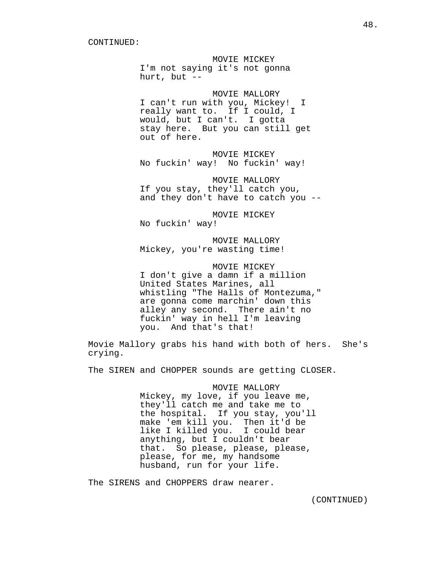MOVIE MICKEY I'm not saying it's not gonna hurt, but --

MOVIE MALLORY I can't run with you, Mickey! I really want to. If I could, I would, but I can't. I gotta stay here. But you can still get out of here.

MOVIE MICKEY No fuckin' way! No fuckin' way!

MOVIE MALLORY If you stay, they'll catch you, and they don't have to catch you --

MOVIE MICKEY No fuckin' way!

MOVIE MALLORY Mickey, you're wasting time!

MOVIE MICKEY I don't give a damn if a million United States Marines, all whistling "The Halls of Montezuma," are gonna come marchin' down this alley any second. There ain't no fuckin' way in hell I'm leaving you. And that's that!

Movie Mallory grabs his hand with both of hers. She's crying.

The SIREN and CHOPPER sounds are getting CLOSER.

MOVIE MALLORY Mickey, my love, if you leave me, they'll catch me and take me to the hospital. If you stay, you'll make 'em kill you. Then it'd be like I killed you. I could bear anything, but I couldn't bear that. So please, please, please, please, for me, my handsome husband, run for your life.

The SIRENS and CHOPPERS draw nearer.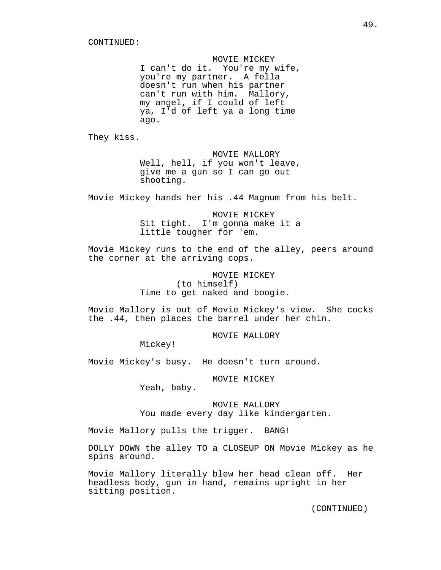MOVIE MICKEY I can't do it. You're my wife, you're my partner. A fella doesn't run when his partner can't run with him. Mallory, my angel, if I could of left ya, I'd of left ya a long time ago.

They kiss.

MOVIE MALLORY Well, hell, if you won't leave, give me a gun so I can go out shooting.

Movie Mickey hands her his .44 Magnum from his belt.

MOVIE MICKEY Sit tight. I'm gonna make it a little tougher for 'em.

Movie Mickey runs to the end of the alley, peers around the corner at the arriving cops.

> MOVIE MICKEY (to himself) Time to get naked and boogie.

Movie Mallory is out of Movie Mickey's view. She cocks the .44, then places the barrel under her chin.

MOVIE MALLORY

Mickey!

Movie Mickey's busy. He doesn't turn around.

MOVIE MICKEY

Yeah, baby.

MOVIE MALLORY You made every day like kindergarten.

Movie Mallory pulls the trigger. BANG!

DOLLY DOWN the alley TO a CLOSEUP ON Movie Mickey as he spins around.

Movie Mallory literally blew her head clean off. Her headless body, gun in hand, remains upright in her sitting position.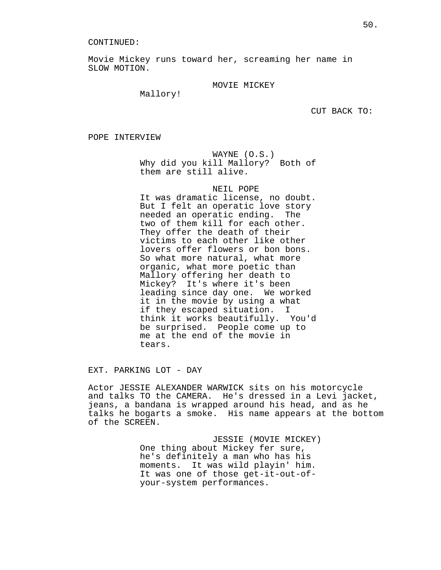Movie Mickey runs toward her, screaming her name in SLOW MOTION.

MOVIE MICKEY

Mallory!

CUT BACK TO:

POPE INTERVIEW

WAYNE (O.S.) Why did you kill Mallory? Both of them are still alive.

NEIL POPE It was dramatic license, no doubt. But I felt an operatic love story needed an operatic ending. The two of them kill for each other. They offer the death of their victims to each other like other lovers offer flowers or bon bons. So what more natural, what more organic, what more poetic than Mallory offering her death to Mickey? It's where it's been leading since day one. We worked it in the movie by using a what if they escaped situation. I think it works beautifully. You'd be surprised. People come up to me at the end of the movie in tears.

EXT. PARKING LOT - DAY

Actor JESSIE ALEXANDER WARWICK sits on his motorcycle and talks TO the CAMERA. He's dressed in a Levi jacket, jeans, a bandana is wrapped around his head, and as he talks he bogarts a smoke. His name appears at the bottom of the SCREEN.

> JESSIE (MOVIE MICKEY) One thing about Mickey fer sure, he's definitely a man who has his moments. It was wild playin' him. It was one of those get-it-out-ofyour-system performances.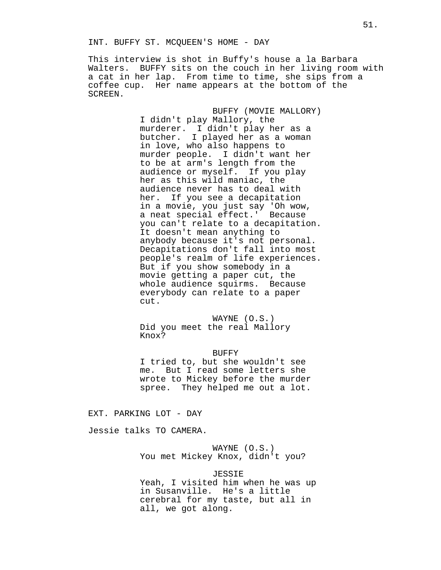This interview is shot in Buffy's house a la Barbara Walters. BUFFY sits on the couch in her living room with a cat in her lap. From time to time, she sips from a coffee cup. Her name appears at the bottom of the SCREEN.

> BUFFY (MOVIE MALLORY) I didn't play Mallory, the murderer. I didn't play her as a butcher. I played her as a woman in love, who also happens to murder people. I didn't want her to be at arm's length from the audience or myself. If you play her as this wild maniac, the audience never has to deal with her. If you see a decapitation in a movie, you just say 'Oh wow, a neat special effect.' Because you can't relate to a decapitation. It doesn't mean anything to anybody because it's not personal. Decapitations don't fall into most people's realm of life experiences. But if you show somebody in a movie getting a paper cut, the whole audience squirms. Because everybody can relate to a paper cut.

WAYNE (O.S.) Did you meet the real Mallory Knox?

### BUFFY

I tried to, but she wouldn't see me. But I read some letters she wrote to Mickey before the murder spree. They helped me out a lot.

EXT. PARKING LOT - DAY

Jessie talks TO CAMERA.

WAYNE (O.S.) You met Mickey Knox, didn't you?

### JESSIE

Yeah, I visited him when he was up in Susanville. He's a little cerebral for my taste, but all in all, we got along.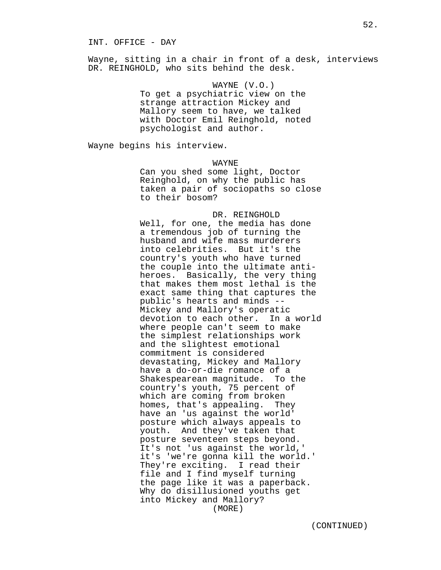Wayne, sitting in a chair in front of a desk, interviews DR. REINGHOLD, who sits behind the desk.

> WAYNE (V.O.) To get a psychiatric view on the strange attraction Mickey and Mallory seem to have, we talked with Doctor Emil Reinghold, noted psychologist and author.

Wayne begins his interview.

WAYNE

Can you shed some light, Doctor Reinghold, on why the public has taken a pair of sociopaths so close to their bosom?

DR. REINGHOLD Well, for one, the media has done a tremendous job of turning the husband and wife mass murderers into celebrities. But it's the country's youth who have turned the couple into the ultimate antiheroes. Basically, the very thing that makes them most lethal is the exact same thing that captures the public's hearts and minds -- Mickey and Mallory's operatic devotion to each other. In a world where people can't seem to make the simplest relationships work and the slightest emotional commitment is considered devastating, Mickey and Mallory have a do-or-die romance of a Shakespearean magnitude. To the country's youth, 75 percent of which are coming from broken homes, that's appealing. They have an 'us against the world' posture which always appeals to youth. And they've taken that posture seventeen steps beyond. It's not 'us against the world,' it's 'we're gonna kill the world.' They're exciting. I read their file and I find myself turning the page like it was a paperback. Why do disillusioned youths get into Mickey and Mallory? (MORE)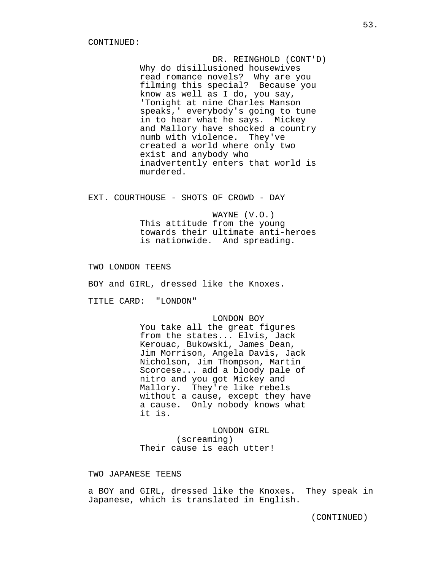DR. REINGHOLD (CONT'D) Why do disillusioned housewives read romance novels? Why are you filming this special? Because you know as well as I do, you say, 'Tonight at nine Charles Manson speaks,' everybody's going to tune in to hear what he says. Mickey and Mallory have shocked a country numb with violence. They've created a world where only two exist and anybody who inadvertently enters that world is murdered.

EXT. COURTHOUSE - SHOTS OF CROWD - DAY

WAYNE (V.O.) This attitude from the young towards their ultimate anti-heroes is nationwide. And spreading.

TWO LONDON TEENS

BOY and GIRL, dressed like the Knoxes.

TITLE CARD: "LONDON"

LONDON BOY

You take all the great figures from the states... Elvis, Jack Kerouac, Bukowski, James Dean, Jim Morrison, Angela Davis, Jack Nicholson, Jim Thompson, Martin Scorcese... add a bloody pale of nitro and you got Mickey and Mallory. They're like rebels without a cause, except they have a cause. Only nobody knows what it is.

LONDON GIRL (screaming) Their cause is each utter!

TWO JAPANESE TEENS

a BOY and GIRL, dressed like the Knoxes. They speak in Japanese, which is translated in English.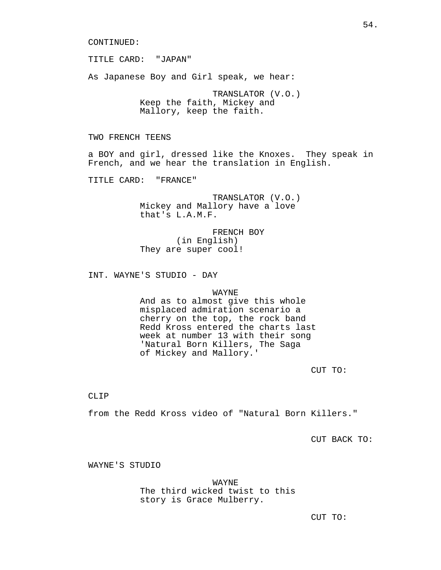#### CONTINUED:

TITLE CARD: "JAPAN"

As Japanese Boy and Girl speak, we hear:

TRANSLATOR (V.O.) Keep the faith, Mickey and Mallory, keep the faith.

TWO FRENCH TEENS

a BOY and girl, dressed like the Knoxes. They speak in French, and we hear the translation in English.

TITLE CARD: "FRANCE"

TRANSLATOR (V.O.) Mickey and Mallory have a love that's L.A.M.F.

FRENCH BOY (in English) They are super cool!

INT. WAYNE'S STUDIO - DAY

WAYNE

And as to almost give this whole misplaced admiration scenario a cherry on the top, the rock band Redd Kross entered the charts last week at number 13 with their song 'Natural Born Killers, The Saga of Mickey and Mallory.'

CUT TO:

CLIP

from the Redd Kross video of "Natural Born Killers."

CUT BACK TO:

WAYNE'S STUDIO

WAYNE The third wicked twist to this story is Grace Mulberry.

54.

CUT TO: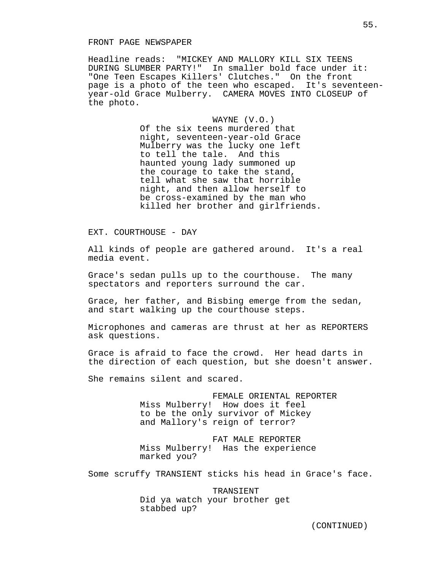# FRONT PAGE NEWSPAPER

Headline reads: "MICKEY AND MALLORY KILL SIX TEENS DURING SLUMBER PARTY!" In smaller bold face under it: "One Teen Escapes Killers' Clutches." On the front page is a photo of the teen who escaped. It's seventeenyear-old Grace Mulberry. CAMERA MOVES INTO CLOSEUP of the photo.

> WAYNE (V.O.) Of the six teens murdered that night, seventeen-year-old Grace Mulberry was the lucky one left to tell the tale. And this haunted young lady summoned up the courage to take the stand, tell what she saw that horrible night, and then allow herself to be cross-examined by the man who killed her brother and girlfriends.

EXT. COURTHOUSE - DAY

All kinds of people are gathered around. It's a real media event.

Grace's sedan pulls up to the courthouse. The many spectators and reporters surround the car.

Grace, her father, and Bisbing emerge from the sedan, and start walking up the courthouse steps.

Microphones and cameras are thrust at her as REPORTERS ask questions.

Grace is afraid to face the crowd. Her head darts in the direction of each question, but she doesn't answer.

She remains silent and scared.

FEMALE ORIENTAL REPORTER Miss Mulberry! How does it feel to be the only survivor of Mickey and Mallory's reign of terror?

FAT MALE REPORTER Miss Mulberry! Has the experience marked you?

Some scruffy TRANSIENT sticks his head in Grace's face.

TRANSIENT Did ya watch your brother get stabbed up?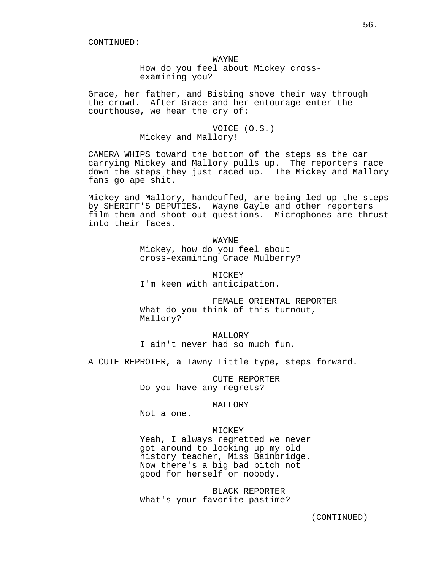CONTINUED:

#### WAYNE

How do you feel about Mickey crossexamining you?

Grace, her father, and Bisbing shove their way through the crowd. After Grace and her entourage enter the courthouse, we hear the cry of:

> VOICE (O.S.) Mickey and Mallory!

CAMERA WHIPS toward the bottom of the steps as the car carrying Mickey and Mallory pulls up. The reporters race down the steps they just raced up. The Mickey and Mallory fans go ape shit.

Mickey and Mallory, handcuffed, are being led up the steps by SHERIFF'S DEPUTIES. Wayne Gayle and other reporters film them and shoot out questions. Microphones are thrust into their faces.

> WAYNE Mickey, how do you feel about cross-examining Grace Mulberry?

**MICKEY** I'm keen with anticipation.

FEMALE ORIENTAL REPORTER What do you think of this turnout, Mallory?

MALLORY I ain't never had so much fun.

A CUTE REPROTER, a Tawny Little type, steps forward.

CUTE REPORTER Do you have any regrets?

MALLORY

Not a one.

## MICKEY

Yeah, I always regretted we never got around to looking up my old history teacher, Miss Bainbridge. Now there's a big bad bitch not good for herself or nobody.

BLACK REPORTER What's your favorite pastime?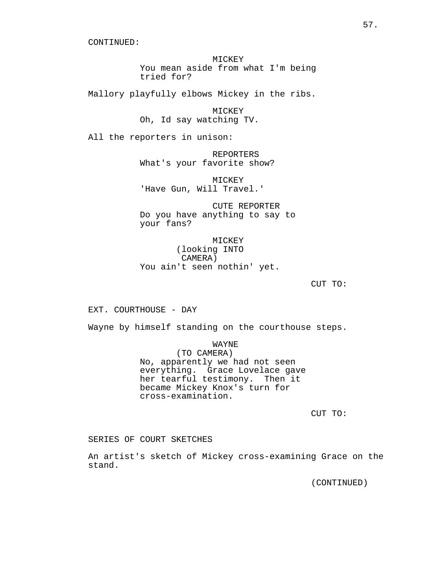CONTINUED:

#### MICKEY

You mean aside from what I'm being tried for?

Mallory playfully elbows Mickey in the ribs.

MICKEY Oh, Id say watching TV.

All the reporters in unison:

REPORTERS What's your favorite show?

MICKEY 'Have Gun, Will Travel.'

CUTE REPORTER Do you have anything to say to your fans?

MICKEY (looking INTO CAMERA) You ain't seen nothin' yet.

CUT TO:

EXT. COURTHOUSE - DAY

Wayne by himself standing on the courthouse steps.

## WAYNE

(TO CAMERA) No, apparently we had not seen everything. Grace Lovelace gave her tearful testimony. Then it became Mickey Knox's turn for cross-examination.

CUT TO:

SERIES OF COURT SKETCHES

An artist's sketch of Mickey cross-examining Grace on the stand.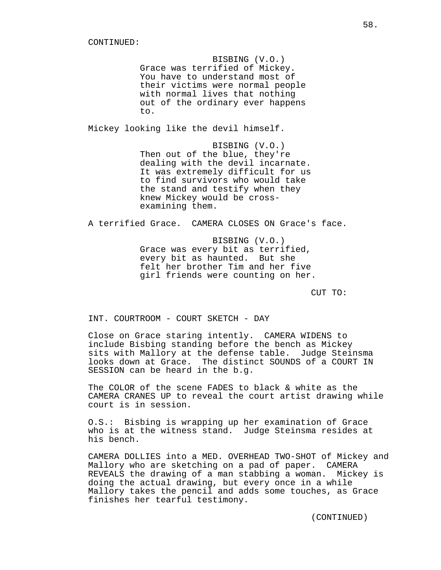BISBING (V.O.) Grace was terrified of Mickey. You have to understand most of their victims were normal people with normal lives that nothing out of the ordinary ever happens to.

Mickey looking like the devil himself.

BISBING (V.O.) Then out of the blue, they're dealing with the devil incarnate. It was extremely difficult for us to find survivors who would take the stand and testify when they knew Mickey would be crossexamining them.

A terrified Grace. CAMERA CLOSES ON Grace's face.

BISBING (V.O.) Grace was every bit as terrified, every bit as haunted. But she felt her brother Tim and her five girl friends were counting on her.

CUT TO:

INT. COURTROOM - COURT SKETCH - DAY

Close on Grace staring intently. CAMERA WIDENS to include Bisbing standing before the bench as Mickey sits with Mallory at the defense table. Judge Steinsma looks down at Grace. The distinct SOUNDS of a COURT IN SESSION can be heard in the b.g.

The COLOR of the scene FADES to black & white as the CAMERA CRANES UP to reveal the court artist drawing while court is in session.

O.S.: Bisbing is wrapping up her examination of Grace who is at the witness stand. Judge Steinsma resides at his bench.

CAMERA DOLLIES into a MED. OVERHEAD TWO-SHOT of Mickey and Mallory who are sketching on a pad of paper. CAMERA REVEALS the drawing of a man stabbing a woman. Mickey is doing the actual drawing, but every once in a while Mallory takes the pencil and adds some touches, as Grace finishes her tearful testimony.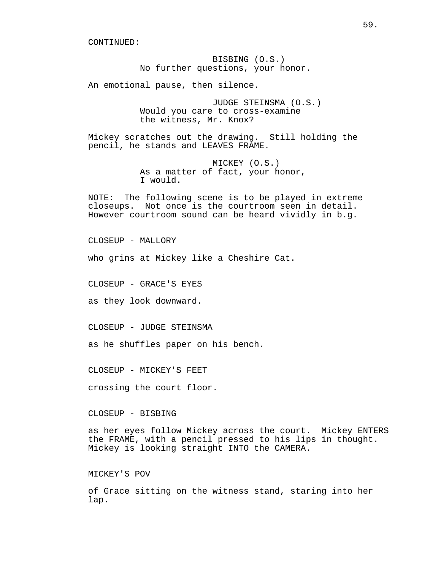CONTINUED:

BISBING (O.S.) No further questions, your honor.

An emotional pause, then silence.

JUDGE STEINSMA (O.S.) Would you care to cross-examine the witness, Mr. Knox?

Mickey scratches out the drawing. Still holding the pencil, he stands and LEAVES FRAME.

> MICKEY (O.S.) As a matter of fact, your honor, I would.

NOTE: The following scene is to be played in extreme closeups. Not once is the courtroom seen in detail. However courtroom sound can be heard vividly in b.g.

CLOSEUP - MALLORY

who grins at Mickey like a Cheshire Cat.

CLOSEUP - GRACE'S EYES

as they look downward.

CLOSEUP - JUDGE STEINSMA

as he shuffles paper on his bench.

CLOSEUP - MICKEY'S FEET

crossing the court floor.

CLOSEUP - BISBING

as her eyes follow Mickey across the court. Mickey ENTERS the FRAME, with a pencil pressed to his lips in thought. Mickey is looking straight INTO the CAMERA.

MICKEY'S POV

of Grace sitting on the witness stand, staring into her lap.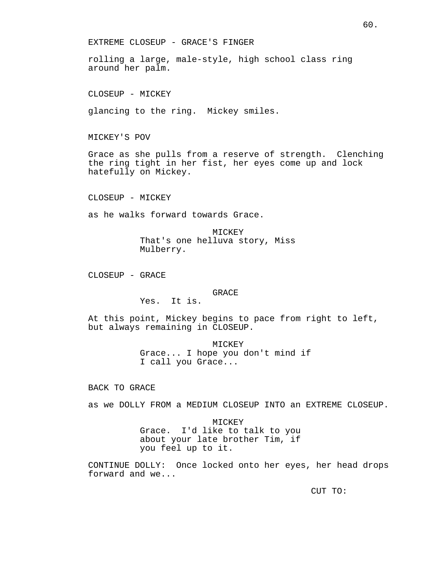EXTREME CLOSEUP - GRACE'S FINGER

rolling a large, male-style, high school class ring around her palm.

CLOSEUP - MICKEY

glancing to the ring. Mickey smiles.

MICKEY'S POV

Grace as she pulls from a reserve of strength. Clenching the ring tight in her fist, her eyes come up and lock hatefully on Mickey.

CLOSEUP - MICKEY

as he walks forward towards Grace.

**MICKEY** That's one helluva story, Miss Mulberry.

CLOSEUP - GRACE

## GRACE

Yes. It is.

At this point, Mickey begins to pace from right to left, but always remaining in CLOSEUP.

MICKEY

Grace... I hope you don't mind if I call you Grace...

BACK TO GRACE

as we DOLLY FROM a MEDIUM CLOSEUP INTO an EXTREME CLOSEUP.

**MICKEY** Grace. I'd like to talk to you about your late brother Tim, if you feel up to it.

CONTINUE DOLLY: Once locked onto her eyes, her head drops forward and we...

CUT TO: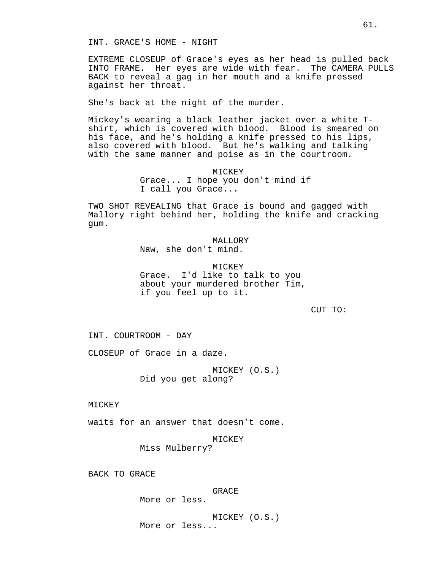INT. GRACE'S HOME - NIGHT

EXTREME CLOSEUP of Grace's eyes as her head is pulled back INTO FRAME. Her eyes are wide with fear. The CAMERA PULLS BACK to reveal a gag in her mouth and a knife pressed against her throat.

She's back at the night of the murder.

Mickey's wearing a black leather jacket over a white Tshirt, which is covered with blood. Blood is smeared on his face, and he's holding a knife pressed to his lips, also covered with blood. But he's walking and talking with the same manner and poise as in the courtroom.

> **MICKEY** Grace... I hope you don't mind if I call you Grace...

TWO SHOT REVEALING that Grace is bound and gagged with Mallory right behind her, holding the knife and cracking gum.

> MALLORY Naw, she don't mind.

MICKEY Grace. I'd like to talk to you about your murdered brother Tim, if you feel up to it.

CUT TO:

INT. COURTROOM - DAY

CLOSEUP of Grace in a daze.

MICKEY (O.S.) Did you get along?

MICKEY

waits for an answer that doesn't come.

MICKEY Miss Mulberry?

BACK TO GRACE

GRACE

More or less.

MICKEY (O.S.) More or less...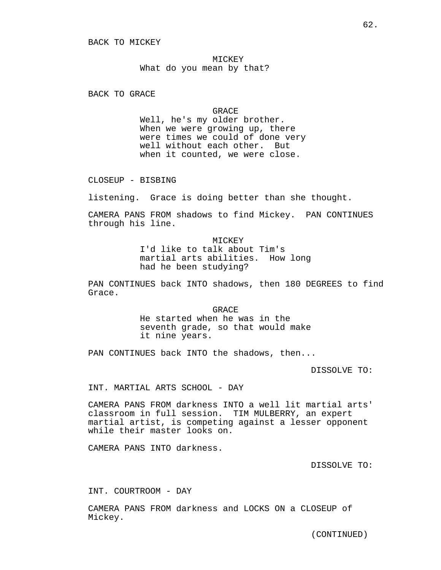What do you mean by that?

BACK TO GRACE

# GRACE

Well, he's my older brother. When we were growing up, there were times we could of done very well without each other. But when it counted, we were close.

CLOSEUP - BISBING

listening. Grace is doing better than she thought.

CAMERA PANS FROM shadows to find Mickey. PAN CONTINUES through his line.

> MICKEY I'd like to talk about Tim's martial arts abilities. How long had he been studying?

PAN CONTINUES back INTO shadows, then 180 DEGREES to find Grace.

> GRACE He started when he was in the seventh grade, so that would make it nine years.

PAN CONTINUES back INTO the shadows, then...

DISSOLVE TO:

INT. MARTIAL ARTS SCHOOL - DAY

CAMERA PANS FROM darkness INTO a well lit martial arts' classroom in full session. TIM MULBERRY, an expert martial artist, is competing against a lesser opponent while their master looks on.

CAMERA PANS INTO darkness.

DISSOLVE TO:

INT. COURTROOM - DAY

CAMERA PANS FROM darkness and LOCKS ON a CLOSEUP of Mickey.

62.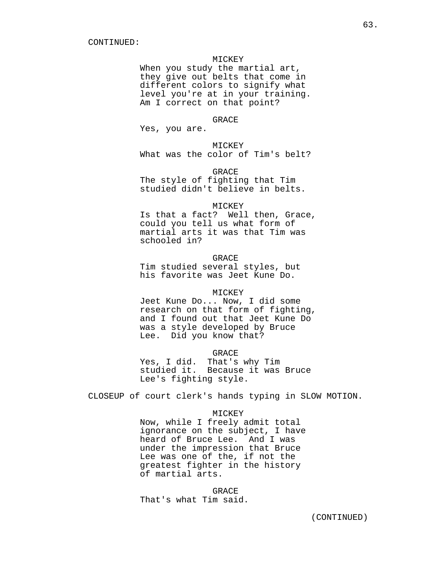When you study the martial art, they give out belts that come in different colors to signify what level you're at in your training. Am I correct on that point?

#### GRACE

Yes, you are.

## MICKEY

What was the color of Tim's belt?

**GRACE** 

The style of fighting that Tim studied didn't believe in belts.

#### MICKEY

Is that a fact? Well then, Grace, could you tell us what form of martial arts it was that Tim was schooled in?

#### GRACE

Tim studied several styles, but his favorite was Jeet Kune Do.

#### MICKEY

Jeet Kune Do... Now, I did some research on that form of fighting, and I found out that Jeet Kune Do was a style developed by Bruce Lee. Did you know that?

### GRACE

Yes, I did. That's why Tim studied it. Because it was Bruce Lee's fighting style.

CLOSEUP of court clerk's hands typing in SLOW MOTION.

#### MICKEY

Now, while I freely admit total ignorance on the subject, I have heard of Bruce Lee. And I was under the impression that Bruce Lee was one of the, if not the greatest fighter in the history of martial arts.

### GRACE

That's what Tim said.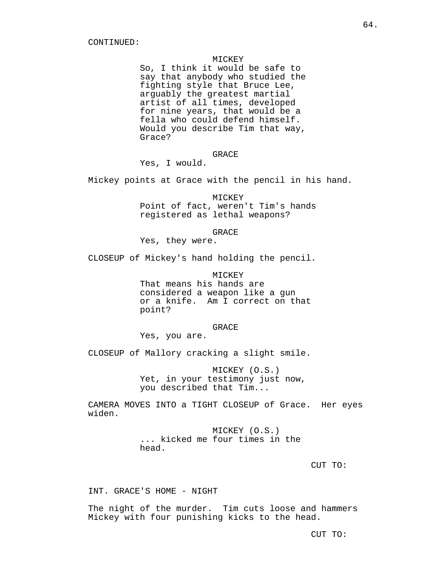So, I think it would be safe to say that anybody who studied the fighting style that Bruce Lee, arguably the greatest martial artist of all times, developed for nine years, that would be a fella who could defend himself. Would you describe Tim that way, Grace?

# GRACE

Yes, I would.

Mickey points at Grace with the pencil in his hand.

MICKEY Point of fact, weren't Tim's hands registered as lethal weapons?

#### GRACE

Yes, they were.

CLOSEUP of Mickey's hand holding the pencil.

MICKEY

That means his hands are considered a weapon like a gun or a knife. Am I correct on that point?

#### GRACE

Yes, you are.

CLOSEUP of Mallory cracking a slight smile.

MICKEY (O.S.) Yet, in your testimony just now, you described that Tim...

CAMERA MOVES INTO a TIGHT CLOSEUP of Grace. Her eyes widen.

> MICKEY (O.S.) ... kicked me four times in the head.

> > CUT TO:

INT. GRACE'S HOME - NIGHT

The night of the murder. Tim cuts loose and hammers Mickey with four punishing kicks to the head.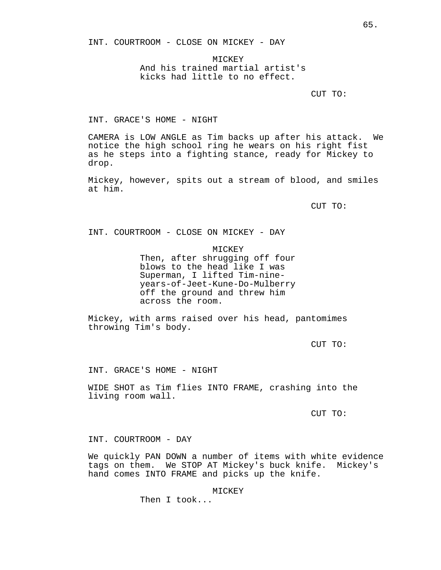**MICKEY** And his trained martial artist's kicks had little to no effect.

CUT TO:

## INT. GRACE'S HOME - NIGHT

CAMERA is LOW ANGLE as Tim backs up after his attack. We notice the high school ring he wears on his right fist as he steps into a fighting stance, ready for Mickey to drop.

Mickey, however, spits out a stream of blood, and smiles at him.

CUT TO:

INT. COURTROOM - CLOSE ON MICKEY - DAY

MICKEY

Then, after shrugging off four blows to the head like I was Superman, I lifted Tim-nineyears-of-Jeet-Kune-Do-Mulberry off the ground and threw him across the room.

Mickey, with arms raised over his head, pantomimes throwing Tim's body.

CUT TO:

INT. GRACE'S HOME - NIGHT

WIDE SHOT as Tim flies INTO FRAME, crashing into the living room wall.

CUT TO:

INT. COURTROOM - DAY

We quickly PAN DOWN a number of items with white evidence tags on them. We STOP AT Mickey's buck knife. Mickey's hand comes INTO FRAME and picks up the knife.

MICKEY

Then I took...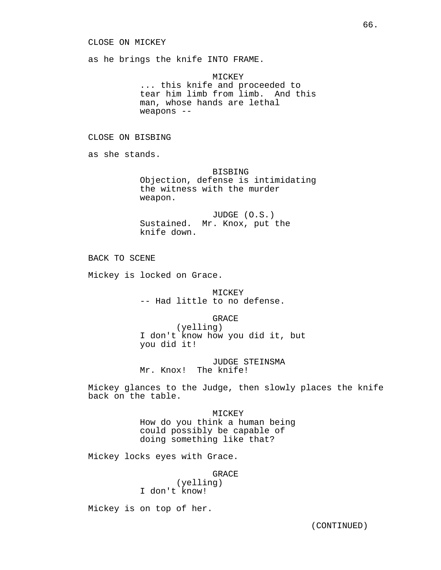## CLOSE ON MICKEY

as he brings the knife INTO FRAME.

MICKEY ... this knife and proceeded to tear him limb from limb. And this man, whose hands are lethal weapons --

CLOSE ON BISBING

as she stands.

BISBING

Objection, defense is intimidating the witness with the murder weapon.

JUDGE (O.S.) Sustained. Mr. Knox, put the knife down.

BACK TO SCENE

Mickey is locked on Grace.

MICKEY -- Had little to no defense.

GRACE

(yelling) I don't know how you did it, but you did it!

JUDGE STEINSMA Mr. Knox! The knife!

Mickey glances to the Judge, then slowly places the knife back on the table.

> MICKEY How do you think a human being could possibly be capable of doing something like that?

Mickey locks eyes with Grace.

GRACE (yelling) I don't know!

Mickey is on top of her.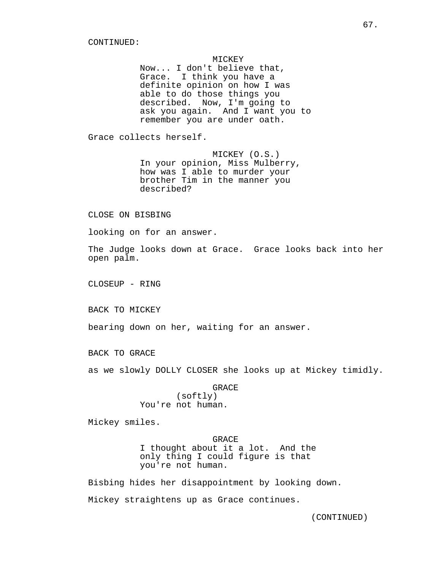Now... I don't believe that, Grace. I think you have a definite opinion on how I was able to do those things you described. Now, I'm going to ask you again. And I want you to remember you are under oath.

Grace collects herself.

MICKEY (O.S.) In your opinion, Miss Mulberry, how was I able to murder your brother Tim in the manner you described?

CLOSE ON BISBING

looking on for an answer.

The Judge looks down at Grace. Grace looks back into her open palm.

CLOSEUP - RING

BACK TO MICKEY

bearing down on her, waiting for an answer.

BACK TO GRACE

as we slowly DOLLY CLOSER she looks up at Mickey timidly.

GRACE (softly) You're not human.

Mickey smiles.

## GRACE

I thought about it a lot. And the only thing I could figure is that you're not human.

Bisbing hides her disappointment by looking down.

Mickey straightens up as Grace continues.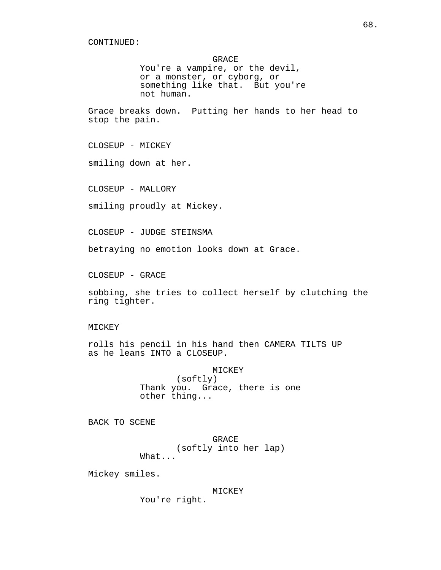CONTINUED:

## GRACE

You're a vampire, or the devil, or a monster, or cyborg, or something like that. But you're not human.

Grace breaks down. Putting her hands to her head to stop the pain.

CLOSEUP - MICKEY

smiling down at her.

CLOSEUP - MALLORY

smiling proudly at Mickey.

CLOSEUP - JUDGE STEINSMA

betraying no emotion looks down at Grace.

CLOSEUP - GRACE

sobbing, she tries to collect herself by clutching the ring tighter.

## MICKEY

rolls his pencil in his hand then CAMERA TILTS UP as he leans INTO a CLOSEUP.

> MICKEY (softly) Thank you. Grace, there is one other thing...

BACK TO SCENE

GRACE (softly into her lap) What...

Mickey smiles.

### MICKEY

You're right.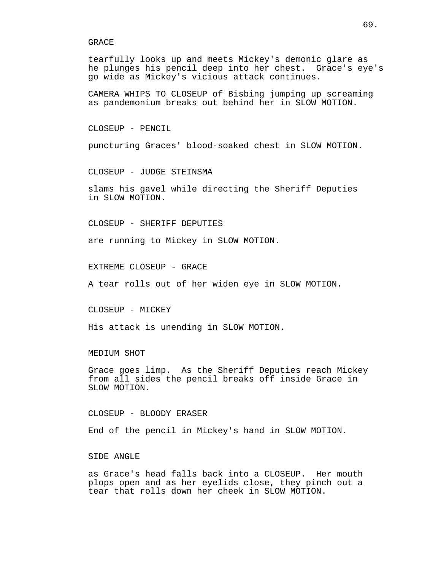#### **GRACE**

tearfully looks up and meets Mickey's demonic glare as he plunges his pencil deep into her chest. Grace's eye's go wide as Mickey's vicious attack continues.

CAMERA WHIPS TO CLOSEUP of Bisbing jumping up screaming as pandemonium breaks out behind her in SLOW MOTION.

CLOSEUP - PENCIL

puncturing Graces' blood-soaked chest in SLOW MOTION.

CLOSEUP - JUDGE STEINSMA

slams his gavel while directing the Sheriff Deputies in SLOW MOTION.

CLOSEUP - SHERIFF DEPUTIES

are running to Mickey in SLOW MOTION.

EXTREME CLOSEUP - GRACE

A tear rolls out of her widen eye in SLOW MOTION.

CLOSEUP - MICKEY

His attack is unending in SLOW MOTION.

MEDIUM SHOT

Grace goes limp. As the Sheriff Deputies reach Mickey from all sides the pencil breaks off inside Grace in SLOW MOTION.

CLOSEUP - BLOODY ERASER

End of the pencil in Mickey's hand in SLOW MOTION.

SIDE ANGLE

as Grace's head falls back into a CLOSEUP. Her mouth plops open and as her eyelids close, they pinch out a tear that rolls down her cheek in SLOW MOTION.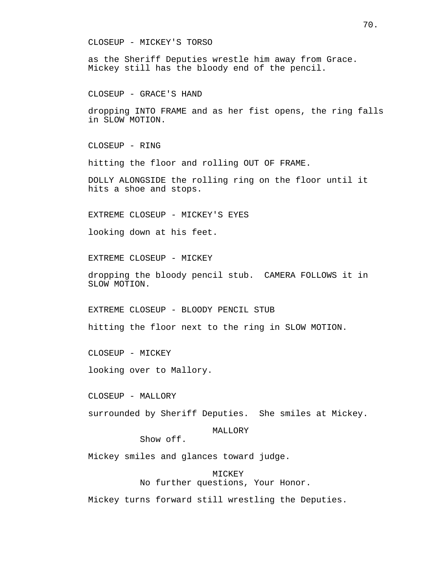CLOSEUP - MICKEY'S TORSO

as the Sheriff Deputies wrestle him away from Grace. Mickey still has the bloody end of the pencil.

CLOSEUP - GRACE'S HAND

dropping INTO FRAME and as her fist opens, the ring falls in SLOW MOTION.

CLOSEUP - RING

hitting the floor and rolling OUT OF FRAME.

DOLLY ALONGSIDE the rolling ring on the floor until it hits a shoe and stops.

EXTREME CLOSEUP - MICKEY'S EYES

looking down at his feet.

EXTREME CLOSEUP - MICKEY

dropping the bloody pencil stub. CAMERA FOLLOWS it in SLOW MOTION.

EXTREME CLOSEUP - BLOODY PENCIL STUB

hitting the floor next to the ring in SLOW MOTION.

CLOSEUP - MICKEY

looking over to Mallory.

CLOSEUP - MALLORY

surrounded by Sheriff Deputies. She smiles at Mickey.

## MALLORY

Show off.

Mickey smiles and glances toward judge.

MICKEY No further questions, Your Honor.

Mickey turns forward still wrestling the Deputies.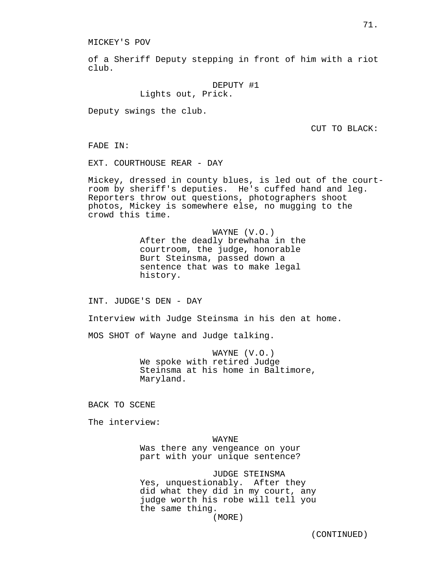MICKEY'S POV

of a Sheriff Deputy stepping in front of him with a riot club.

> DEPUTY #1 Lights out, Prick.

Deputy swings the club.

CUT TO BLACK:

FADE IN:

EXT. COURTHOUSE REAR - DAY

Mickey, dressed in county blues, is led out of the courtroom by sheriff's deputies. He's cuffed hand and leg. Reporters throw out questions, photographers shoot photos, Mickey is somewhere else, no mugging to the crowd this time.

> WAYNE (V.O.) After the deadly brewhaha in the courtroom, the judge, honorable Burt Steinsma, passed down a sentence that was to make legal history.

INT. JUDGE'S DEN - DAY

Interview with Judge Steinsma in his den at home.

MOS SHOT of Wayne and Judge talking.

WAYNE (V.O.) We spoke with retired Judge Steinsma at his home in Baltimore, Maryland.

BACK TO SCENE

The interview:

## WAYNE

Was there any vengeance on your part with your unique sentence?

JUDGE STEINSMA Yes, unquestionably. After they did what they did in my court, any judge worth his robe will tell you the same thing. (MORE)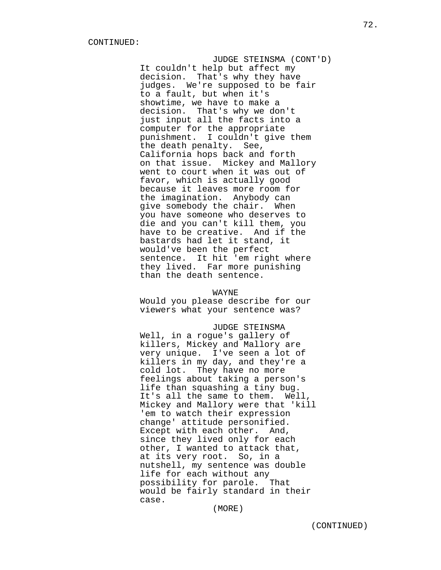JUDGE STEINSMA (CONT'D) It couldn't help but affect my decision. That's why they have judges. We're supposed to be fair to a fault, but when it's showtime, we have to make a decision. That's why we don't just input all the facts into a computer for the appropriate punishment. I couldn't give them the death penalty. See, California hops back and forth on that issue. Mickey and Mallory went to court when it was out of favor, which is actually good because it leaves more room for the imagination. Anybody can give somebody the chair. When you have someone who deserves to die and you can't kill them, you have to be creative. And if the bastards had let it stand, it would've been the perfect sentence. It hit 'em right where they lived. Far more punishing than the death sentence.

### WAYNE

Would you please describe for our viewers what your sentence was?

### JUDGE STEINSMA

Well, in a rogue's gallery of killers, Mickey and Mallory are very unique. I've seen a lot of killers in my day, and they're a cold lot. They have no more feelings about taking a person's life than squashing a tiny bug. It's all the same to them. Well, Mickey and Mallory were that 'kill 'em to watch their expression change' attitude personified. Except with each other. And, since they lived only for each other, I wanted to attack that, at its very root. So, in a nutshell, my sentence was double life for each without any possibility for parole. That would be fairly standard in their case.

(MORE)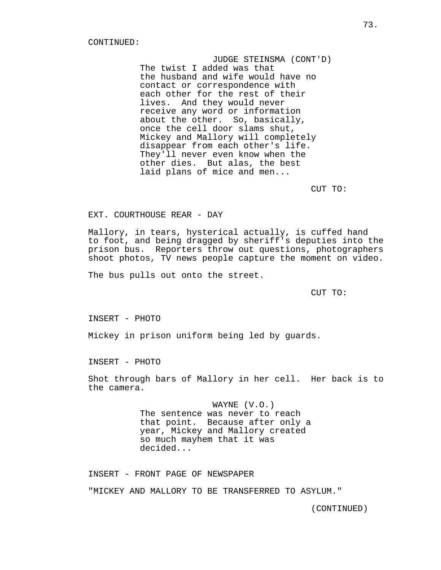JUDGE STEINSMA (CONT'D) The twist I added was that the husband and wife would have no contact or correspondence with each other for the rest of their lives. And they would never receive any word or information about the other. So, basically, once the cell door slams shut, Mickey and Mallory will completely disappear from each other's life. They'll never even know when the other dies. But alas, the best laid plans of mice and men...

CUT TO:

EXT. COURTHOUSE REAR - DAY

Mallory, in tears, hysterical actually, is cuffed hand to foot, and being dragged by sheriff's deputies into the prison bus. Reporters throw out questions, photographers shoot photos, TV news people capture the moment on video.

The bus pulls out onto the street.

CUT TO:

INSERT - PHOTO

Mickey in prison uniform being led by guards.

INSERT - PHOTO

Shot through bars of Mallory in her cell. Her back is to the camera.

> WAYNE (V.O.) The sentence was never to reach that point. Because after only a year, Mickey and Mallory created so much mayhem that it was decided...

INSERT - FRONT PAGE OF NEWSPAPER

"MICKEY AND MALLORY TO BE TRANSFERRED TO ASYLUM."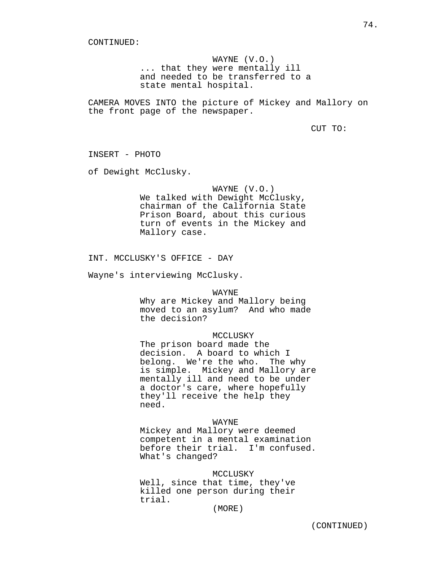# WAYNE (V.O.) ... that they were mentally ill and needed to be transferred to a state mental hospital.

CAMERA MOVES INTO the picture of Mickey and Mallory on the front page of the newspaper.

CUT TO:

INSERT - PHOTO

of Dewight McClusky.

### WAYNE (V.O.)

We talked with Dewight McClusky, chairman of the California State Prison Board, about this curious turn of events in the Mickey and Mallory case.

INT. MCCLUSKY'S OFFICE - DAY

Wayne's interviewing McClusky.

#### WAYNE

Why are Mickey and Mallory being moved to an asylum? And who made the decision?

#### MCCLUSKY

The prison board made the decision. A board to which I belong. We're the who. The why is simple. Mickey and Mallory are mentally ill and need to be under a doctor's care, where hopefully they'll receive the help they need.

#### WAYNE

Mickey and Mallory were deemed competent in a mental examination before their trial. I'm confused. What's changed?

#### MCCLUSKY

Well, since that time, they've killed one person during their trial.

(MORE)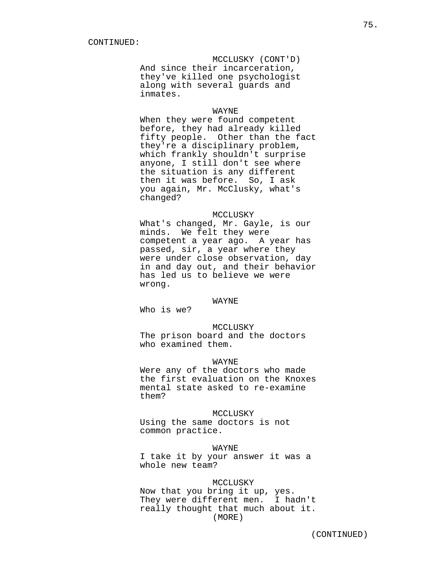# MCCLUSKY (CONT'D)

And since their incarceration, they've killed one psychologist along with several guards and inmates.

## WAYNE

When they were found competent before, they had already killed fifty people. Other than the fact they're a disciplinary problem, which frankly shouldn't surprise anyone, I still don't see where the situation is any different then it was before. So, I ask you again, Mr. McClusky, what's changed?

#### MCCLUSKY

What's changed, Mr. Gayle, is our minds. We felt they were competent a year ago. A year has passed, sir, a year where they were under close observation, day in and day out, and their behavior has led us to believe we were wrong.

#### WAYNE

Who is we?

MCCLUSKY The prison board and the doctors who examined them.

### WAYNE

Were any of the doctors who made the first evaluation on the Knoxes mental state asked to re-examine them?

#### MCCLUSKY

Using the same doctors is not common practice.

#### WAYNE

I take it by your answer it was a whole new team?

#### MCCLUSKY

Now that you bring it up, yes. They were different men. I hadn't really thought that much about it. (MORE)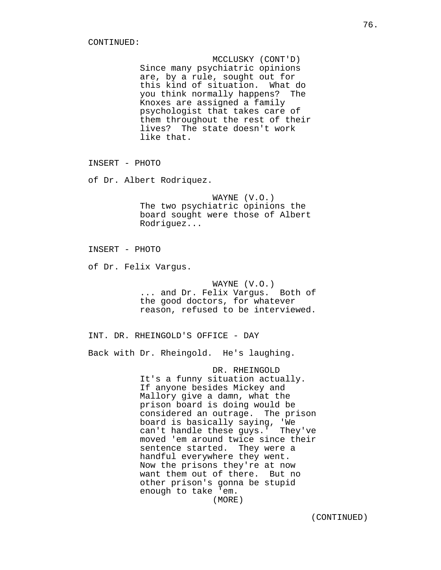MCCLUSKY (CONT'D) Since many psychiatric opinions are, by a rule, sought out for this kind of situation. What do you think normally happens? The Knoxes are assigned a family psychologist that takes care of them throughout the rest of their lives? The state doesn't work like that.

INSERT - PHOTO

of Dr. Albert Rodriquez.

WAYNE (V.O.) The two psychiatric opinions the board sought were those of Albert Rodriguez...

INSERT - PHOTO

of Dr. Felix Vargus.

WAYNE (V.O.) ... and Dr. Felix Vargus. Both of the good doctors, for whatever reason, refused to be interviewed.

INT. DR. RHEINGOLD'S OFFICE - DAY

Back with Dr. Rheingold. He's laughing.

DR. RHEINGOLD It's a funny situation actually. If anyone besides Mickey and Mallory give a damn, what the prison board is doing would be considered an outrage. The prison board is basically saying, 'We can't handle these guys.' They've moved 'em around twice since their sentence started. They were a handful everywhere they went. Now the prisons they're at now want them out of there. But no other prison's gonna be stupid enough to take 'em. (MORE)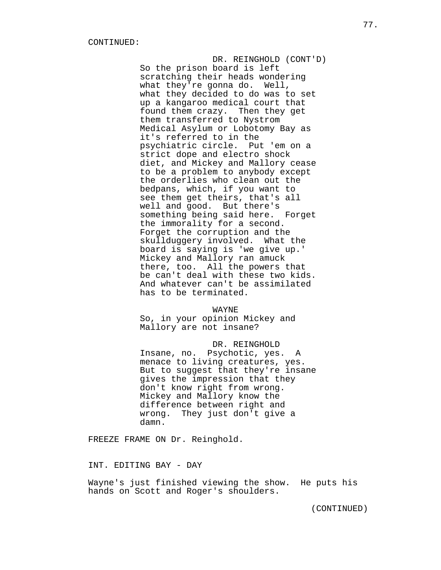DR. REINGHOLD (CONT'D) So the prison board is left scratching their heads wondering what they're gonna do. Well, what they decided to do was to set up a kangaroo medical court that found them crazy. Then they get them transferred to Nystrom Medical Asylum or Lobotomy Bay as it's referred to in the psychiatric circle. Put 'em on a strict dope and electro shock diet, and Mickey and Mallory cease to be a problem to anybody except the orderlies who clean out the bedpans, which, if you want to see them get theirs, that's all well and good. But there's something being said here. Forget the immorality for a second. Forget the corruption and the skullduggery involved. What the board is saying is 'we give up.' Mickey and Mallory ran amuck there, too. All the powers that be can't deal with these two kids. And whatever can't be assimilated has to be terminated.

WAYNE

So, in your opinion Mickey and Mallory are not insane?

DR. REINGHOLD Insane, no. Psychotic, yes. A menace to living creatures, yes. But to suggest that they're insane gives the impression that they don't know right from wrong. Mickey and Mallory know the difference between right and wrong. They just don't give a damn.

FREEZE FRAME ON Dr. Reinghold.

### INT. EDITING BAY - DAY

Wayne's just finished viewing the show. He puts his hands on Scott and Roger's shoulders.

77.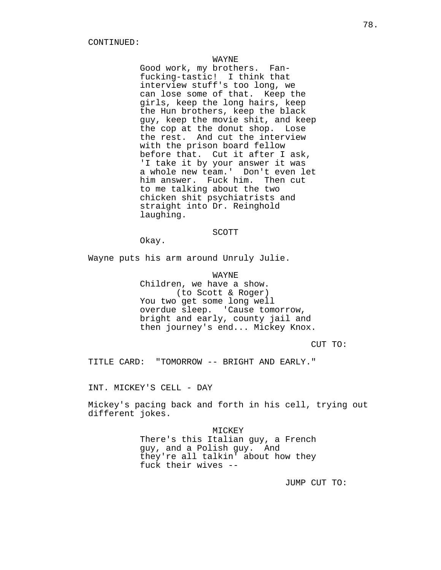Good work, my brothers. Fanfucking-tastic! I think that interview stuff's too long, we can lose some of that. Keep the girls, keep the long hairs, keep the Hun brothers, keep the black guy, keep the movie shit, and keep the cop at the donut shop. Lose the rest. And cut the interview with the prison board fellow before that. Cut it after I ask, 'I take it by your answer it was a whole new team.' Don't even let him answer. Fuck him. Then cut to me talking about the two chicken shit psychiatrists and straight into Dr. Reinghold laughing.

#### SCOTT

Okay.

Wayne puts his arm around Unruly Julie.

#### WAYNE

Children, we have a show. (to Scott & Roger) You two get some long well overdue sleep. 'Cause tomorrow, bright and early, county jail and then journey's end... Mickey Knox.

CUT TO:

TITLE CARD: "TOMORROW -- BRIGHT AND EARLY."

INT. MICKEY'S CELL - DAY

Mickey's pacing back and forth in his cell, trying out different jokes.

> MICKEY There's this Italian guy, a French guy, and a Polish guy. And they're all talkin' about how they fuck their wives --

> > JUMP CUT TO: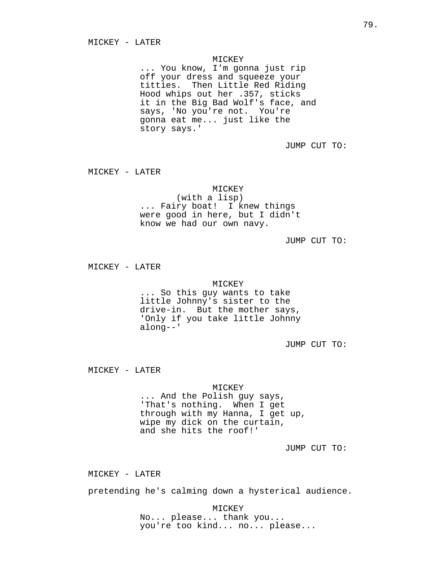#### MICKEY

... You know, I'm gonna just rip off your dress and squeeze your titties. Then Little Red Riding Hood whips out her .357, sticks it in the Big Bad Wolf's face, and says, 'No you're not. You're gonna eat me... just like the story says.'

JUMP CUT TO:

MICKEY - LATER

#### MICKEY

(with a lisp) ... Fairy boat! I knew things were good in here, but I didn't know we had our own navy.

JUMP CUT TO:

MICKEY - LATER

#### MICKEY

... So this guy wants to take little Johnny's sister to the drive-in. But the mother says, 'Only if you take little Johnny along--'

JUMP CUT TO:

MICKEY - LATER

#### MICKEY

... And the Polish guy says, 'That's nothing. When I get through with my Hanna, I get up, wipe my dick on the curtain, and she hits the roof!'

JUMP CUT TO:

MICKEY - LATER

pretending he's calming down a hysterical audience.

MICKEY No... please... thank you... you're too kind... no... please...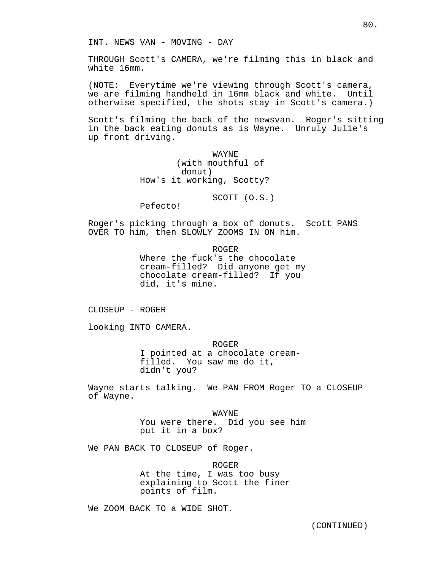THROUGH Scott's CAMERA, we're filming this in black and white 16mm.

(NOTE: Everytime we're viewing through Scott's camera, we are filming handheld in 16mm black and white. Until otherwise specified, the shots stay in Scott's camera.)

Scott's filming the back of the newsvan. Roger's sitting in the back eating donuts as is Wayne. Unruly Julie's up front driving.

# WAYNE (with mouthful of donut) How's it working, Scotty?

### SCOTT (O.S.)

Pefecto!

Roger's picking through a box of donuts. Scott PANS OVER TO him, then SLOWLY ZOOMS IN ON him.

ROGER

Where the fuck's the chocolate cream-filled? Did anyone get my chocolate cream-filled? If you did, it's mine.

CLOSEUP - ROGER

looking INTO CAMERA.

#### ROGER

I pointed at a chocolate creamfilled. You saw me do it, didn't you?

Wayne starts talking. We PAN FROM Roger TO a CLOSEUP of Wayne.

WAYNE

You were there. Did you see him put it in a box?

We PAN BACK TO CLOSEUP of Roger.

ROGER At the time, I was too busy explaining to Scott the finer points of film.

We ZOOM BACK TO a WIDE SHOT.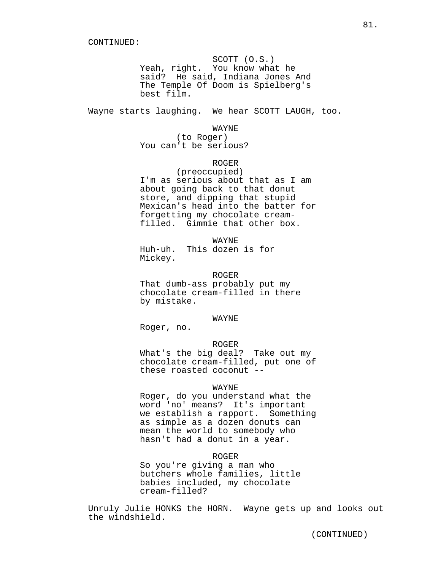# SCOTT (O.S.)

Yeah, right. You know what he said? He said, Indiana Jones And The Temple Of Doom is Spielberg's best film.

Wayne starts laughing. We hear SCOTT LAUGH, too.

#### WAYNE

(to Roger) You can't be serious?

### ROGER

(preoccupied) I'm as serious about that as I am about going back to that donut store, and dipping that stupid Mexican's head into the batter for forgetting my chocolate creamfilled. Gimmie that other box.

#### WAYNE

Huh-uh. This dozen is for Mickey.

#### ROGER

That dumb-ass probably put my chocolate cream-filled in there by mistake.

#### WAYNE

Roger, no.

# ROGER

What's the big deal? Take out my chocolate cream-filled, put one of these roasted coconut --

### WAYNE

Roger, do you understand what the word 'no' means? It's important we establish a rapport. Something as simple as a dozen donuts can mean the world to somebody who hasn't had a donut in a year.

### ROGER

So you're giving a man who butchers whole families, little babies included, my chocolate cream-filled?

Unruly Julie HONKS the HORN. Wayne gets up and looks out the windshield.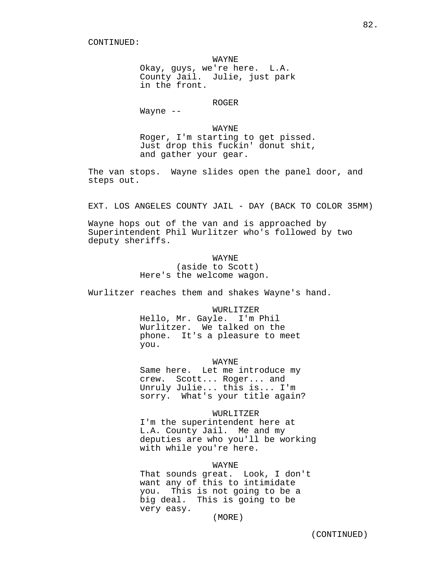Okay, guys, we're here. L.A. County Jail. Julie, just park in the front.

# ROGER

Wayne --

WAYNE

Roger, I'm starting to get pissed. Just drop this fuckin' donut shit, and gather your gear.

The van stops. Wayne slides open the panel door, and steps out.

EXT. LOS ANGELES COUNTY JAIL - DAY (BACK TO COLOR 35MM)

Wayne hops out of the van and is approached by Superintendent Phil Wurlitzer who's followed by two deputy sheriffs.

> WAYNE (aside to Scott) Here's the welcome wagon.

Wurlitzer reaches them and shakes Wayne's hand.

#### WURLITZER

Hello, Mr. Gayle. I'm Phil Wurlitzer. We talked on the phone. It's a pleasure to meet you.

### WAYNE

Same here. Let me introduce my crew. Scott... Roger... and Unruly Julie... this is... I'm sorry. What's your title again?

### WURLITZER

I'm the superintendent here at L.A. County Jail. Me and my deputies are who you'll be working with while you're here.

#### WAYNE

That sounds great. Look, I don't want any of this to intimidate you. This is not going to be a big deal. This is going to be very easy.

(MORE)

82.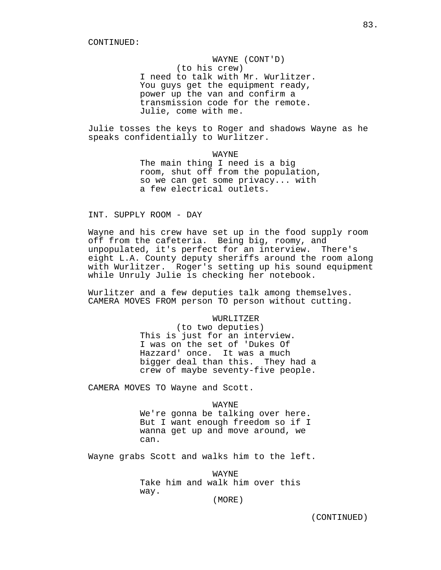# WAYNE (CONT'D)

(to his crew) I need to talk with Mr. Wurlitzer. You guys get the equipment ready, power up the van and confirm a transmission code for the remote. Julie, come with me.

Julie tosses the keys to Roger and shadows Wayne as he speaks confidentially to Wurlitzer.

WAYNE

The main thing I need is a big room, shut off from the population, so we can get some privacy... with a few electrical outlets.

INT. SUPPLY ROOM - DAY

Wayne and his crew have set up in the food supply room off from the cafeteria. Being big, roomy, and unpopulated, it's perfect for an interview. There's eight L.A. County deputy sheriffs around the room along with Wurlitzer. Roger's setting up his sound equipment while Unruly Julie is checking her notebook.

Wurlitzer and a few deputies talk among themselves. CAMERA MOVES FROM person TO person without cutting.

WURLITZER

(to two deputies) This is just for an interview. I was on the set of 'Dukes Of Hazzard' once. It was a much bigger deal than this. They had a crew of maybe seventy-five people.

CAMERA MOVES TO Wayne and Scott.

WAYNE

We're gonna be talking over here. But I want enough freedom so if I wanna get up and move around, we can.

Wayne grabs Scott and walks him to the left.

WAYNE Take him and walk him over this way.

(MORE)

83.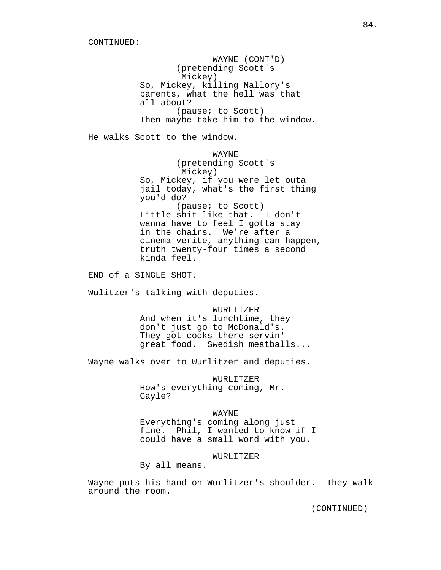WAYNE (CONT'D) (pretending Scott's Mickey) So, Mickey, killing Mallory's parents, what the hell was that all about? (pause; to Scott) Then maybe take him to the window.

He walks Scott to the window.

WAYNE (pretending Scott's Mickey) So, Mickey, if you were let outa jail today, what's the first thing you'd do? (pause; to Scott) Little shit like that. I don't wanna have to feel I gotta stay in the chairs. We're after a cinema verite, anything can happen, truth twenty-four times a second kinda feel.

END of a SINGLE SHOT.

Wulitzer's talking with deputies.

WURLITZER And when it's lunchtime, they don't just go to McDonald's. They got cooks there servin' great food. Swedish meatballs...

Wayne walks over to Wurlitzer and deputies.

WURLITZER How's everything coming, Mr. Gayle?

#### WAYNE

Everything's coming along just fine. Phil, I wanted to know if I could have a small word with you.

# WURLITZER

By all means.

Wayne puts his hand on Wurlitzer's shoulder. They walk around the room.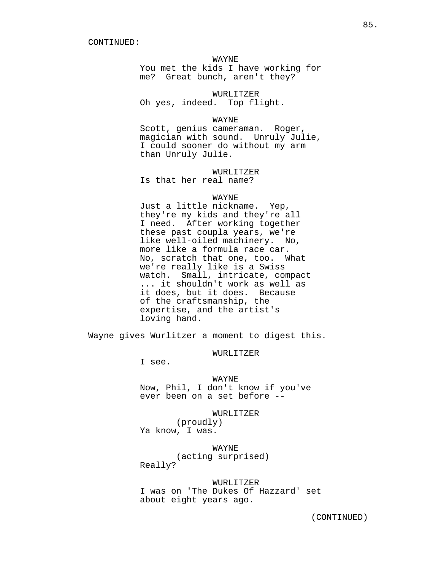You met the kids I have working for me? Great bunch, aren't they?

WURLITZER

Oh yes, indeed. Top flight.

#### WAYNE

Scott, genius cameraman. Roger, magician with sound. Unruly Julie, I could sooner do without my arm than Unruly Julie.

### WURLITZER

Is that her real name?

#### WAYNE

Just a little nickname. Yep, they're my kids and they're all I need. After working together these past coupla years, we're like well-oiled machinery. No, more like a formula race car. No, scratch that one, too. What we're really like is a Swiss watch. Small, intricate, compact ... it shouldn't work as well as it does, but it does. Because of the craftsmanship, the expertise, and the artist's loving hand.

Wayne gives Wurlitzer a moment to digest this.

WURLITZER

I see.

WAYNE Now, Phil, I don't know if you've ever been on a set before --

#### WURLITZER

(proudly) Ya know, I was.

WAYNE (acting surprised) Really?

#### WURLITZER

I was on 'The Dukes Of Hazzard' set about eight years ago.

85.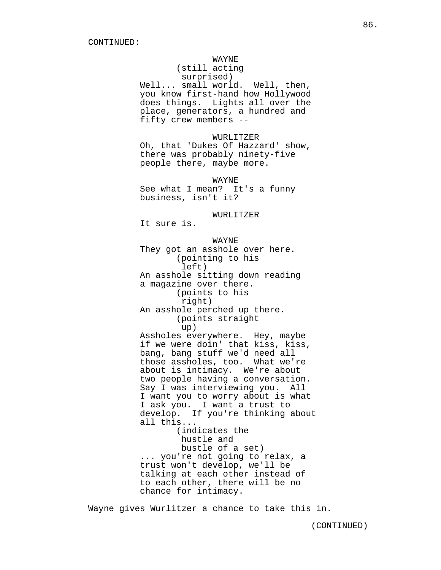# (still acting surprised)

Well... small world. Well, then, you know first-hand how Hollywood does things. Lights all over the place, generators, a hundred and fifty crew members --

WURLITZER Oh, that 'Dukes Of Hazzard' show, there was probably ninety-five people there, maybe more.

WAYNE See what I mean? It's a funny business, isn't it?

WURLITZER

It sure is.

WAYNE They got an asshole over here. (pointing to his left) An asshole sitting down reading a magazine over there. (points to his right) An asshole perched up there. (points straight up) Assholes everywhere. Hey, maybe if we were doin' that kiss, kiss, bang, bang stuff we'd need all those assholes, too. What we're about is intimacy. We're about two people having a conversation. Say I was interviewing you. All I want you to worry about is what I ask you. I want a trust to develop. If you're thinking about all this... (indicates the hustle and bustle of a set) ... you're not going to relax, a trust won't develop, we'll be talking at each other instead of to each other, there will be no chance for intimacy.

Wayne gives Wurlitzer a chance to take this in.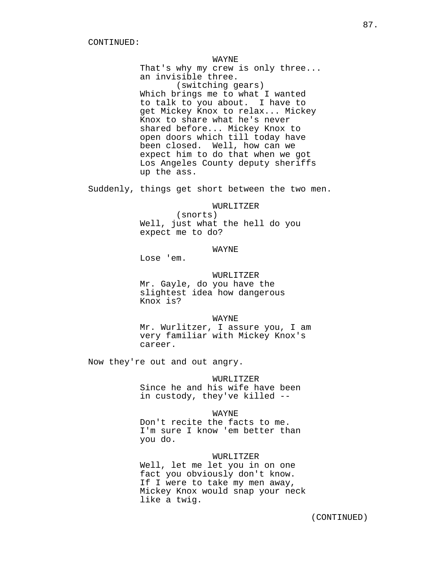That's why my crew is only three... an invisible three. (switching gears) Which brings me to what I wanted to talk to you about. I have to get Mickey Knox to relax... Mickey Knox to share what he's never shared before... Mickey Knox to open doors which till today have been closed. Well, how can we expect him to do that when we got Los Angeles County deputy sheriffs up the ass.

Suddenly, things get short between the two men.

#### WURLITZER

(snorts) Well, just what the hell do you expect me to do?

## WAYNE

Lose 'em.

#### WURLITZER

Mr. Gayle, do you have the slightest idea how dangerous Knox is?

WAYNE

Mr. Wurlitzer, I assure you, I am very familiar with Mickey Knox's career.

Now they're out and out angry.

#### WURLITZER

Since he and his wife have been in custody, they've killed --

#### WAYNE

Don't recite the facts to me. I'm sure I know 'em better than you do.

### WURLITZER

Well, let me let you in on one fact you obviously don't know. If I were to take my men away, Mickey Knox would snap your neck like a twig.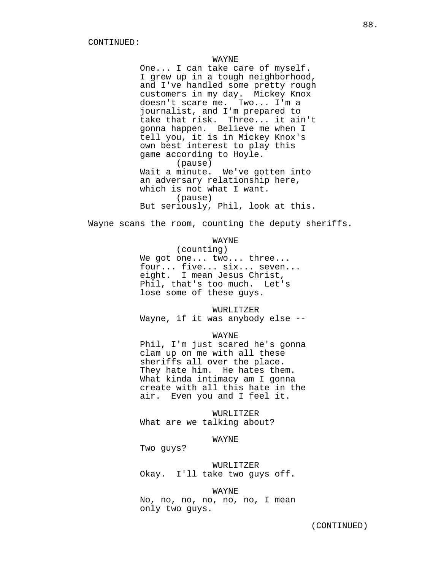One... I can take care of myself. I grew up in a tough neighborhood, and I've handled some pretty rough customers in my day. Mickey Knox doesn't scare me. Two... I'm a journalist, and I'm prepared to take that risk. Three... it ain't gonna happen. Believe me when I tell you, it is in Mickey Knox's own best interest to play this game according to Hoyle. (pause) Wait a minute. We've gotten into an adversary relationship here, which is not what I want. (pause) But seriously, Phil, look at this.

Wayne scans the room, counting the deputy sheriffs.

WAYNE

(counting) We got one... two... three... four... five... six... seven... eight. I mean Jesus Christ, Phil, that's too much. Let's lose some of these guys.

WURLITZER Wayne, if it was anybody else --

### WAYNE

Phil, I'm just scared he's gonna clam up on me with all these sheriffs all over the place. They hate him. He hates them. What kinda intimacy am I gonna create with all this hate in the air. Even you and I feel it.

WURLITZER What are we talking about?

#### WAYNE

Two guys?

WURLITZER Okay. I'll take two guys off.

### WAYNE

No, no, no, no, no, no, I mean only two guys.

88.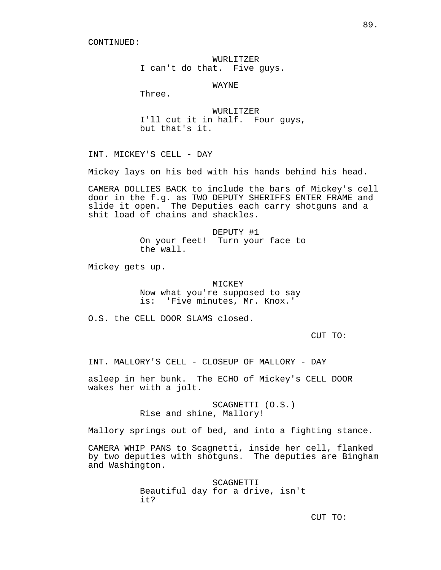## WURLITZER I can't do that. Five guys.

WAYNE

Three.

WURLITZER I'll cut it in half. Four guys, but that's it.

INT. MICKEY'S CELL - DAY

Mickey lays on his bed with his hands behind his head.

CAMERA DOLLIES BACK to include the bars of Mickey's cell door in the f.g. as TWO DEPUTY SHERIFFS ENTER FRAME and slide it open. The Deputies each carry shotguns and a shit load of chains and shackles.

> DEPUTY #1 On your feet! Turn your face to the wall.

Mickey gets up.

### MICKEY

Now what you're supposed to say is: 'Five minutes, Mr. Knox.'

O.S. the CELL DOOR SLAMS closed.

CUT TO:

INT. MALLORY'S CELL - CLOSEUP OF MALLORY - DAY

asleep in her bunk. The ECHO of Mickey's CELL DOOR wakes her with a jolt.

> SCAGNETTI (O.S.) Rise and shine, Mallory!

Mallory springs out of bed, and into a fighting stance.

CAMERA WHIP PANS to Scagnetti, inside her cell, flanked by two deputies with shotguns. The deputies are Bingham and Washington.

> SCAGNETTI Beautiful day for a drive, isn't it?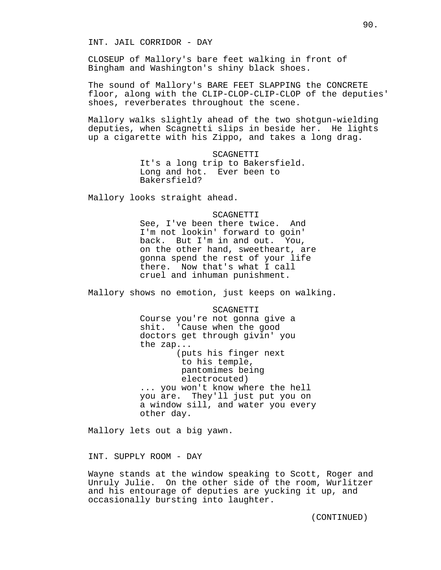CLOSEUP of Mallory's bare feet walking in front of Bingham and Washington's shiny black shoes.

The sound of Mallory's BARE FEET SLAPPING the CONCRETE floor, along with the CLIP-CLOP-CLIP-CLOP of the deputies' shoes, reverberates throughout the scene.

Mallory walks slightly ahead of the two shotgun-wielding deputies, when Scagnetti slips in beside her. He lights up a cigarette with his Zippo, and takes a long drag.

> SCAGNETTI It's a long trip to Bakersfield. Long and hot. Ever been to Bakersfield?

Mallory looks straight ahead.

SCAGNETTI See, I've been there twice. And I'm not lookin' forward to goin' back. But I'm in and out. You, on the other hand, sweetheart, are gonna spend the rest of your life there. Now that's what I call cruel and inhuman punishment.

Mallory shows no emotion, just keeps on walking.

SCAGNETTI Course you're not gonna give a shit. 'Cause when the good doctors get through givin' you the zap... (puts his finger next to his temple, pantomimes being electrocuted) ... you won't know where the hell you are. They'll just put you on a window sill, and water you every other day.

Mallory lets out a big yawn.

INT. SUPPLY ROOM - DAY

Wayne stands at the window speaking to Scott, Roger and Unruly Julie. On the other side of the room, Wurlitzer and his entourage of deputies are yucking it up, and occasionally bursting into laughter.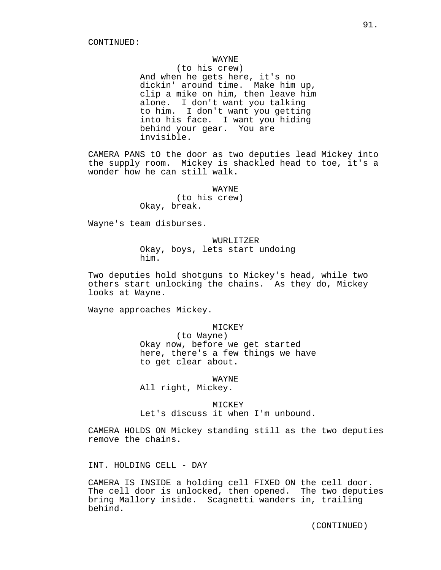(to his crew) And when he gets here, it's no dickin' around time. Make him up, clip a mike on him, then leave him alone. I don't want you talking to him. I don't want you getting into his face. I want you hiding behind your gear. You are invisible.

CAMERA PANS tO the door as two deputies lead Mickey into the supply room. Mickey is shackled head to toe, it's a wonder how he can still walk.

> WAYNE (to his crew) Okay, break.

Wayne's team disburses.

WURLITZER Okay, boys, lets start undoing him.

Two deputies hold shotguns to Mickey's head, while two others start unlocking the chains. As they do, Mickey looks at Wayne.

Wayne approaches Mickey.

MICKEY

(to Wayne) Okay now, before we get started here, there's a few things we have to get clear about.

WAYNE

All right, Mickey.

MICKEY Let's discuss it when I'm unbound.

CAMERA HOLDS ON Mickey standing still as the two deputies remove the chains.

INT. HOLDING CELL - DAY

CAMERA IS INSIDE a holding cell FIXED ON the cell door. The cell door is unlocked, then opened. The two deputies bring Mallory inside. Scagnetti wanders in, trailing behind.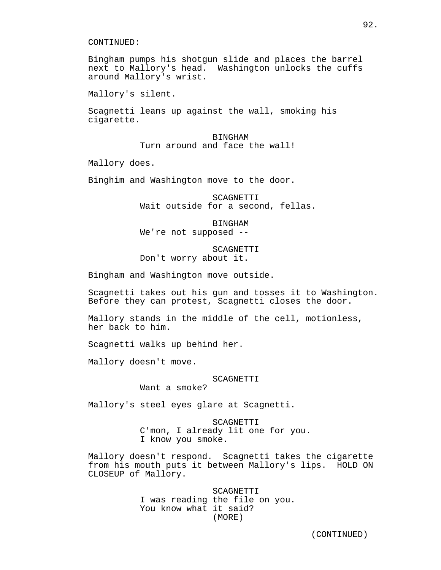Bingham pumps his shotgun slide and places the barrel next to Mallory's head. Washington unlocks the cuffs around Mallory's wrist.

Mallory's silent.

Scagnetti leans up against the wall, smoking his cigarette.

> BINGHAM Turn around and face the wall!

Mallory does.

Binghim and Washington move to the door.

SCAGNETTI Wait outside for a second, fellas.

BINGHAM

We're not supposed --

SCAGNETTI Don't worry about it.

Bingham and Washington move outside.

Scagnetti takes out his gun and tosses it to Washington. Before they can protest, Scagnetti closes the door.

Mallory stands in the middle of the cell, motionless, her back to him.

Scagnetti walks up behind her.

Mallory doesn't move.

SCAGNETTI

Want a smoke?

Mallory's steel eyes glare at Scagnetti.

SCAGNETTI C'mon, I already lit one for you. I know you smoke.

Mallory doesn't respond. Scagnetti takes the cigarette from his mouth puts it between Mallory's lips. HOLD ON CLOSEUP of Mallory.

> SCAGNETTI I was reading the file on you. You know what it said? (MORE)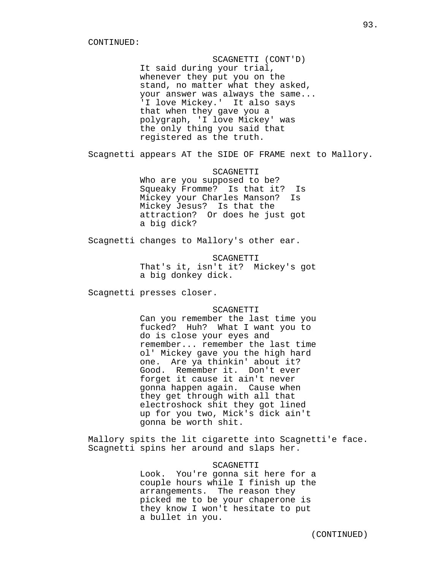SCAGNETTI (CONT'D) It said during your trial, whenever they put you on the stand, no matter what they asked, your answer was always the same... 'I love Mickey.' It also says that when they gave you a polygraph, 'I love Mickey' was the only thing you said that registered as the truth.

Scagnetti appears AT the SIDE OF FRAME next to Mallory.

SCAGNETTI Who are you supposed to be? Squeaky Fromme? Is that it? Is Mickey your Charles Manson? Is Mickey Jesus? Is that the attraction? Or does he just got a big dick?

Scagnetti changes to Mallory's other ear.

SCAGNETTI That's it, isn't it? Mickey's got a big donkey dick.

Scagnetti presses closer.

### SCAGNETTI

Can you remember the last time you fucked? Huh? What I want you to do is close your eyes and remember... remember the last time ol' Mickey gave you the high hard one. Are ya thinkin' about it? Good. Remember it. Don't ever forget it cause it ain't never gonna happen again. Cause when they get through with all that electroshock shit they got lined up for you two, Mick's dick ain't gonna be worth shit.

Mallory spits the lit cigarette into Scagnetti'e face. Scagnetti spins her around and slaps her.

#### SCAGNETTI

Look. You're gonna sit here for a couple hours while I finish up the arrangements. The reason they picked me to be your chaperone is they know I won't hesitate to put a bullet in you.

93.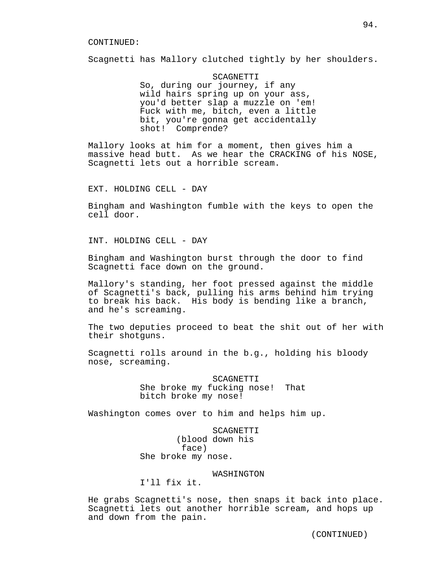Scagnetti has Mallory clutched tightly by her shoulders.

SCAGNETTI So, during our journey, if any wild hairs spring up on your ass, you'd better slap a muzzle on 'em! Fuck with me, bitch, even a little bit, you're gonna get accidentally shot! Comprende?

Mallory looks at him for a moment, then gives him a massive head butt. As we hear the CRACKING of his NOSE, Scagnetti lets out a horrible scream.

EXT. HOLDING CELL - DAY

Bingham and Washington fumble with the keys to open the cell door.

INT. HOLDING CELL - DAY

Bingham and Washington burst through the door to find Scagnetti face down on the ground.

Mallory's standing, her foot pressed against the middle of Scagnetti's back, pulling his arms behind him trying to break his back. His body is bending like a branch, and he's screaming.

The two deputies proceed to beat the shit out of her with their shotguns.

Scagnetti rolls around in the b.g., holding his bloody nose, screaming.

> SCAGNETTI She broke my fucking nose! That bitch broke my nose!

Washington comes over to him and helps him up.

SCAGNETTI (blood down his face) She broke my nose.

WASHINGTON

I'll fix it.

He grabs Scagnetti's nose, then snaps it back into place. Scagnetti lets out another horrible scream, and hops up and down from the pain.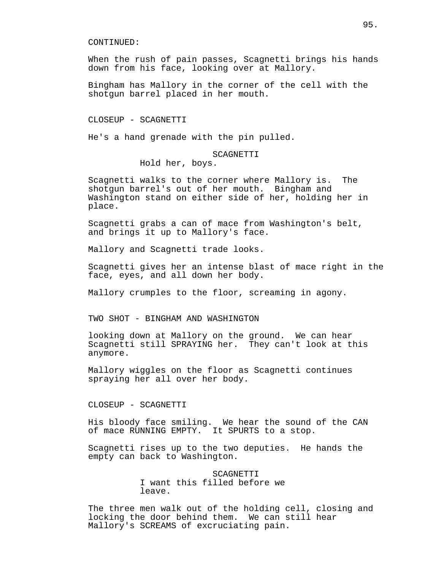When the rush of pain passes, Scagnetti brings his hands down from his face, looking over at Mallory.

Bingham has Mallory in the corner of the cell with the shotgun barrel placed in her mouth.

CLOSEUP - SCAGNETTI

He's a hand grenade with the pin pulled.

### SCAGNETTI

Hold her, boys.

Scagnetti walks to the corner where Mallory is. The shotgun barrel's out of her mouth. Bingham and Washington stand on either side of her, holding her in place.

Scagnetti grabs a can of mace from Washington's belt, and brings it up to Mallory's face.

Mallory and Scagnetti trade looks.

Scagnetti gives her an intense blast of mace right in the face, eyes, and all down her body.

Mallory crumples to the floor, screaming in agony.

TWO SHOT - BINGHAM AND WASHINGTON

looking down at Mallory on the ground. We can hear Scagnetti still SPRAYING her. They can't look at this anymore.

Mallory wiggles on the floor as Scagnetti continues spraying her all over her body.

CLOSEUP - SCAGNETTI

His bloody face smiling. We hear the sound of the CAN of mace RUNNING EMPTY. It SPURTS to a stop.

Scagnetti rises up to the two deputies. He hands the empty can back to Washington.

> SCAGNETTI I want this filled before we leave.

The three men walk out of the holding cell, closing and locking the door behind them. We can still hear Mallory's SCREAMS of excruciating pain.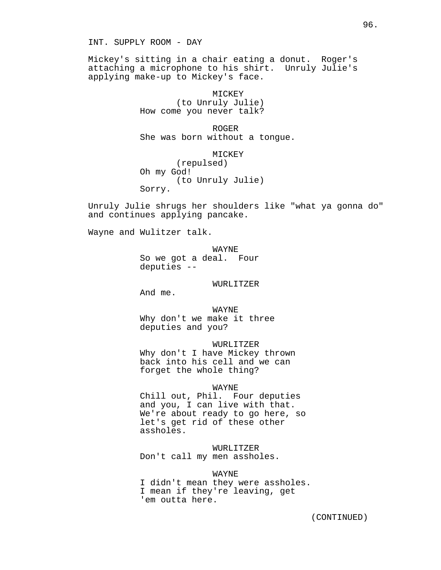INT. SUPPLY ROOM - DAY

Mickey's sitting in a chair eating a donut. Roger's attaching a microphone to his shirt. Unruly Julie's applying make-up to Mickey's face.

> MICKEY (to Unruly Julie) How come you never talk?

ROGER She was born without a tongue.

MICKEY (repulsed) Oh my God! (to Unruly Julie) Sorry.

Unruly Julie shrugs her shoulders like "what ya gonna do" and continues applying pancake.

Wayne and Wulitzer talk.

WAYNE So we got a deal. Four deputies --

WURLITZER

And me.

WAYNE Why don't we make it three

deputies and you?

WURLITZER Why don't I have Mickey thrown back into his cell and we can forget the whole thing?

### WAYNE

Chill out, Phil. Four deputies and you, I can live with that. We're about ready to go here, so let's get rid of these other assholes.

WURLITZER Don't call my men assholes.

WAYNE

I didn't mean they were assholes. I mean if they're leaving, get 'em outta here.

96.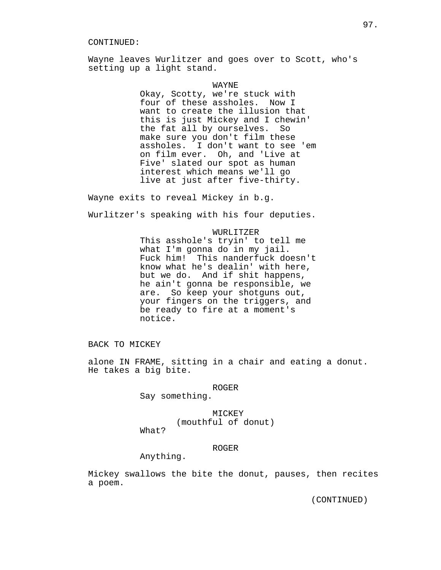Wayne leaves Wurlitzer and goes over to Scott, who's setting up a light stand.

WAYNE

Okay, Scotty, we're stuck with four of these assholes. Now I want to create the illusion that this is just Mickey and I chewin' the fat all by ourselves. So make sure you don't film these assholes. I don't want to see 'em on film ever. Oh, and 'Live at Five' slated our spot as human interest which means we'll go live at just after five-thirty.

Wayne exits to reveal Mickey in b.g.

Wurlitzer's speaking with his four deputies.

#### WURLITZER

This asshole's tryin' to tell me what I'm gonna do in my jail. Fuck him! This nanderfuck doesn't know what he's dealin' with here, but we do. And if shit happens, he ain't gonna be responsible, we are. So keep your shotguns out, your fingers on the triggers, and be ready to fire at a moment's notice.

BACK TO MICKEY

alone IN FRAME, sitting in a chair and eating a donut. He takes a big bite.

### ROGER

Say something.

MICKEY (mouthful of donut)

What?

#### ROGER

Anything.

Mickey swallows the bite the donut, pauses, then recites a poem.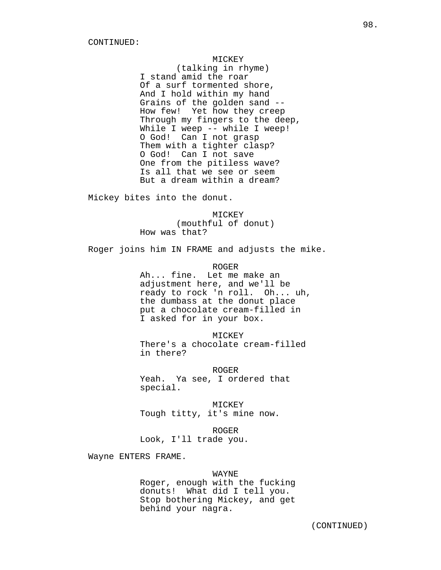#### MICKEY

(talking in rhyme) I stand amid the roar Of a surf tormented shore, And I hold within my hand Grains of the golden sand -- How few! Yet how they creep Through my fingers to the deep, While I weep -- while I weep! O God! Can I not grasp Them with a tighter clasp? O God! Can I not save One from the pitiless wave? Is all that we see or seem But a dream within a dream?

Mickey bites into the donut.

MICKEY (mouthful of donut) How was that?

Roger joins him IN FRAME and adjusts the mike.

ROGER

Ah... fine. Let me make an adjustment here, and we'll be ready to rock 'n roll. Oh... uh, the dumbass at the donut place put a chocolate cream-filled in I asked for in your box.

MICKEY

There's a chocolate cream-filled in there?

ROGER Yeah. Ya see, I ordered that special.

MICKEY Tough titty, it's mine now.

ROGER Look, I'll trade you.

Wayne ENTERS FRAME.

#### WAYNE

Roger, enough with the fucking donuts! What did I tell you. Stop bothering Mickey, and get behind your nagra.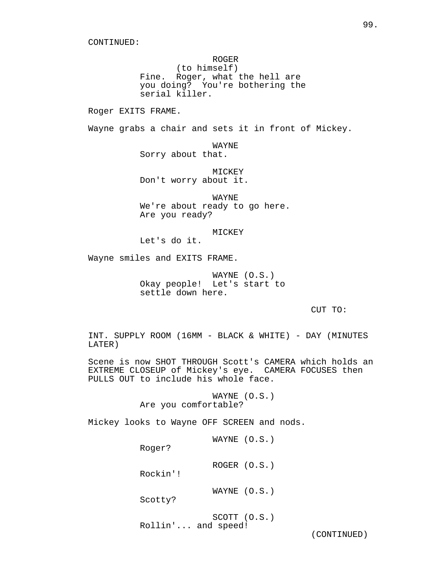## ROGER

(to himself) Fine. Roger, what the hell are you doing? You're bothering the serial killer.

Roger EXITS FRAME.

Wayne grabs a chair and sets it in front of Mickey.

WAYNE

Sorry about that.

**MICKEY** 

Don't worry about it.

WAYNE

We're about ready to go here. Are you ready?

MICKEY

Let's do it.

Wayne smiles and EXITS FRAME.

WAYNE (O.S.) Okay people! Let's start to settle down here.

CUT TO:

INT. SUPPLY ROOM (16MM - BLACK & WHITE) - DAY (MINUTES LATER)

Scene is now SHOT THROUGH Scott's CAMERA which holds an EXTREME CLOSEUP of Mickey's eye. CAMERA FOCUSES then PULLS OUT to include his whole face.

> WAYNE (O.S.) Are you comfortable?

Mickey looks to Wayne OFF SCREEN and nods.

Roger?

ROGER (O.S.)

Rockin'!

WAYNE (O.S.)

WAYNE (O.S.)

Scotty?

SCOTT (O.S.) Rollin'... and speed!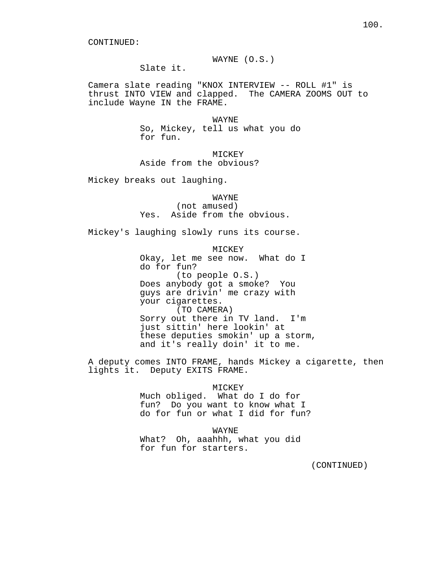# WAYNE (O.S.)

Slate it.

Camera slate reading "KNOX INTERVIEW -- ROLL #1" is thrust INTO VIEW and clapped. The CAMERA ZOOMS OUT to include Wayne IN the FRAME.

> WAYNE So, Mickey, tell us what you do for fun.

MICKEY Aside from the obvious?

Mickey breaks out laughing.

WAYNE

(not amused) Yes. Aside from the obvious.

Mickey's laughing slowly runs its course.

MICKEY

Okay, let me see now. What do I do for fun? (to people O.S.) Does anybody got a smoke? You guys are drivin' me crazy with your cigarettes. (TO CAMERA) Sorry out there in TV land. I'm just sittin' here lookin' at these deputies smokin' up a storm, and it's really doin' it to me.

A deputy comes INTO FRAME, hands Mickey a cigarette, then lights it. Deputy EXITS FRAME.

MICKEY

Much obliged. What do I do for fun? Do you want to know what I do for fun or what I did for fun?

WAYNE What? Oh, aaahhh, what you did for fun for starters.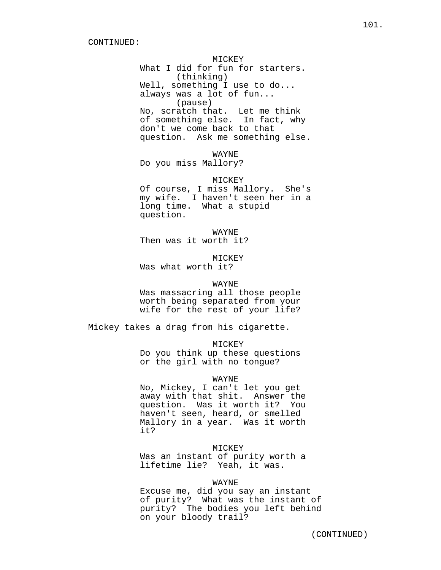### MICKEY

What I did for fun for starters. (thinking) Well, something I use to do... always was a lot of fun... (pause) No, scratch that. Let me think of something else. In fact, why don't we come back to that question. Ask me something else.

#### WAYNE

Do you miss Mallory?

#### MICKEY

Of course, I miss Mallory. She's my wife. I haven't seen her in a long time. What a stupid question.

WAYNE

Then was it worth it?

MICKEY

Was what worth it?

#### WAYNE

Was massacring all those people worth being separated from your wife for the rest of your life?

Mickey takes a drag from his cigarette.

### MICKEY

Do you think up these questions or the girl with no tongue?

#### WAYNE

No, Mickey, I can't let you get away with that shit. Answer the question. Was it worth it? You haven't seen, heard, or smelled Mallory in a year. Was it worth it?

#### MICKEY

Was an instant of purity worth a lifetime lie? Yeah, it was.

### WAYNE

Excuse me, did you say an instant of purity? What was the instant of purity? The bodies you left behind on your bloody trail?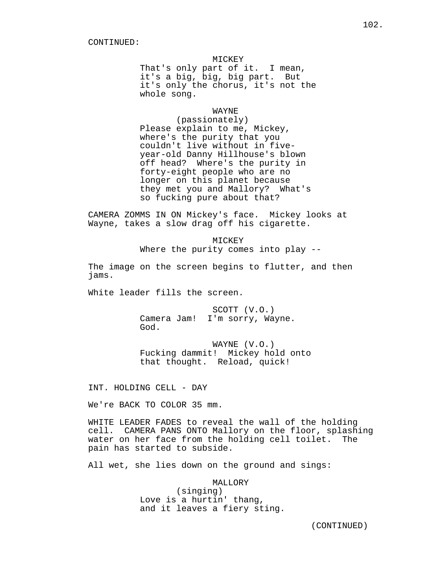### MICKEY

That's only part of it. I mean, it's a big, big, big part. But it's only the chorus, it's not the whole song.

# WAYNE

(passionately) Please explain to me, Mickey, where's the purity that you couldn't live without in fiveyear-old Danny Hillhouse's blown off head? Where's the purity in forty-eight people who are no longer on this planet because they met you and Mallory? What's so fucking pure about that?

CAMERA ZOMMS IN ON Mickey's face. Mickey looks at Wayne, takes a slow drag off his cigarette.

> MICKEY Where the purity comes into play --

The image on the screen begins to flutter, and then jams.

White leader fills the screen.

SCOTT (V.O.) Camera Jam! I'm sorry, Wayne. God.

WAYNE (V.O.) Fucking dammit! Mickey hold onto that thought. Reload, quick!

INT. HOLDING CELL - DAY

We're BACK TO COLOR 35 mm.

WHITE LEADER FADES to reveal the wall of the holding cell. CAMERA PANS ONTO Mallory on the floor, splashing water on her face from the holding cell toilet. The pain has started to subside.

All wet, she lies down on the ground and sings:

MALLORY (singing) Love is a hurtin' thang, and it leaves a fiery sting.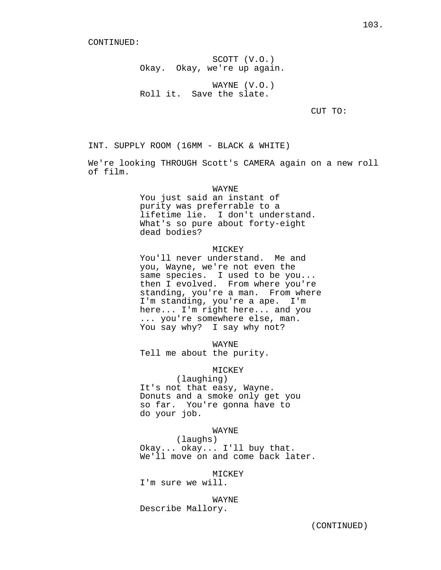SCOTT (V.O.) Okay. Okay, we're up again.

WAYNE (V.O.) Roll it. Save the slate.

CUT TO:

INT. SUPPLY ROOM (16MM - BLACK & WHITE)

We're looking THROUGH Scott's CAMERA again on a new roll of film.

#### WAYNE

You just said an instant of purity was preferrable to a lifetime lie. I don't understand. What's so pure about forty-eight dead bodies?

#### MICKEY

You'll never understand. Me and you, Wayne, we're not even the same species. I used to be you... then I evolved. From where you're standing, you're a man. From where I'm standing, you're a ape. I'm here... I'm right here... and you ... you're somewhere else, man. You say why? I say why not?

WAYNE

Tell me about the purity.

### MICKEY

(laughing) It's not that easy, Wayne. Donuts and a smoke only get you so far. You're gonna have to do your job.

### WAYNE

(laughs) Okay... okay... I'll buy that. We'll move on and come back later.

#### MICKEY

I'm sure we will.

WAYNE

Describe Mallory.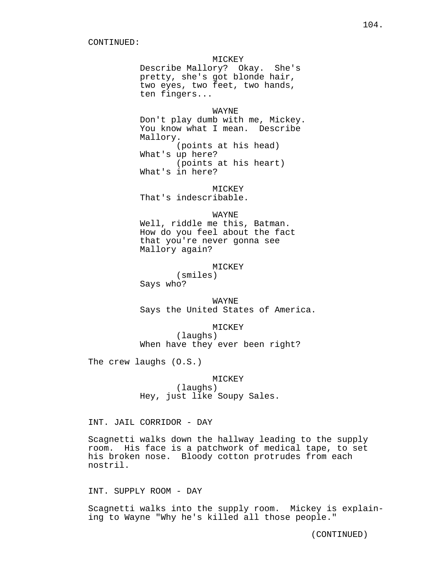#### MICKEY

Describe Mallory? Okay. She's pretty, she's got blonde hair, two eyes, two feet, two hands, ten fingers...

#### WAYNE

Don't play dumb with me, Mickey. You know what I mean. Describe Mallory. (points at his head) What's up here? (points at his heart) What's in here?

**MICKEY** That's indescribable.

#### WAYNE

Well, riddle me this, Batman. How do you feel about the fact that you're never gonna see Mallory again?

# MICKEY

(smiles) Says who?

WAYNE Says the United States of America.

#### MICKEY

(laughs) When have they ever been right?

The crew laughs (O.S.)

MICKEY (laughs) Hey, just like Soupy Sales.

INT. JAIL CORRIDOR - DAY

Scagnetti walks down the hallway leading to the supply room. His face is a patchwork of medical tape, to set his broken nose. Bloody cotton protrudes from each nostril.

INT. SUPPLY ROOM - DAY

Scagnetti walks into the supply room. Mickey is explaining to Wayne "Why he's killed all those people."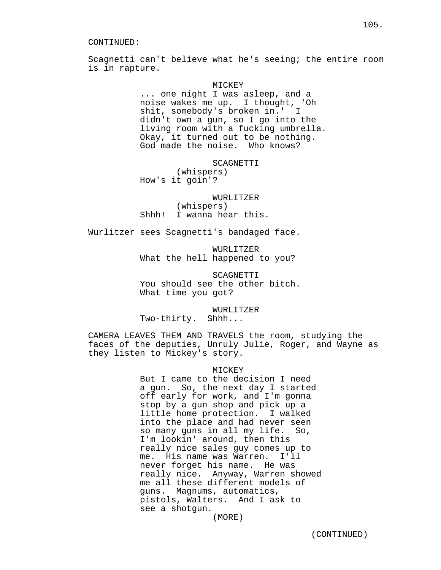Scagnetti can't believe what he's seeing; the entire room is in rapture.

### MICKEY

... one night I was asleep, and a noise wakes me up. I thought, 'Oh shit, somebody's broken in.' I didn't own a gun, so I go into the living room with a fucking umbrella. Okay, it turned out to be nothing. God made the noise. Who knows?

SCAGNETTI

(whispers) How's it goin'?

WURLITZER (whispers) Shhh! I wanna hear this.

Wurlitzer sees Scagnetti's bandaged face.

WURLITZER What the hell happened to you?

SCAGNETTI You should see the other bitch. What time you got?

WURLITZER Two-thirty. Shhh...

CAMERA LEAVES THEM AND TRAVELS the room, studying the faces of the deputies, Unruly Julie, Roger, and Wayne as they listen to Mickey's story.

#### MICKEY

But I came to the decision I need a gun. So, the next day I started off early for work, and I'm gonna stop by a gun shop and pick up a little home protection. I walked into the place and had never seen so many guns in all my life. So, I'm lookin' around, then this really nice sales guy comes up to me. His name was Warren. I'll never forget his name. He was really nice. Anyway, Warren showed me all these different models of guns. Magnums, automatics, pistols, Walters. And I ask to see a shotgun.

(MORE)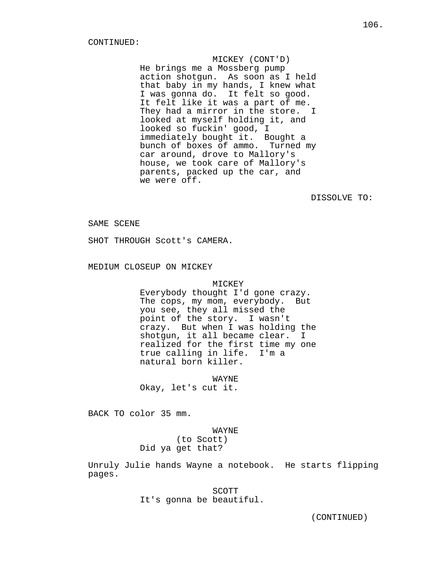# MICKEY (CONT'D)

He brings me a Mossberg pump action shotgun. As soon as I held that baby in my hands, I knew what I was gonna do. It felt so good. It felt like it was a part of me. They had a mirror in the store. I looked at myself holding it, and looked so fuckin' good, I immediately bought it. Bought a bunch of boxes of ammo. Turned my car around, drove to Mallory's house, we took care of Mallory's parents, packed up the car, and we were off.

DISSOLVE TO:

### SAME SCENE

SHOT THROUGH Scott's CAMERA.

MEDIUM CLOSEUP ON MICKEY

### MICKEY

Everybody thought I'd gone crazy. The cops, my mom, everybody. But you see, they all missed the point of the story. I wasn't crazy. But when I was holding the shotgun, it all became clear. I realized for the first time my one true calling in life. I'm a natural born killer.

WAYNE

Okay, let's cut it.

BACK TO color 35 mm.

### WAYNE

(to Scott) Did ya get that?

Unruly Julie hands Wayne a notebook. He starts flipping pages.

> SCOTT It's gonna be beautiful.

106.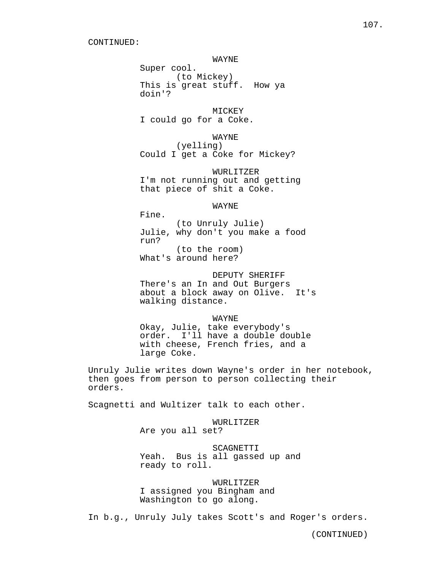### WAYNE

Super cool. (to Mickey) This is great stuff. How ya doin'?

MICKEY I could go for a Coke.

WAYNE

(yelling) Could I get a Coke for Mickey?

WURLITZER I'm not running out and getting that piece of shit a Coke.

### WAYNE

Fine. (to Unruly Julie) Julie, why don't you make a food run? (to the room) What's around here?

DEPUTY SHERIFF

There's an In and Out Burgers about a block away on Olive. It's walking distance.

WAYNE

Okay, Julie, take everybody's order. I'll have a double double with cheese, French fries, and a large Coke.

Unruly Julie writes down Wayne's order in her notebook, then goes from person to person collecting their orders.

Scagnetti and Wultizer talk to each other.

WURLITZER

Are you all set?

SCAGNETTI Yeah. Bus is all gassed up and ready to roll.

WURLITZER I assigned you Bingham and Washington to go along.

In b.g., Unruly July takes Scott's and Roger's orders.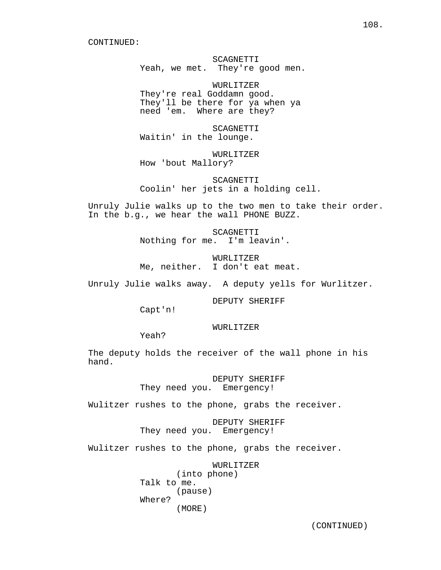SCAGNETTI Yeah, we met. They're good men.

WURLITZER They're real Goddamn good. They'll be there for ya when ya need 'em. Where are they?

SCAGNETTI Waitin' in the lounge.

WURLITZER How 'bout Mallory?

SCAGNETTI Coolin' her jets in a holding cell.

Unruly Julie walks up to the two men to take their order. In the b.g., we hear the wall PHONE BUZZ.

> SCAGNETTI Nothing for me. I'm leavin'.

WURLITZER Me, neither. I don't eat meat.

Unruly Julie walks away. A deputy yells for Wurlitzer.

DEPUTY SHERIFF

Capt'n!

#### WURLITZER

Yeah?

The deputy holds the receiver of the wall phone in his hand.

> DEPUTY SHERIFF They need you. Emergency!

Wulitzer rushes to the phone, grabs the receiver.

DEPUTY SHERIFF They need you. Emergency!

Wulitzer rushes to the phone, grabs the receiver.

WURLITZER (into phone) Talk to me. (pause) Where? (MORE)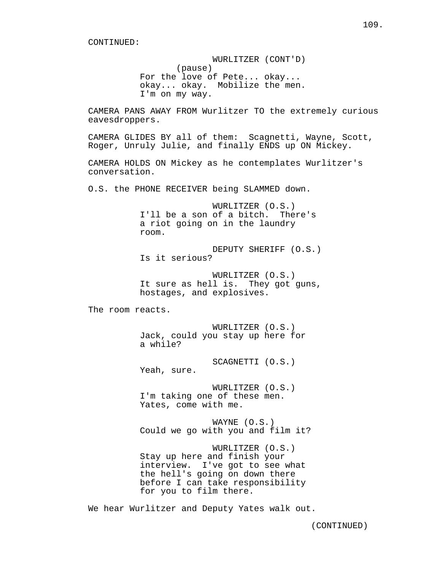WURLITZER (CONT'D) (pause) For the love of Pete... okay... okay... okay. Mobilize the men. I'm on my way.

CAMERA PANS AWAY FROM Wurlitzer TO the extremely curious eavesdroppers.

CAMERA GLIDES BY all of them: Scagnetti, Wayne, Scott, Roger, Unruly Julie, and finally ENDS up ON Mickey.

CAMERA HOLDS ON Mickey as he contemplates Wurlitzer's conversation.

O.S. the PHONE RECEIVER being SLAMMED down.

WURLITZER (O.S.) I'll be a son of a bitch. There's a riot going on in the laundry room.

DEPUTY SHERIFF (O.S.) Is it serious?

WURLITZER (O.S.) It sure as hell is. They got guns, hostages, and explosives.

The room reacts.

WURLITZER (O.S.) Jack, could you stay up here for a while?

SCAGNETTI (O.S.) Yeah, sure.

WURLITZER (O.S.) I'm taking one of these men. Yates, come with me.

WAYNE (O.S.) Could we go with you and film it?

WURLITZER (O.S.) Stay up here and finish your interview. I've got to see what the hell's going on down there before I can take responsibility for you to film there.

We hear Wurlitzer and Deputy Yates walk out.

109.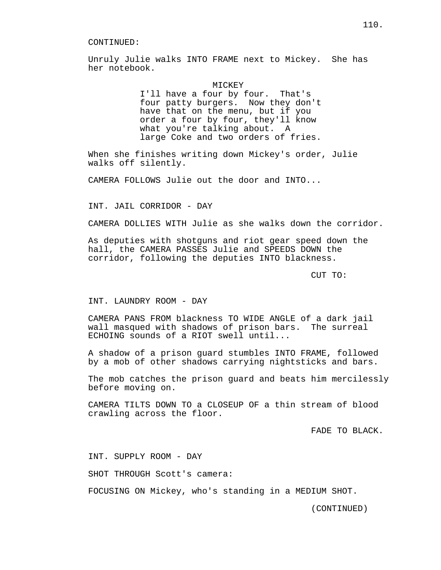Unruly Julie walks INTO FRAME next to Mickey. She has her notebook.

#### **MICKEY**

I'll have a four by four. That's four patty burgers. Now they don't have that on the menu, but if you order a four by four, they'll know what you're talking about. A large Coke and two orders of fries.

When she finishes writing down Mickey's order, Julie walks off silently.

CAMERA FOLLOWS Julie out the door and INTO...

INT. JAIL CORRIDOR - DAY

CAMERA DOLLIES WITH Julie as she walks down the corridor.

As deputies with shotguns and riot gear speed down the hall, the CAMERA PASSES Julie and SPEEDS DOWN the corridor, following the deputies INTO blackness.

CUT TO:

INT. LAUNDRY ROOM - DAY

CAMERA PANS FROM blackness TO WIDE ANGLE of a dark jail wall masqued with shadows of prison bars. The surreal ECHOING sounds of a RIOT swell until...

A shadow of a prison guard stumbles INTO FRAME, followed by a mob of other shadows carrying nightsticks and bars.

The mob catches the prison guard and beats him mercilessly before moving on.

CAMERA TILTS DOWN TO a CLOSEUP OF a thin stream of blood crawling across the floor.

FADE TO BLACK.

INT. SUPPLY ROOM - DAY

SHOT THROUGH Scott's camera:

FOCUSING ON Mickey, who's standing in a MEDIUM SHOT.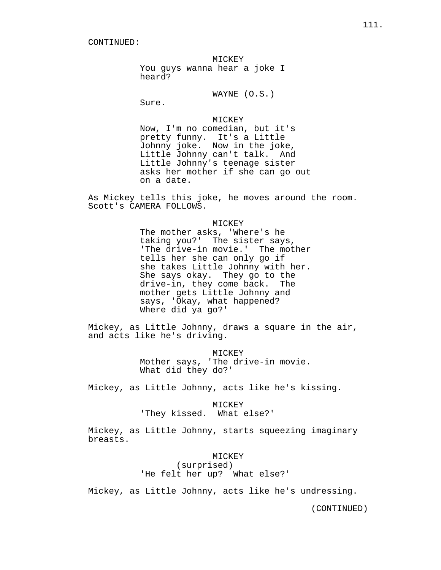You guys wanna hear a joke I heard?

WAYNE (O.S.)

Sure.

# MICKEY

Now, I'm no comedian, but it's pretty funny. It's a Little Johnny joke. Now in the joke, Little Johnny can't talk. And Little Johnny's teenage sister asks her mother if she can go out on a date.

As Mickey tells this joke, he moves around the room. Scott's CAMERA FOLLOWS.

#### MICKEY

The mother asks, 'Where's he taking you?' The sister says, 'The drive-in movie.' The mother tells her she can only go if she takes Little Johnny with her. She says okay. They go to the drive-in, they come back. The mother gets Little Johnny and says, 'Okay, what happened? Where did ya go?'

Mickey, as Little Johnny, draws a square in the air, and acts like he's driving.

> MICKEY Mother says, 'The drive-in movie. What did they do?'

Mickey, as Little Johnny, acts like he's kissing.

# MICKEY 'They kissed. What else?'

Mickey, as Little Johnny, starts squeezing imaginary breasts.

> MICKEY (surprised) 'He felt her up? What else?'

Mickey, as Little Johnny, acts like he's undressing.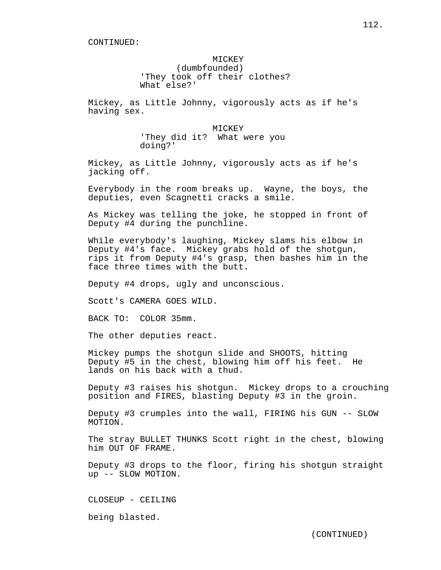(dumbfounded) 'They took off their clothes? What else?'

Mickey, as Little Johnny, vigorously acts as if he's having sex.

> MICKEY 'They did it? What were you doing?'

Mickey, as Little Johnny, vigorously acts as if he's jacking off.

Everybody in the room breaks up. Wayne, the boys, the deputies, even Scagnetti cracks a smile.

As Mickey was telling the joke, he stopped in front of Deputy #4 during the punchline.

While everybody's laughing, Mickey slams his elbow in Deputy #4's face. Mickey grabs hold of the shotgun, rips it from Deputy #4's grasp, then bashes him in the face three times with the butt.

Deputy #4 drops, ugly and unconscious.

Scott's CAMERA GOES WILD.

BACK TO: COLOR 35mm.

The other deputies react.

Mickey pumps the shotgun slide and SHOOTS, hitting Deputy #5 in the chest, blowing him off his feet. He lands on his back with a thud.

Deputy #3 raises his shotgun. Mickey drops to a crouching position and FIRES, blasting Deputy #3 in the groin.

Deputy #3 crumples into the wall, FIRING his GUN -- SLOW MOTION.

The stray BULLET THUNKS Scott right in the chest, blowing him OUT OF FRAME.

Deputy #3 drops to the floor, firing his shotgun straight up -- SLOW MOTION.

CLOSEUP - CEILING

being blasted.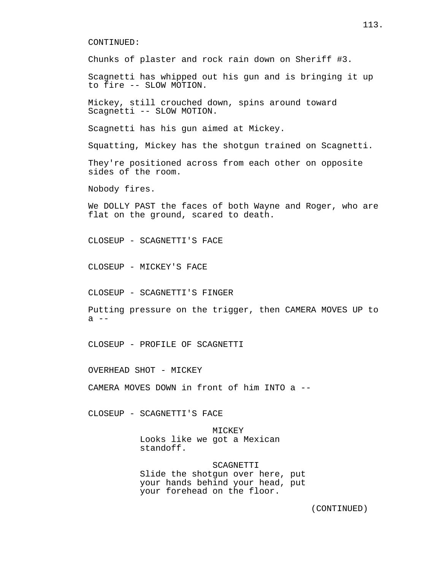Chunks of plaster and rock rain down on Sheriff #3.

Scagnetti has whipped out his gun and is bringing it up to fire -- SLOW MOTION.

Mickey, still crouched down, spins around toward Scagnetti -- SLOW MOTION.

Scagnetti has his gun aimed at Mickey.

Squatting, Mickey has the shotgun trained on Scagnetti.

They're positioned across from each other on opposite sides of the room.

Nobody fires.

We DOLLY PAST the faces of both Wayne and Roger, who are flat on the ground, scared to death.

CLOSEUP - SCAGNETTI'S FACE

CLOSEUP - MICKEY'S FACE

CLOSEUP - SCAGNETTI'S FINGER

Putting pressure on the trigger, then CAMERA MOVES UP to  $a$   $-$ 

CLOSEUP - PROFILE OF SCAGNETTI

OVERHEAD SHOT - MICKEY

CAMERA MOVES DOWN in front of him INTO a --

CLOSEUP - SCAGNETTI'S FACE

MICKEY Looks like we got a Mexican standoff.

SCAGNETTI Slide the shotgun over here, put your hands behind your head, put your forehead on the floor.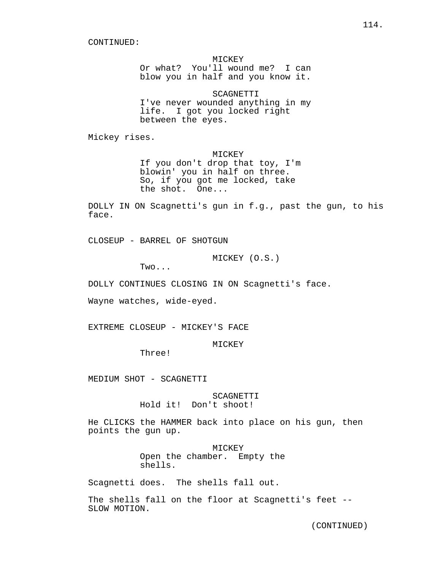Or what? You'll wound me? I can blow you in half and you know it.

SCAGNETTI I've never wounded anything in my life. I got you locked right between the eyes.

Mickey rises.

#### MICKEY

If you don't drop that toy, I'm blowin' you in half on three. So, if you got me locked, take the shot. One...

DOLLY IN ON Scagnetti's gun in f.g., past the gun, to his face.

CLOSEUP - BARREL OF SHOTGUN

MICKEY (O.S.)

Two...

DOLLY CONTINUES CLOSING IN ON Scagnetti's face.

Wayne watches, wide-eyed.

EXTREME CLOSEUP - MICKEY'S FACE

# MICKEY

Three!

MEDIUM SHOT - SCAGNETTI

SCAGNETTI Hold it! Don't shoot!

He CLICKS the HAMMER back into place on his gun, then points the gun up.

> MICKEY Open the chamber. Empty the shells.

Scagnetti does. The shells fall out.

The shells fall on the floor at Scagnetti's feet -- SLOW MOTION.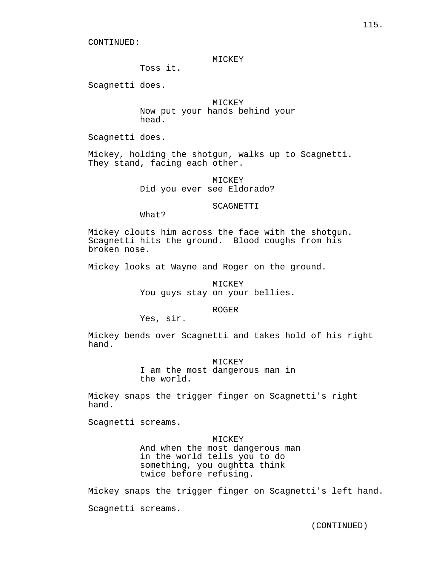# MICKEY

Toss it.

Scagnetti does.

# MICKEY

Now put your hands behind your head.

Scagnetti does.

Mickey, holding the shotgun, walks up to Scagnetti. They stand, facing each other.

# MICKEY Did you ever see Eldorado?

# SCAGNETTI

What?

Mickey clouts him across the face with the shotgun. Scagnetti hits the ground. Blood coughs from his broken nose.

Mickey looks at Wayne and Roger on the ground.

#### MICKEY

You guys stay on your bellies.

# ROGER

Yes, sir.

Mickey bends over Scagnetti and takes hold of his right hand.

# **MICKEY**

I am the most dangerous man in the world.

Mickey snaps the trigger finger on Scagnetti's right hand.

Scagnetti screams.

# MICKEY

And when the most dangerous man in the world tells you to do something, you oughtta think twice before refusing.

Mickey snaps the trigger finger on Scagnetti's left hand.

Scagnetti screams.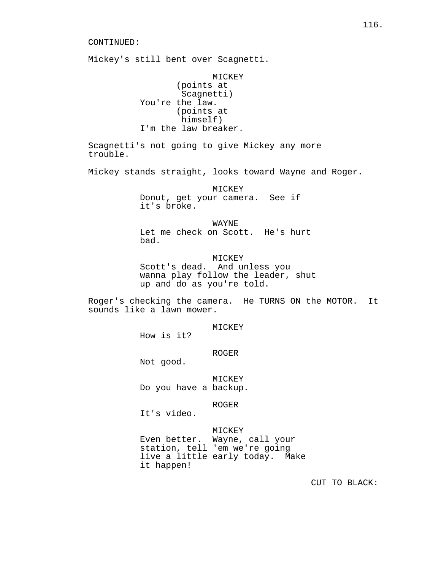Mickey's still bent over Scagnetti.

MICKEY (points at Scagnetti) You're the law. (points at himself) I'm the law breaker.

Scagnetti's not going to give Mickey any more trouble.

Mickey stands straight, looks toward Wayne and Roger.

MICKEY Donut, get your camera. See if it's broke.

WAYNE Let me check on Scott. He's hurt bad.

MICKEY Scott's dead. And unless you wanna play follow the leader, shut up and do as you're told.

Roger's checking the camera. He TURNS ON the MOTOR. It sounds like a lawn mower.

MICKEY

How is it?

ROGER

Not good.

MICKEY Do you have a backup.

ROGER

It's video.

MICKEY

Even better. Wayne, call your station, tell 'em we're going live a little early today. Make it happen!

CUT TO BLACK: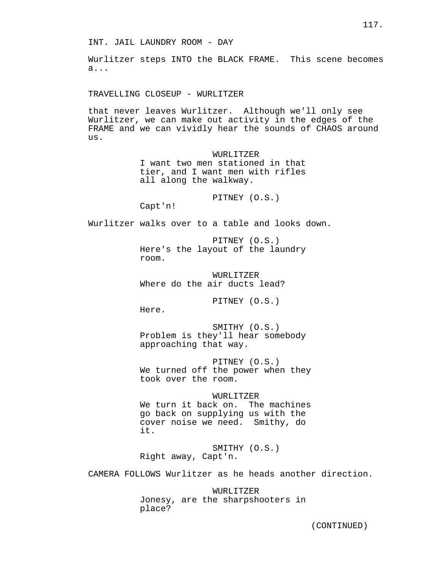INT. JAIL LAUNDRY ROOM - DAY

Wurlitzer steps INTO the BLACK FRAME. This scene becomes a...

TRAVELLING CLOSEUP - WURLITZER

that never leaves Wurlitzer. Although we'll only see Wurlitzer, we can make out activity in the edges of the FRAME and we can vividly hear the sounds of CHAOS around us.

> WURLITTZER I want two men stationed in that tier, and I want men with rifles all along the walkway.

> > PITNEY (O.S.)

Capt'n!

Wurlitzer walks over to a table and looks down.

PITNEY (O.S.) Here's the layout of the laundry room.

WURLITZER Where do the air ducts lead?

PITNEY (O.S.)

Here.

SMITHY (O.S.) Problem is they'll hear somebody approaching that way.

PITNEY (O.S.) We turned off the power when they took over the room.

WURLITZER We turn it back on. The machines go back on supplying us with the cover noise we need. Smithy, do it.

SMITHY (O.S.) Right away, Capt'n.

CAMERA FOLLOWS Wurlitzer as he heads another direction.

WURLITZER Jonesy, are the sharpshooters in place?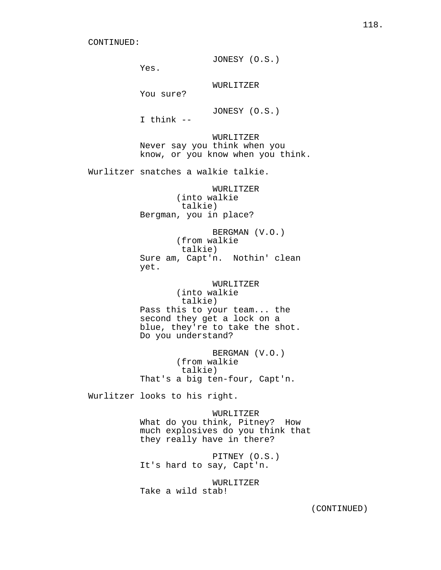Yes.

WURLITZER

You sure?

JONESY (O.S.)

I think --

WURLITZER Never say you think when you know, or you know when you think.

Wurlitzer snatches a walkie talkie.

WURLITZER (into walkie talkie) Bergman, you in place?

BERGMAN (V.O.) (from walkie talkie) Sure am, Capt'n. Nothin' clean yet.

WURLITZER (into walkie talkie) Pass this to your team... the second they get a lock on a blue, they're to take the shot. Do you understand?

BERGMAN (V.O.) (from walkie talkie) That's a big ten-four, Capt'n.

Wurlitzer looks to his right.

WURLITZER What do you think, Pitney? How much explosives do you think that they really have in there?

PITNEY (O.S.) It's hard to say, Capt'n.

WURLITZER Take a wild stab!

118.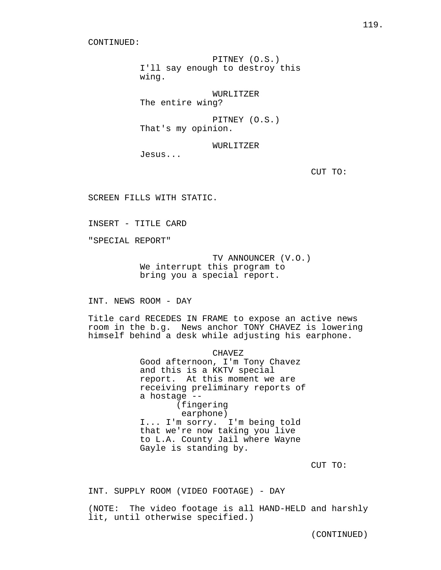PITNEY (O.S.) I'll say enough to destroy this wing.

WURLITZER The entire wing?

PITNEY (O.S.) That's my opinion.

WURLITZER

Jesus...

CUT TO:

SCREEN FILLS WITH STATIC.

INSERT - TITLE CARD

"SPECIAL REPORT"

TV ANNOUNCER (V.O.) We interrupt this program to bring you a special report.

INT. NEWS ROOM - DAY

Title card RECEDES IN FRAME to expose an active news room in the b.g. News anchor TONY CHAVEZ is lowering himself behind a desk while adjusting his earphone.

> CHAVEZ Good afternoon, I'm Tony Chavez and this is a KKTV special report. At this moment we are receiving preliminary reports of a hostage -- (fingering earphone) I... I'm sorry. I'm being told that we're now taking you live to L.A. County Jail where Wayne Gayle is standing by.

> > CUT TO:

INT. SUPPLY ROOM (VIDEO FOOTAGE) - DAY

(NOTE: The video footage is all HAND-HELD and harshly lit, until otherwise specified.)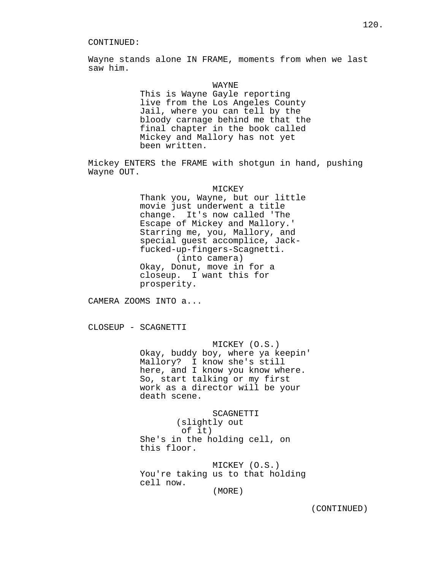Wayne stands alone IN FRAME, moments from when we last saw him.

## WAYNE

This is Wayne Gayle reporting live from the Los Angeles County Jail, where you can tell by the bloody carnage behind me that the final chapter in the book called Mickey and Mallory has not yet been written.

Mickey ENTERS the FRAME with shotgun in hand, pushing Wayne OUT.

#### MICKEY

Thank you, Wayne, but our little movie just underwent a title change. It's now called 'The Escape of Mickey and Mallory.' Starring me, you, Mallory, and special guest accomplice, Jackfucked-up-fingers-Scagnetti. (into camera) Okay, Donut, move in for a closeup. I want this for prosperity.

CAMERA ZOOMS INTO a...

CLOSEUP - SCAGNETTI

MICKEY (O.S.) Okay, buddy boy, where ya keepin' Mallory? I know she's still here, and I know you know where. So, start talking or my first work as a director will be your death scene.

SCAGNETTI (slightly out of it) She's in the holding cell, on this floor.

MICKEY (O.S.) You're taking us to that holding cell now.

(MORE)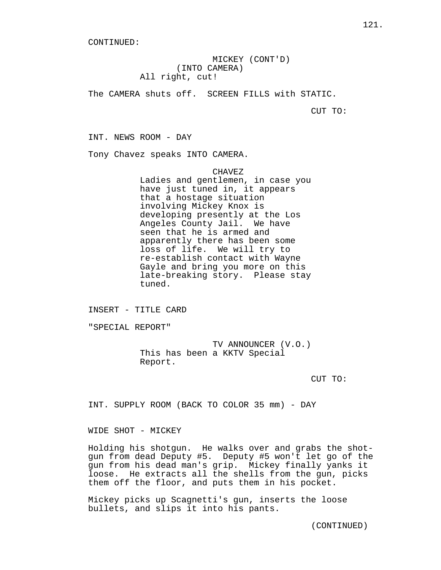MICKEY (CONT'D) (INTO CAMERA) All right, cut!

The CAMERA shuts off. SCREEN FILLS with STATIC.

CUT TO:

INT. NEWS ROOM - DAY

Tony Chavez speaks INTO CAMERA.

CHAVEZ

Ladies and gentlemen, in case you have just tuned in, it appears that a hostage situation involving Mickey Knox is developing presently at the Los Angeles County Jail. We have seen that he is armed and apparently there has been some loss of life. We will try to re-establish contact with Wayne Gayle and bring you more on this late-breaking story. Please stay tuned.

INSERT - TITLE CARD

"SPECIAL REPORT"

TV ANNOUNCER (V.O.) This has been a KKTV Special Report.

CUT TO:

INT. SUPPLY ROOM (BACK TO COLOR 35 mm) - DAY

WIDE SHOT - MICKEY

Holding his shotgun. He walks over and grabs the shotgun from dead Deputy #5. Deputy #5 won't let go of the gun from his dead man's grip. Mickey finally yanks it loose. He extracts all the shells from the gun, picks them off the floor, and puts them in his pocket.

Mickey picks up Scagnetti's gun, inserts the loose bullets, and slips it into his pants.

121.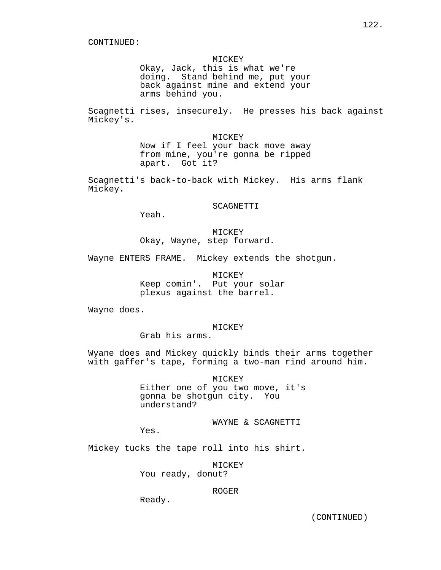#### MICKEY

Okay, Jack, this is what we're doing. Stand behind me, put your back against mine and extend your arms behind you.

Scagnetti rises, insecurely. He presses his back against Mickey's.

> MICKEY Now if I feel your back move away from mine, you're gonna be ripped apart. Got it?

Scagnetti's back-to-back with Mickey. His arms flank Mickey.

# SCAGNETTI

Yeah.

MICKEY Okay, Wayne, step forward.

Wayne ENTERS FRAME. Mickey extends the shotgun.

MICKEY Keep comin'. Put your solar plexus against the barrel.

Wayne does.

#### MICKEY

Grab his arms.

Wyane does and Mickey quickly binds their arms together with gaffer's tape, forming a two-man rind around him.

> MICKEY Either one of you two move, it's gonna be shotgun city. You understand?

> > WAYNE & SCAGNETTI

Yes.

Mickey tucks the tape roll into his shirt.

MICKEY You ready, donut?

ROGER

Ready.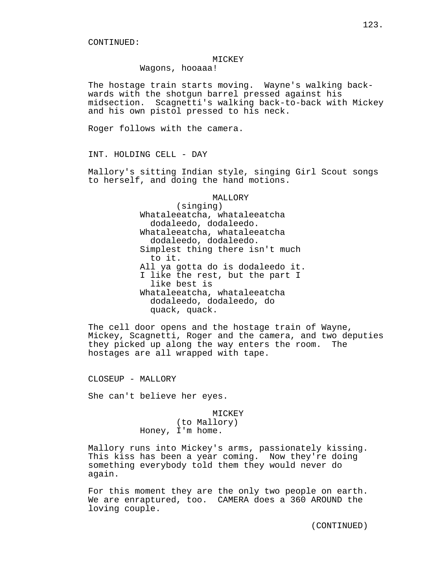Wagons, hooaaa!

The hostage train starts moving. Wayne's walking backwards with the shotgun barrel pressed against his midsection. Scagnetti's walking back-to-back with Mickey and his own pistol pressed to his neck.

Roger follows with the camera.

INT. HOLDING CELL - DAY

Mallory's sitting Indian style, singing Girl Scout songs to herself, and doing the hand motions.

MALLORY

(singing) Whataleeatcha, whataleeatcha dodaleedo, dodaleedo. Whataleeatcha, whataleeatcha dodaleedo, dodaleedo. Simplest thing there isn't much to it. All ya gotta do is dodaleedo it. I like the rest, but the part I like best is Whataleeatcha, whataleeatcha dodaleedo, dodaleedo, do quack, quack.

The cell door opens and the hostage train of Wayne, Mickey, Scagnetti, Roger and the camera, and two deputies they picked up along the way enters the room. The hostages are all wrapped with tape.

CLOSEUP - MALLORY

She can't believe her eyes.

#### MICKEY

(to Mallory) Honey, I'm home.

Mallory runs into Mickey's arms, passionately kissing. This kiss has been a year coming. Now they're doing something everybody told them they would never do again.

For this moment they are the only two people on earth. We are enraptured, too. CAMERA does a 360 AROUND the loving couple.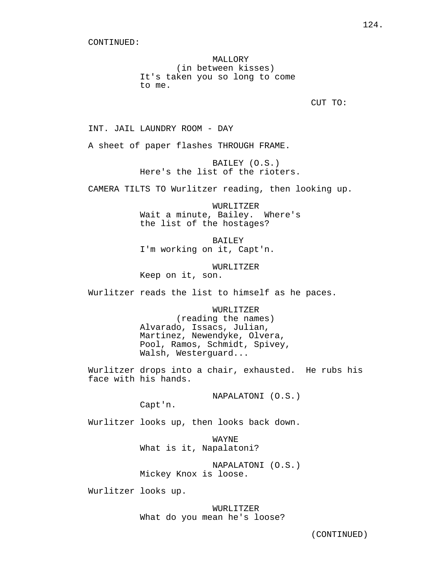MALLORY (in between kisses) It's taken you so long to come to me.

CUT TO:

INT. JAIL LAUNDRY ROOM - DAY

A sheet of paper flashes THROUGH FRAME.

BAILEY (O.S.) Here's the list of the rioters.

CAMERA TILTS TO Wurlitzer reading, then looking up.

WURLITZER Wait a minute, Bailey. Where's the list of the hostages?

BAILEY I'm working on it, Capt'n.

WURLITZER Keep on it, son.

Wurlitzer reads the list to himself as he paces.

WURLITZER (reading the names) Alvarado, Issacs, Julian, Martinez, Newendyke, Olvera, Pool, Ramos, Schmidt, Spivey, Walsh, Westerguard...

Wurlitzer drops into a chair, exhausted. He rubs his face with his hands.

NAPALATONI (O.S.)

Capt'n.

Wurlitzer looks up, then looks back down.

WAYNE What is it, Napalatoni?

NAPALATONI (O.S.) Mickey Knox is loose.

Wurlitzer looks up.

WURLITZER What do you mean he's loose?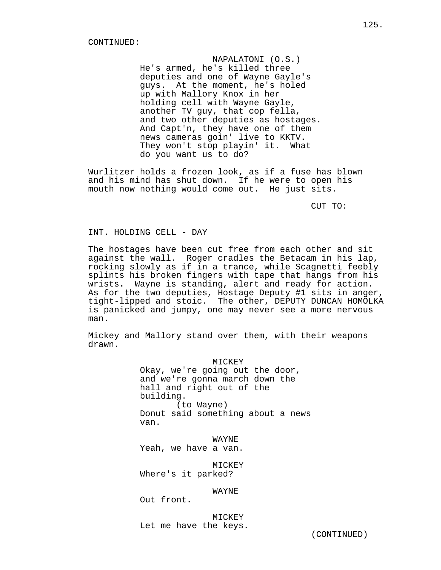NAPALATONI (O.S.) He's armed, he's killed three deputies and one of Wayne Gayle's guys. At the moment, he's holed up with Mallory Knox in her holding cell with Wayne Gayle, another TV guy, that cop fella, and two other deputies as hostages. And Capt'n, they have one of them news cameras goin' live to KKTV. They won't stop playin' it. What do you want us to do?

Wurlitzer holds a frozen look, as if a fuse has blown and his mind has shut down. If he were to open his mouth now nothing would come out. He just sits.

CUT TO:

INT. HOLDING CELL - DAY

The hostages have been cut free from each other and sit against the wall. Roger cradles the Betacam in his lap, rocking slowly as if in a trance, while Scagnetti feebly splints his broken fingers with tape that hangs from his wrists. Wayne is standing, alert and ready for action. As for the two deputies, Hostage Deputy #1 sits in anger, tight-lipped and stoic. The other, DEPUTY DUNCAN HOMOLKA is panicked and jumpy, one may never see a more nervous man.

Mickey and Mallory stand over them, with their weapons drawn.

> MICKEY Okay, we're going out the door, and we're gonna march down the hall and right out of the building. (to Wayne) Donut said something about a news van.

WAYNE Yeah, we have a van.

MICKEY Where's it parked?

# WAYNE

Out front.

**MICKEY** Let me have the keys.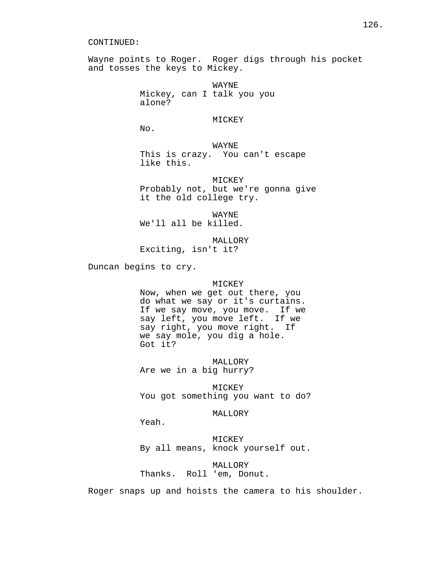Wayne points to Roger. Roger digs through his pocket and tosses the keys to Mickey.

> WAYNE Mickey, can I talk you you alone?

> > MICKEY

No.

WAYNE This is crazy. You can't escape like this.

MICKEY Probably not, but we're gonna give it the old college try.

WAYNE We'll all be killed.

MALLORY Exciting, isn't it?

Duncan begins to cry.

#### MICKEY

Now, when we get out there, you do what we say or it's curtains. If we say move, you move. If we say left, you move left. If we say right, you move right. If we say mole, you dig a hole. Got it?

MALLORY

Are we in a big hurry?

MICKEY You got something you want to do?

#### MALLORY

Yeah.

MICKEY By all means, knock yourself out.

MALLORY Thanks. Roll 'em, Donut.

Roger snaps up and hoists the camera to his shoulder.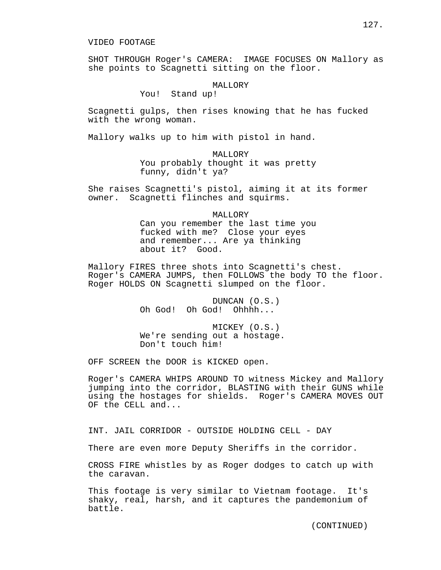VIDEO FOOTAGE

SHOT THROUGH Roger's CAMERA: IMAGE FOCUSES ON Mallory as she points to Scagnetti sitting on the floor.

MALLORY

You! Stand up!

Scagnetti gulps, then rises knowing that he has fucked with the wrong woman.

Mallory walks up to him with pistol in hand.

MALLORY You probably thought it was pretty funny, didn't ya?

She raises Scagnetti's pistol, aiming it at its former owner. Scagnetti flinches and squirms.

> MALLORY Can you remember the last time you fucked with me? Close your eyes and remember... Are ya thinking about it? Good.

Mallory FIRES three shots into Scagnetti's chest. Roger's CAMERA JUMPS, then FOLLOWS the body TO the floor. Roger HOLDS ON Scagnetti slumped on the floor.

> DUNCAN (O.S.) Oh God! Oh God! Ohhhh...

MICKEY (O.S.) We're sending out a hostage. Don't touch him!

OFF SCREEN the DOOR is KICKED open.

Roger's CAMERA WHIPS AROUND TO witness Mickey and Mallory jumping into the corridor, BLASTING with their GUNS while using the hostages for shields. Roger's CAMERA MOVES OUT OF the CELL and...

INT. JAIL CORRIDOR - OUTSIDE HOLDING CELL - DAY

There are even more Deputy Sheriffs in the corridor.

CROSS FIRE whistles by as Roger dodges to catch up with the caravan.

This footage is very similar to Vietnam footage. It's shaky, real, harsh, and it captures the pandemonium of battle.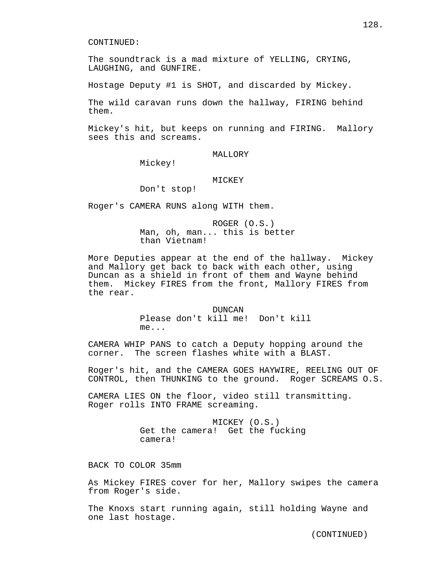The soundtrack is a mad mixture of YELLING, CRYING, LAUGHING, and GUNFIRE.

Hostage Deputy #1 is SHOT, and discarded by Mickey.

The wild caravan runs down the hallway, FIRING behind them.

Mickey's hit, but keeps on running and FIRING. Mallory sees this and screams.

# MALLORY

Mickey!

# MICKEY

Don't stop!

Roger's CAMERA RUNS along WITH them.

ROGER (O.S.) Man, oh, man... this is better than Vietnam!

More Deputies appear at the end of the hallway. Mickey and Mallory get back to back with each other, using Duncan as a shield in front of them and Wayne behind them. Mickey FIRES from the front, Mallory FIRES from the rear.

> DUNCAN Please don't kill me! Don't kill me...

CAMERA WHIP PANS to catch a Deputy hopping around the corner. The screen flashes white with a BLAST.

Roger's hit, and the CAMERA GOES HAYWIRE, REELING OUT OF CONTROL, then THUNKING to the ground. Roger SCREAMS O.S.

CAMERA LIES ON the floor, video still transmitting. Roger rolls INTO FRAME screaming.

> MICKEY (O.S.) Get the camera! Get the fucking camera!

BACK TO COLOR 35mm

As Mickey FIRES cover for her, Mallory swipes the camera from Roger's side.

The Knoxs start running again, still holding Wayne and one last hostage.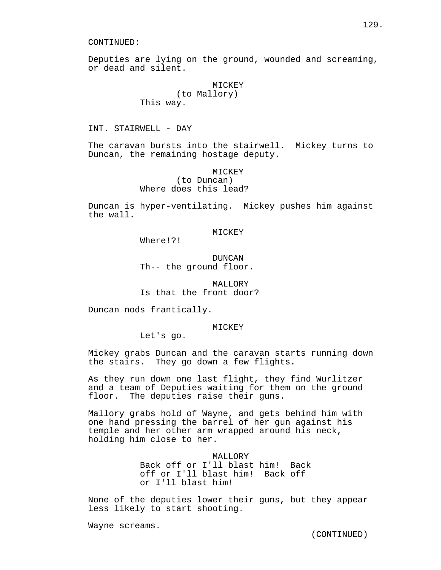Deputies are lying on the ground, wounded and screaming, or dead and silent.

> **MICKEY** (to Mallory) This way.

INT. STAIRWELL - DAY

The caravan bursts into the stairwell. Mickey turns to Duncan, the remaining hostage deputy.

> **MICKEY** (to Duncan) Where does this lead?

Duncan is hyper-ventilating. Mickey pushes him against the wall.

MICKEY

Where!?!

DUNCAN Th-- the ground floor.

MALLORY Is that the front door?

Duncan nods frantically.

# MICKEY

Let's go.

Mickey grabs Duncan and the caravan starts running down the stairs. They go down a few flights.

As they run down one last flight, they find Wurlitzer and a team of Deputies waiting for them on the ground floor. The deputies raise their guns.

Mallory grabs hold of Wayne, and gets behind him with one hand pressing the barrel of her gun against his temple and her other arm wrapped around his neck, holding him close to her.

> MALLORY Back off or I'll blast him! Back off or I'll blast him! Back off or I'll blast him!

None of the deputies lower their guns, but they appear less likely to start shooting.

Wayne screams.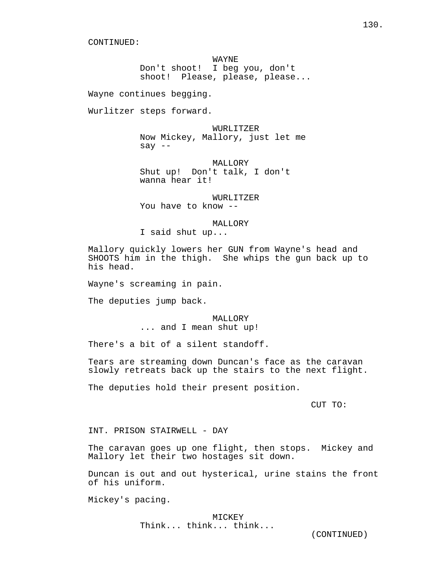WAYNE

Don't shoot! I beg you, don't shoot! Please, please, please...

Wayne continues begging.

Wurlitzer steps forward.

WURLITZER Now Mickey, Mallory, just let me say  $--$ 

MALLORY Shut up! Don't talk, I don't wanna hear it!

WURLITZER You have to know --

#### MALLORY

I said shut up...

Mallory quickly lowers her GUN from Wayne's head and SHOOTS him in the thigh. She whips the gun back up to his head.

Wayne's screaming in pain.

The deputies jump back.

MALLORY

... and I mean shut up!

There's a bit of a silent standoff.

Tears are streaming down Duncan's face as the caravan slowly retreats back up the stairs to the next flight.

The deputies hold their present position.

CUT TO:

INT. PRISON STAIRWELL - DAY

The caravan goes up one flight, then stops. Mickey and Mallory let their two hostages sit down.

Duncan is out and out hysterical, urine stains the front of his uniform.

Mickey's pacing.

MICKEY Think... think... think...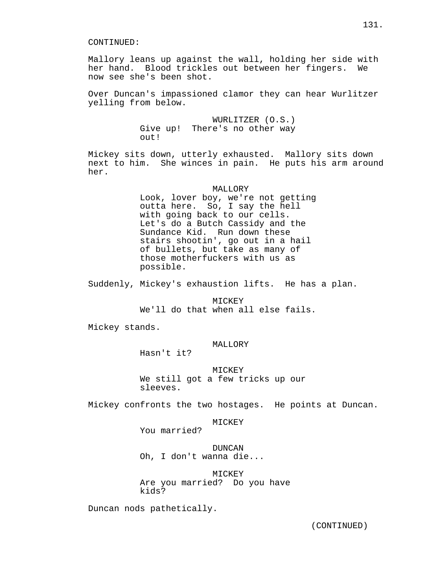Mallory leans up against the wall, holding her side with her hand. Blood trickles out between her fingers. We now see she's been shot.

Over Duncan's impassioned clamor they can hear Wurlitzer yelling from below.

> WURLITZER (O.S.) Give up! There's no other way out!

Mickey sits down, utterly exhausted. Mallory sits down next to him. She winces in pain. He puts his arm around her.

#### MALLORY

Look, lover boy, we're not getting outta here. So, I say the hell with going back to our cells. Let's do a Butch Cassidy and the Sundance Kid. Run down these stairs shootin', go out in a hail of bullets, but take as many of those motherfuckers with us as possible.

Suddenly, Mickey's exhaustion lifts. He has a plan.

MICKEY We'll do that when all else fails.

Mickey stands.

# MALLORY

Hasn't it?

MICKEY We still got a few tricks up our sleeves.

Mickey confronts the two hostages. He points at Duncan.

# MICKEY

You married?

DUNCAN Oh, I don't wanna die...

MICKEY Are you married? Do you have kids?

Duncan nods pathetically.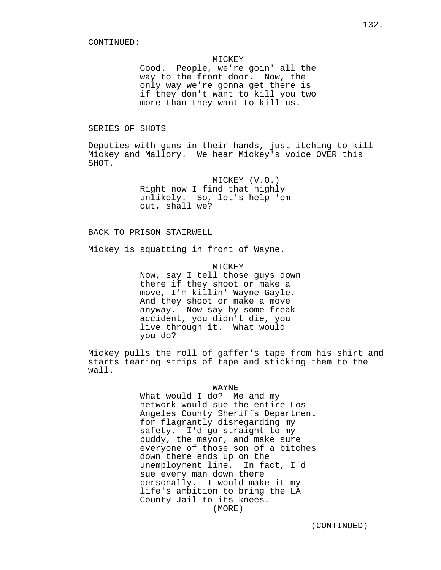Good. People, we're goin' all the way to the front door. Now, the only way we're gonna get there is if they don't want to kill you two more than they want to kill us.

# SERIES OF SHOTS

Deputies with guns in their hands, just itching to kill Mickey and Mallory. We hear Mickey's voice OVER this SHOT.

> MICKEY (V.O.) Right now I find that highly unlikely. So, let's help 'em out, shall we?

# BACK TO PRISON STAIRWELL

Mickey is squatting in front of Wayne.

MICKEY

Now, say I tell those guys down there if they shoot or make a move, I'm killin' Wayne Gayle. And they shoot or make a move anyway. Now say by some freak accident, you didn't die, you live through it. What would you do?

Mickey pulls the roll of gaffer's tape from his shirt and starts tearing strips of tape and sticking them to the wall.

#### WAYNE

What would I do? Me and my network would sue the entire Los Angeles County Sheriffs Department for flagrantly disregarding my safety. I'd go straight to my buddy, the mayor, and make sure everyone of those son of a bitches down there ends up on the unemployment line. In fact, I'd sue every man down there personally. I would make it my life's ambition to bring the LA County Jail to its knees. (MORE)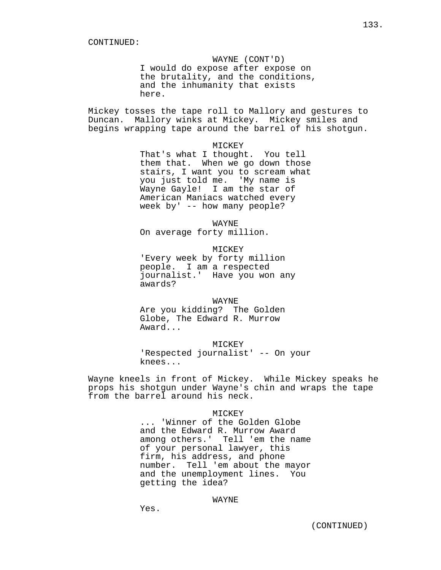# WAYNE (CONT'D)

I would do expose after expose on the brutality, and the conditions, and the inhumanity that exists here.

Mickey tosses the tape roll to Mallory and gestures to Duncan. Mallory winks at Mickey. Mickey smiles and begins wrapping tape around the barrel of his shotgun.

#### MICKEY

That's what I thought. You tell them that. When we go down those stairs, I want you to scream what you just told me. 'My name is Wayne Gayle! I am the star of American Maniacs watched every week by' -- how many people?

#### WAYNE

On average forty million.

# MICKEY

'Every week by forty million people. I am a respected journalist.' Have you won any awards?

# WAYNE

Are you kidding? The Golden Globe, The Edward R. Murrow Award...

# MICKEY

'Respected journalist' -- On your knees...

Wayne kneels in front of Mickey. While Mickey speaks he props his shotgun under Wayne's chin and wraps the tape from the barrel around his neck.

#### MICKEY

... 'Winner of the Golden Globe and the Edward R. Murrow Award among others.' Tell 'em the name of your personal lawyer, this firm, his address, and phone number. Tell 'em about the mayor and the unemployment lines. You getting the idea?

# WAYNE

Yes.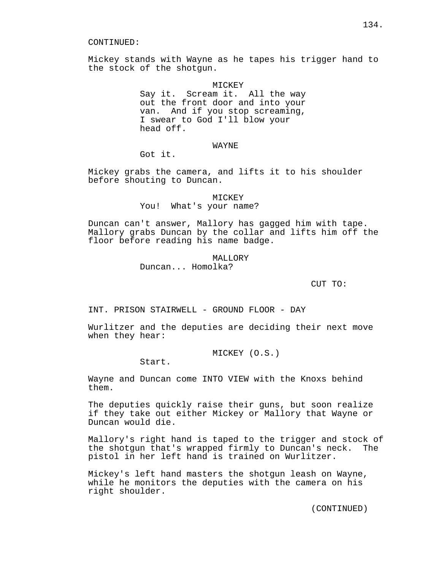Mickey stands with Wayne as he tapes his trigger hand to the stock of the shotgun.

> MICKEY Say it. Scream it. All the way out the front door and into your van. And if you stop screaming, I swear to God I'll blow your head off.

#### WAYNE

Got it.

Mickey grabs the camera, and lifts it to his shoulder before shouting to Duncan.

# MICKEY

You! What's your name?

Duncan can't answer, Mallory has gagged him with tape. Mallory grabs Duncan by the collar and lifts him off the floor before reading his name badge.

> MALLORY Duncan... Homolka?

> > CUT TO:

INT. PRISON STAIRWELL - GROUND FLOOR - DAY

Wurlitzer and the deputies are deciding their next move when they hear:

MICKEY (O.S.)

Start.

Wayne and Duncan come INTO VIEW with the Knoxs behind them.

The deputies quickly raise their guns, but soon realize if they take out either Mickey or Mallory that Wayne or Duncan would die.

Mallory's right hand is taped to the trigger and stock of the shotgun that's wrapped firmly to Duncan's neck. The pistol in her left hand is trained on Wurlitzer.

Mickey's left hand masters the shotgun leash on Wayne, while he monitors the deputies with the camera on his right shoulder.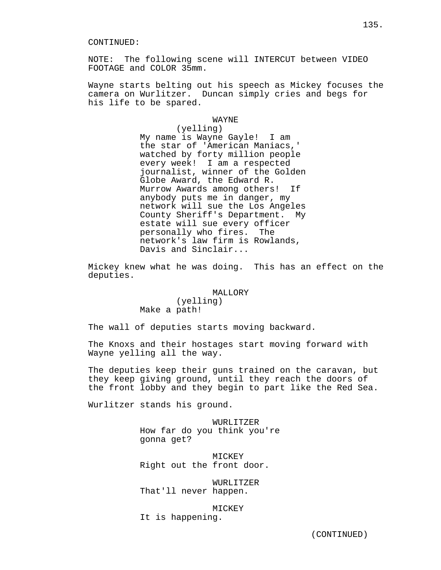NOTE: The following scene will INTERCUT between VIDEO FOOTAGE and COLOR 35mm.

Wayne starts belting out his speech as Mickey focuses the camera on Wurlitzer. Duncan simply cries and begs for his life to be spared.

# WAYNE

(yelling) My name is Wayne Gayle! I am the star of 'American Maniacs,' watched by forty million people every week! I am a respected journalist, winner of the Golden Globe Award, the Edward R. Murrow Awards among others! If anybody puts me in danger, my network will sue the Los Angeles County Sheriff's Department. My estate will sue every officer personally who fires. The network's law firm is Rowlands, Davis and Sinclair...

Mickey knew what he was doing. This has an effect on the deputies.

#### MALLORY

(yelling) Make a path!

The wall of deputies starts moving backward.

The Knoxs and their hostages start moving forward with Wayne yelling all the way.

The deputies keep their guns trained on the caravan, but they keep giving ground, until they reach the doors of the front lobby and they begin to part like the Red Sea.

Wurlitzer stands his ground.

WURLITZER How far do you think you're gonna get?

MICKEY Right out the front door.

WURLITZER That'll never happen.

## MICKEY

It is happening.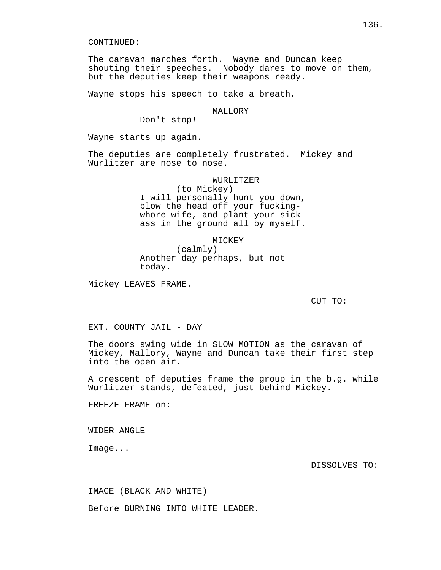The caravan marches forth. Wayne and Duncan keep shouting their speeches. Nobody dares to move on them, but the deputies keep their weapons ready.

Wayne stops his speech to take a breath.

# MALLORY

Don't stop!

Wayne starts up again.

The deputies are completely frustrated. Mickey and Wurlitzer are nose to nose.

# WURLITZER

(to Mickey) I will personally hunt you down, blow the head off your fuckingwhore-wife, and plant your sick ass in the ground all by myself.

# MICKEY

(calmly) Another day perhaps, but not today.

Mickey LEAVES FRAME.

CUT TO:

EXT. COUNTY JAIL - DAY

The doors swing wide in SLOW MOTION as the caravan of Mickey, Mallory, Wayne and Duncan take their first step into the open air.

A crescent of deputies frame the group in the b.g. while Wurlitzer stands, defeated, just behind Mickey.

FREEZE FRAME on:

WIDER ANGLE

Image...

DISSOLVES TO:

IMAGE (BLACK AND WHITE)

Before BURNING INTO WHITE LEADER.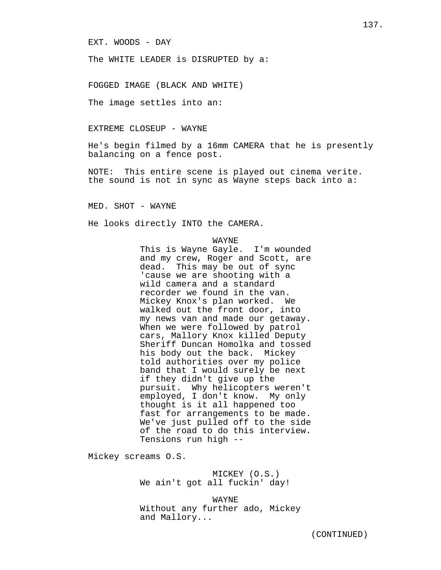EXT. WOODS - DAY

The WHITE LEADER is DISRUPTED by a:

FOGGED IMAGE (BLACK AND WHITE)

The image settles into an:

# EXTREME CLOSEUP - WAYNE

He's begin filmed by a 16mm CAMERA that he is presently balancing on a fence post.

NOTE: This entire scene is played out cinema verite. the sound is not in sync as Wayne steps back into a:

MED. SHOT - WAYNE

He looks directly INTO the CAMERA.

## WAYNE

This is Wayne Gayle. I'm wounded and my crew, Roger and Scott, are dead. This may be out of sync 'cause we are shooting with a wild camera and a standard recorder we found in the van. Mickey Knox's plan worked. We walked out the front door, into my news van and made our getaway. When we were followed by patrol cars, Mallory Knox killed Deputy Sheriff Duncan Homolka and tossed his body out the back. Mickey told authorities over my police band that I would surely be next if they didn't give up the pursuit. Why helicopters weren't employed, I don't know. My only thought is it all happened too fast for arrangements to be made. We've just pulled off to the side of the road to do this interview. Tensions run high --

Mickey screams O.S.

MICKEY (O.S.) We ain't got all fuckin' day!

WAYNE Without any further ado, Mickey and Mallory...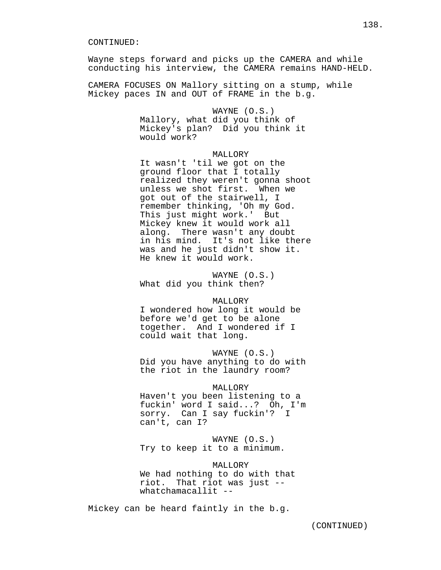Wayne steps forward and picks up the CAMERA and while conducting his interview, the CAMERA remains HAND-HELD.

CAMERA FOCUSES ON Mallory sitting on a stump, while Mickey paces IN and OUT of FRAME in the b.g.

# WAYNE (O.S.)

Mallory, what did you think of Mickey's plan? Did you think it would work?

# MALLORY

It wasn't 'til we got on the ground floor that I totally realized they weren't gonna shoot unless we shot first. When we got out of the stairwell, I remember thinking, 'Oh my God. This just might work.' But Mickey knew it would work all along. There wasn't any doubt in his mind. It's not like there was and he just didn't show it. He knew it would work.

WAYNE (O.S.) What did you think then?

# MALLORY

I wondered how long it would be before we'd get to be alone together. And I wondered if I could wait that long.

WAYNE (O.S.) Did you have anything to do with the riot in the laundry room?

# MALLORY

Haven't you been listening to a fuckin' word I said...? Oh, I'm sorry. Can I say fuckin'? I can't, can I?

WAYNE (O.S.) Try to keep it to a minimum.

#### MALLORY

We had nothing to do with that riot. That riot was just - whatchamacallit --

Mickey can be heard faintly in the b.g.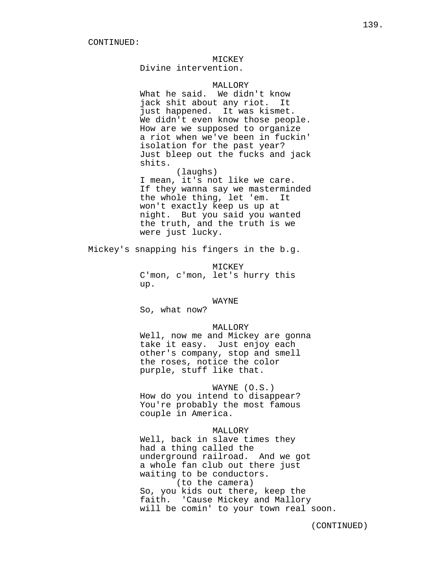Divine intervention.

# MALLORY

What he said. We didn't know jack shit about any riot. It just happened. It was kismet. We didn't even know those people. How are we supposed to organize a riot when we've been in fuckin' isolation for the past year? Just bleep out the fucks and jack shits.

(laughs) I mean, it's not like we care. If they wanna say we masterminded the whole thing, let 'em. It won't exactly keep us up at night. But you said you wanted the truth, and the truth is we were just lucky.

Mickey's snapping his fingers in the b.g.

MICKEY C'mon, c'mon, let's hurry this up.

#### WAYNE

So, what now?

# MALLORY

Well, now me and Mickey are gonna take it easy. Just enjoy each other's company, stop and smell the roses, notice the color purple, stuff like that.

# WAYNE (O.S.)

How do you intend to disappear? You're probably the most famous couple in America.

# MALLORY

Well, back in slave times they had a thing called the underground railroad. And we got a whole fan club out there just waiting to be conductors. (to the camera) So, you kids out there, keep the faith. 'Cause Mickey and Mallory will be comin' to your town real soon. 139.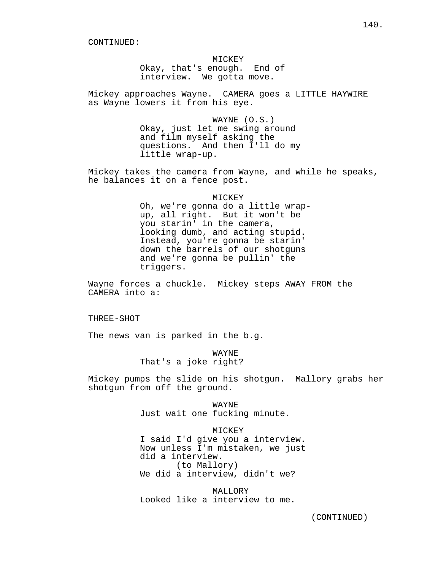Okay, that's enough. End of interview. We gotta move.

Mickey approaches Wayne. CAMERA goes a LITTLE HAYWIRE as Wayne lowers it from his eye.

> WAYNE (O.S.) Okay, just let me swing around and film myself asking the questions. And then I'll do my little wrap-up.

Mickey takes the camera from Wayne, and while he speaks, he balances it on a fence post.

#### MICKEY

Oh, we're gonna do a little wrapup, all right. But it won't be you starin' in the camera, looking dumb, and acting stupid. Instead, you're gonna be starin' down the barrels of our shotguns and we're gonna be pullin' the triggers.

Wayne forces a chuckle. Mickey steps AWAY FROM the CAMERA into a:

THREE-SHOT

The news van is parked in the b.g.

WAYNE That's a joke right?

Mickey pumps the slide on his shotgun. Mallory grabs her shotgun from off the ground.

> WAYNE Just wait one fucking minute.

MICKEY I said I'd give you a interview. Now unless I'm mistaken, we just did a interview. (to Mallory) We did a interview, didn't we?

MALLORY Looked like a interview to me.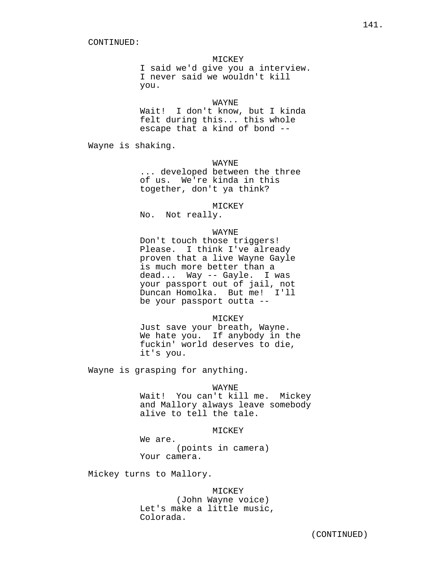I said we'd give you a interview. I never said we wouldn't kill you.

# WAYNE

Wait! I don't know, but I kinda felt during this... this whole escape that a kind of bond --

Wayne is shaking.

# WAYNE

... developed between the three of us. We're kinda in this together, don't ya think?

# MICKEY

No. Not really.

#### WAYNE

Don't touch those triggers! Please. I think I've already proven that a live Wayne Gayle is much more better than a dead... Way -- Gayle. I was your passport out of jail, not Duncan Homolka. But me! I'll be your passport outta --

#### MICKEY

Just save your breath, Wayne. We hate you. If anybody in the fuckin' world deserves to die, it's you.

Wayne is grasping for anything.

# WAYNE

Wait! You can't kill me. Mickey and Mallory always leave somebody alive to tell the tale.

# MICKEY

We are. (points in camera) Your camera.

Mickey turns to Mallory.

# MICKEY

(John Wayne voice) Let's make a little music, Colorada.